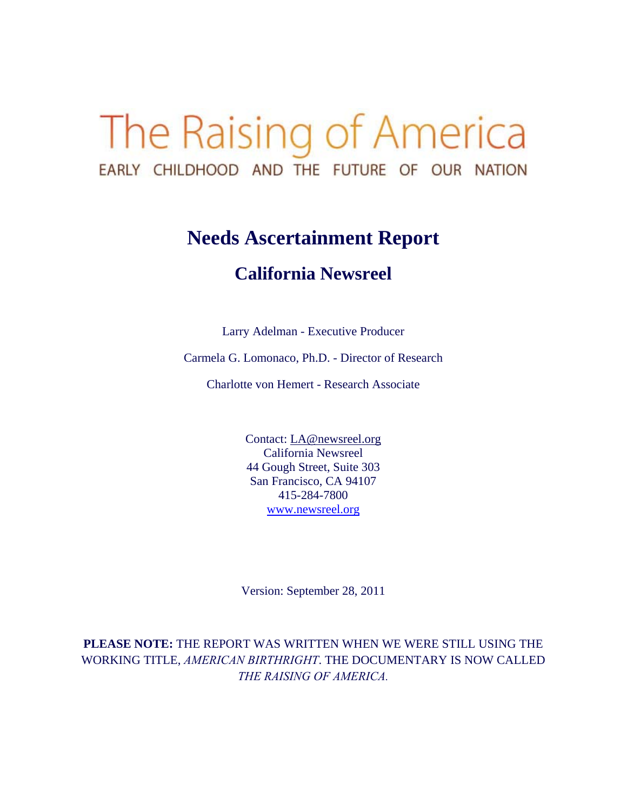# The Raising of America EARLY CHILDHOOD AND THE FUTURE OF OUR NATION

# **Needs Ascertainment Report**

# **California Newsreel**

Larry Adelman - Executive Producer

Carmela G. Lomonaco, Ph.D. - Director of Research

Charlotte von Hemert - Research Associate

Contact: LA@newsreel.org California Newsreel 44 Gough Street, Suite 303 San Francisco, CA 94107 415-284-7800 www.newsreel.org

Version: September 28, 2011

**PLEASE NOTE:** THE REPORT WAS WRITTEN WHEN WE WERE STILL USING THE WORKING TITLE, *AMERICAN BIRTHRIGHT*. THE DOCUMENTARY IS NOW CALLED *THE RAISING OF AMERICA.*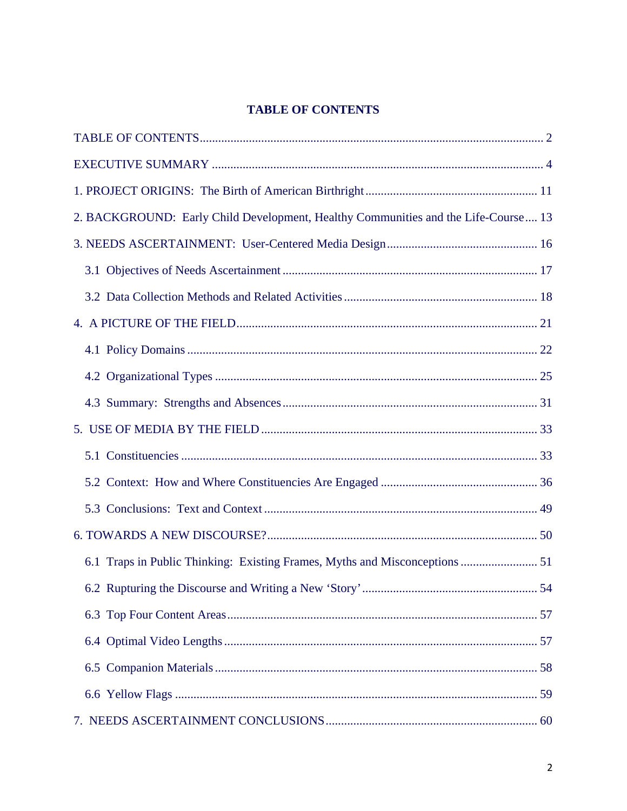# **TABLE OF CONTENTS**

| 2. BACKGROUND: Early Child Development, Healthy Communities and the Life-Course 13 |  |
|------------------------------------------------------------------------------------|--|
|                                                                                    |  |
|                                                                                    |  |
|                                                                                    |  |
|                                                                                    |  |
|                                                                                    |  |
|                                                                                    |  |
|                                                                                    |  |
|                                                                                    |  |
|                                                                                    |  |
|                                                                                    |  |
|                                                                                    |  |
|                                                                                    |  |
| 6.1 Traps in Public Thinking: Existing Frames, Myths and Misconceptions  51        |  |
|                                                                                    |  |
|                                                                                    |  |
|                                                                                    |  |
|                                                                                    |  |
|                                                                                    |  |
|                                                                                    |  |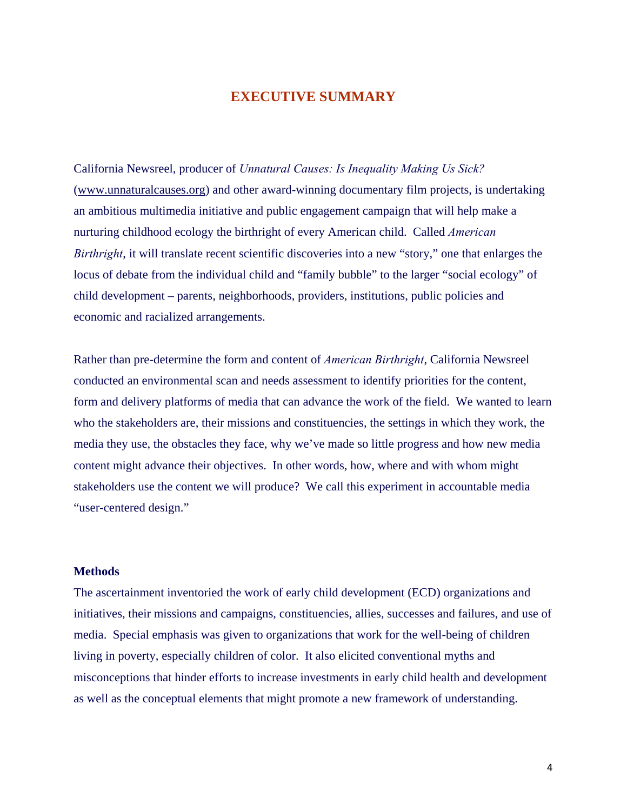# **EXECUTIVE SUMMARY**

California Newsreel, producer of *Unnatural Causes: Is Inequality Making Us Sick?* (www.unnaturalcauses.org) and other award-winning documentary film projects, is undertaking an ambitious multimedia initiative and public engagement campaign that will help make a nurturing childhood ecology the birthright of every American child. Called *American Birthright*, it will translate recent scientific discoveries into a new "story," one that enlarges the locus of debate from the individual child and "family bubble" to the larger "social ecology" of child development – parents, neighborhoods, providers, institutions, public policies and economic and racialized arrangements.

Rather than pre-determine the form and content of *American Birthright*, California Newsreel conducted an environmental scan and needs assessment to identify priorities for the content, form and delivery platforms of media that can advance the work of the field. We wanted to learn who the stakeholders are, their missions and constituencies, the settings in which they work, the media they use, the obstacles they face, why we've made so little progress and how new media content might advance their objectives. In other words, how, where and with whom might stakeholders use the content we will produce? We call this experiment in accountable media "user-centered design."

#### **Methods**

The ascertainment inventoried the work of early child development (ECD) organizations and initiatives, their missions and campaigns, constituencies, allies, successes and failures, and use of media. Special emphasis was given to organizations that work for the well-being of children living in poverty, especially children of color. It also elicited conventional myths and misconceptions that hinder efforts to increase investments in early child health and development as well as the conceptual elements that might promote a new framework of understanding.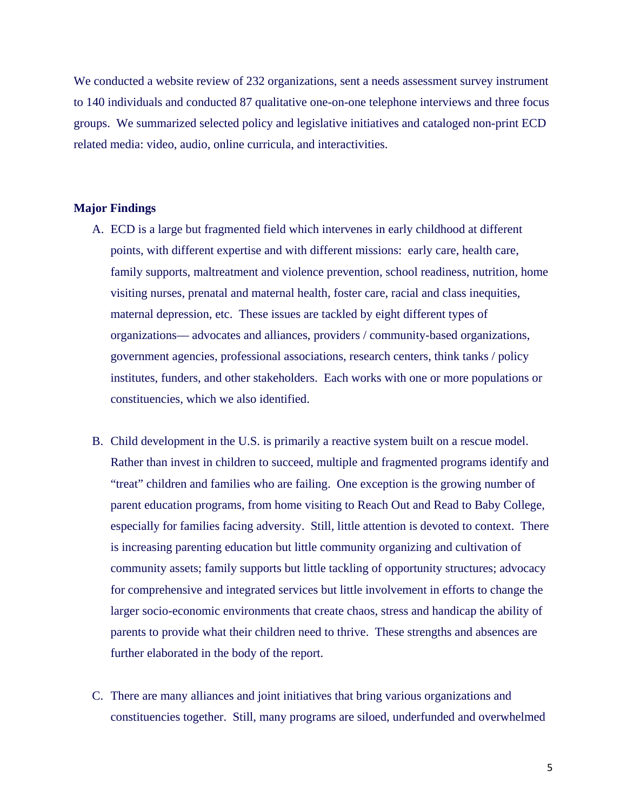We conducted a website review of 232 organizations, sent a needs assessment survey instrument to 140 individuals and conducted 87 qualitative one-on-one telephone interviews and three focus groups. We summarized selected policy and legislative initiatives and cataloged non-print ECD related media: video, audio, online curricula, and interactivities.

#### **Major Findings**

- A. ECD is a large but fragmented field which intervenes in early childhood at different points, with different expertise and with different missions: early care, health care, family supports, maltreatment and violence prevention, school readiness, nutrition, home visiting nurses, prenatal and maternal health, foster care, racial and class inequities, maternal depression, etc. These issues are tackled by eight different types of organizations— advocates and alliances, providers / community-based organizations, government agencies, professional associations, research centers, think tanks / policy institutes, funders, and other stakeholders. Each works with one or more populations or constituencies, which we also identified.
- B. Child development in the U.S. is primarily a reactive system built on a rescue model. Rather than invest in children to succeed, multiple and fragmented programs identify and "treat" children and families who are failing. One exception is the growing number of parent education programs, from home visiting to Reach Out and Read to Baby College, especially for families facing adversity. Still, little attention is devoted to context. There is increasing parenting education but little community organizing and cultivation of community assets; family supports but little tackling of opportunity structures; advocacy for comprehensive and integrated services but little involvement in efforts to change the larger socio-economic environments that create chaos, stress and handicap the ability of parents to provide what their children need to thrive. These strengths and absences are further elaborated in the body of the report.
- C. There are many alliances and joint initiatives that bring various organizations and constituencies together. Still, many programs are siloed, underfunded and overwhelmed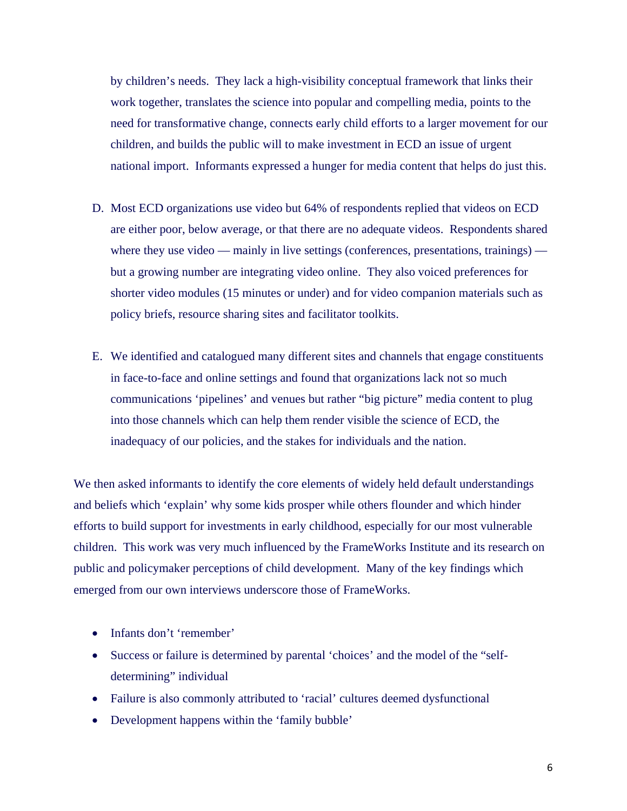by children's needs. They lack a high-visibility conceptual framework that links their work together, translates the science into popular and compelling media, points to the need for transformative change, connects early child efforts to a larger movement for our children, and builds the public will to make investment in ECD an issue of urgent national import. Informants expressed a hunger for media content that helps do just this.

- D. Most ECD organizations use video but 64% of respondents replied that videos on ECD are either poor, below average, or that there are no adequate videos. Respondents shared where they use video — mainly in live settings (conferences, presentations, trainings) but a growing number are integrating video online. They also voiced preferences for shorter video modules (15 minutes or under) and for video companion materials such as policy briefs, resource sharing sites and facilitator toolkits.
- E. We identified and catalogued many different sites and channels that engage constituents in face-to-face and online settings and found that organizations lack not so much communications 'pipelines' and venues but rather "big picture" media content to plug into those channels which can help them render visible the science of ECD, the inadequacy of our policies, and the stakes for individuals and the nation.

We then asked informants to identify the core elements of widely held default understandings and beliefs which 'explain' why some kids prosper while others flounder and which hinder efforts to build support for investments in early childhood, especially for our most vulnerable children. This work was very much influenced by the FrameWorks Institute and its research on public and policymaker perceptions of child development. Many of the key findings which emerged from our own interviews underscore those of FrameWorks.

- Infants don't 'remember'
- Success or failure is determined by parental 'choices' and the model of the "selfdetermining" individual
- Failure is also commonly attributed to 'racial' cultures deemed dysfunctional
- Development happens within the 'family bubble'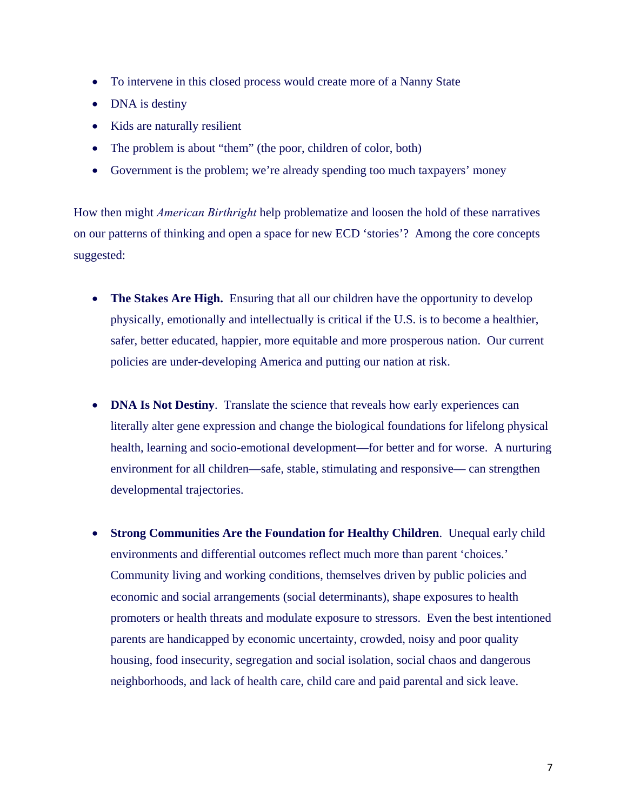- To intervene in this closed process would create more of a Nanny State
- DNA is destiny
- Kids are naturally resilient
- The problem is about "them" (the poor, children of color, both)
- Government is the problem; we're already spending too much taxpayers' money

How then might *American Birthright* help problematize and loosen the hold of these narratives on our patterns of thinking and open a space for new ECD 'stories'? Among the core concepts suggested:

- The Stakes Are High. Ensuring that all our children have the opportunity to develop physically, emotionally and intellectually is critical if the U.S. is to become a healthier, safer, better educated, happier, more equitable and more prosperous nation. Our current policies are under-developing America and putting our nation at risk.
- **DNA Is Not Destiny**. Translate the science that reveals how early experiences can literally alter gene expression and change the biological foundations for lifelong physical health, learning and socio-emotional development—for better and for worse. A nurturing environment for all children—safe, stable, stimulating and responsive— can strengthen developmental trajectories.
- **Strong Communities Are the Foundation for Healthy Children**. Unequal early child environments and differential outcomes reflect much more than parent 'choices.' Community living and working conditions, themselves driven by public policies and economic and social arrangements (social determinants), shape exposures to health promoters or health threats and modulate exposure to stressors. Even the best intentioned parents are handicapped by economic uncertainty, crowded, noisy and poor quality housing, food insecurity, segregation and social isolation, social chaos and dangerous neighborhoods, and lack of health care, child care and paid parental and sick leave.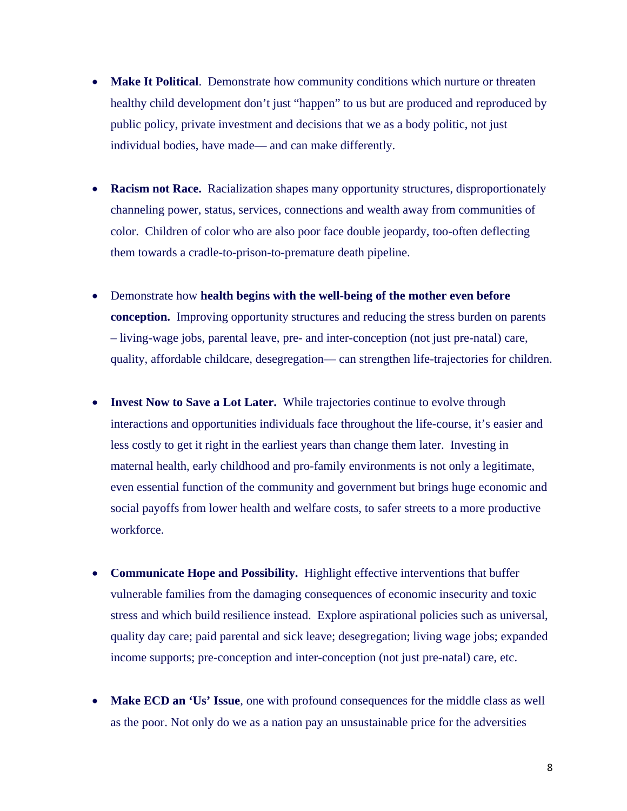- **Make It Political**. Demonstrate how community conditions which nurture or threaten healthy child development don't just "happen" to us but are produced and reproduced by public policy, private investment and decisions that we as a body politic, not just individual bodies, have made— and can make differently.
- **Racism not Race.** Racialization shapes many opportunity structures, disproportionately channeling power, status, services, connections and wealth away from communities of color. Children of color who are also poor face double jeopardy, too-often deflecting them towards a cradle-to-prison-to-premature death pipeline.
- Demonstrate how **health begins with the well-being of the mother even before conception.** Improving opportunity structures and reducing the stress burden on parents – living-wage jobs, parental leave, pre- and inter-conception (not just pre-natal) care, quality, affordable childcare, desegregation— can strengthen life-trajectories for children.
- **Invest Now to Save a Lot Later.** While trajectories continue to evolve through interactions and opportunities individuals face throughout the life-course, it's easier and less costly to get it right in the earliest years than change them later. Investing in maternal health, early childhood and pro-family environments is not only a legitimate, even essential function of the community and government but brings huge economic and social payoffs from lower health and welfare costs, to safer streets to a more productive workforce.
- **Communicate Hope and Possibility.** Highlight effective interventions that buffer vulnerable families from the damaging consequences of economic insecurity and toxic stress and which build resilience instead. Explore aspirational policies such as universal, quality day care; paid parental and sick leave; desegregation; living wage jobs; expanded income supports; pre-conception and inter-conception (not just pre-natal) care, etc.
- **Make ECD an 'Us' Issue**, one with profound consequences for the middle class as well as the poor. Not only do we as a nation pay an unsustainable price for the adversities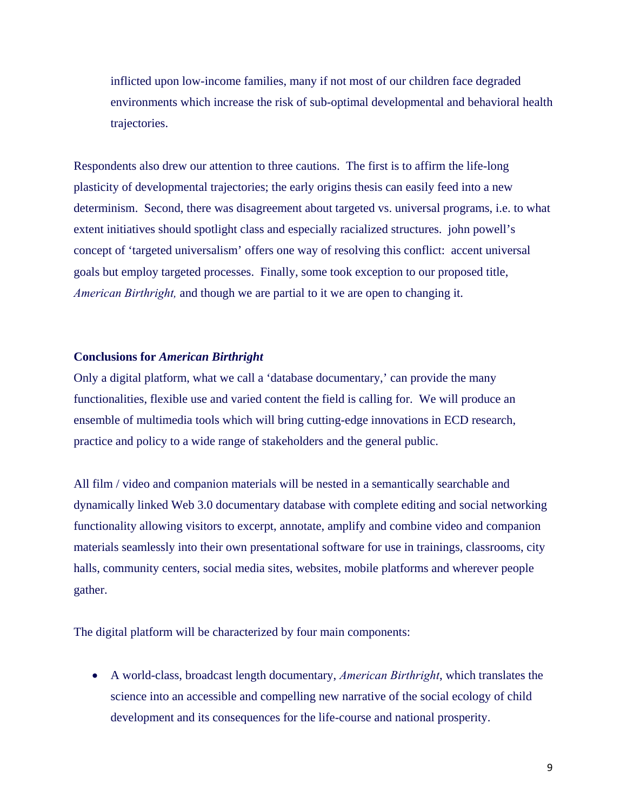inflicted upon low-income families, many if not most of our children face degraded environments which increase the risk of sub-optimal developmental and behavioral health trajectories.

Respondents also drew our attention to three cautions. The first is to affirm the life-long plasticity of developmental trajectories; the early origins thesis can easily feed into a new determinism. Second, there was disagreement about targeted vs. universal programs, i.e. to what extent initiatives should spotlight class and especially racialized structures. john powell's concept of 'targeted universalism' offers one way of resolving this conflict: accent universal goals but employ targeted processes. Finally, some took exception to our proposed title, *American Birthright,* and though we are partial to it we are open to changing it.

#### **Conclusions for** *American Birthright*

Only a digital platform, what we call a 'database documentary,' can provide the many functionalities, flexible use and varied content the field is calling for. We will produce an ensemble of multimedia tools which will bring cutting-edge innovations in ECD research, practice and policy to a wide range of stakeholders and the general public.

All film / video and companion materials will be nested in a semantically searchable and dynamically linked Web 3.0 documentary database with complete editing and social networking functionality allowing visitors to excerpt, annotate, amplify and combine video and companion materials seamlessly into their own presentational software for use in trainings, classrooms, city halls, community centers, social media sites, websites, mobile platforms and wherever people gather.

The digital platform will be characterized by four main components:

 A world-class, broadcast length documentary, *American Birthright*, which translates the science into an accessible and compelling new narrative of the social ecology of child development and its consequences for the life-course and national prosperity.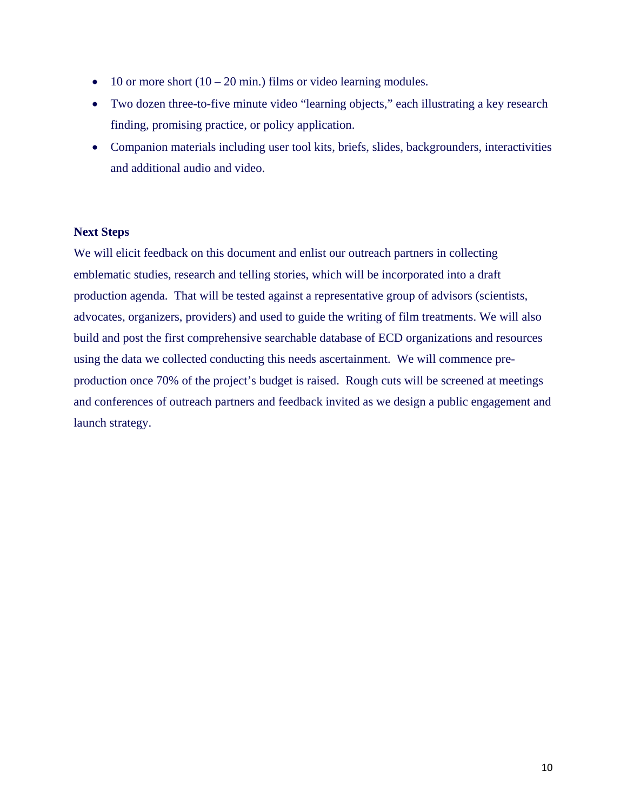- $\bullet$  10 or more short (10 20 min.) films or video learning modules.
- Two dozen three-to-five minute video "learning objects," each illustrating a key research finding, promising practice, or policy application.
- Companion materials including user tool kits, briefs, slides, backgrounders, interactivities and additional audio and video.

#### **Next Steps**

We will elicit feedback on this document and enlist our outreach partners in collecting emblematic studies, research and telling stories, which will be incorporated into a draft production agenda. That will be tested against a representative group of advisors (scientists, advocates, organizers, providers) and used to guide the writing of film treatments. We will also build and post the first comprehensive searchable database of ECD organizations and resources using the data we collected conducting this needs ascertainment. We will commence preproduction once 70% of the project's budget is raised. Rough cuts will be screened at meetings and conferences of outreach partners and feedback invited as we design a public engagement and launch strategy.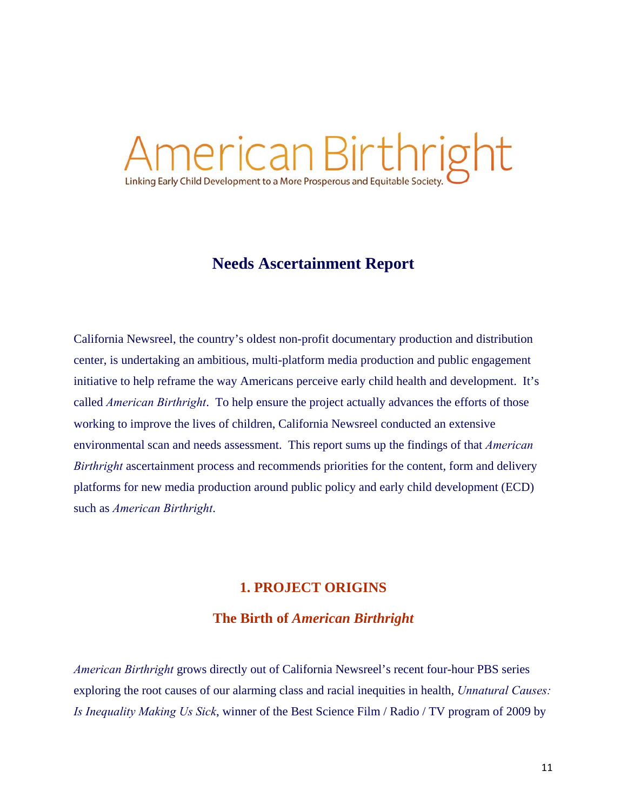# ierican Birthright Linking Early Child Development to a More Prosperous and Equitable Societ

# **Needs Ascertainment Report**

California Newsreel, the country's oldest non-profit documentary production and distribution center, is undertaking an ambitious, multi-platform media production and public engagement initiative to help reframe the way Americans perceive early child health and development. It's called *American Birthright*. To help ensure the project actually advances the efforts of those working to improve the lives of children, California Newsreel conducted an extensive environmental scan and needs assessment. This report sums up the findings of that *American Birthright* ascertainment process and recommends priorities for the content, form and delivery platforms for new media production around public policy and early child development (ECD) such as *American Birthright*.

# **1. PROJECT ORIGINS**

# **The Birth of** *American Birthright*

*American Birthright* grows directly out of California Newsreel's recent four-hour PBS series exploring the root causes of our alarming class and racial inequities in health, *Unnatural Causes: Is Inequality Making Us Sick*, winner of the Best Science Film / Radio / TV program of 2009 by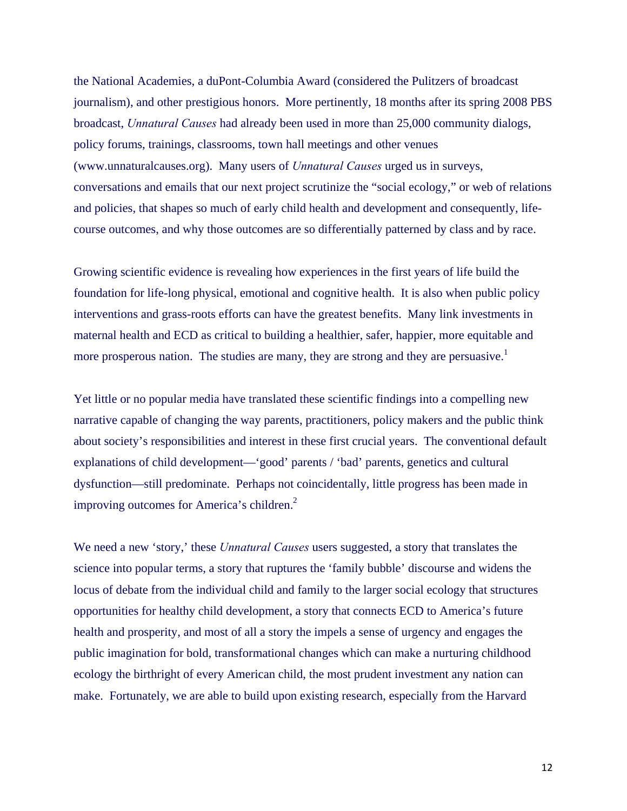the National Academies, a duPont-Columbia Award (considered the Pulitzers of broadcast journalism), and other prestigious honors. More pertinently, 18 months after its spring 2008 PBS broadcast, *Unnatural Causes* had already been used in more than 25,000 community dialogs, policy forums, trainings, classrooms, town hall meetings and other venues (www.unnaturalcauses.org). Many users of *Unnatural Causes* urged us in surveys, conversations and emails that our next project scrutinize the "social ecology," or web of relations and policies, that shapes so much of early child health and development and consequently, lifecourse outcomes, and why those outcomes are so differentially patterned by class and by race.

Growing scientific evidence is revealing how experiences in the first years of life build the foundation for life-long physical, emotional and cognitive health. It is also when public policy interventions and grass-roots efforts can have the greatest benefits. Many link investments in maternal health and ECD as critical to building a healthier, safer, happier, more equitable and more prosperous nation. The studies are many, they are strong and they are persuasive.<sup>1</sup>

Yet little or no popular media have translated these scientific findings into a compelling new narrative capable of changing the way parents, practitioners, policy makers and the public think about society's responsibilities and interest in these first crucial years. The conventional default explanations of child development—'good' parents / 'bad' parents, genetics and cultural dysfunction—still predominate. Perhaps not coincidentally, little progress has been made in improving outcomes for America's children.<sup>2</sup>

We need a new 'story,' these *Unnatural Causes* users suggested, a story that translates the science into popular terms, a story that ruptures the 'family bubble' discourse and widens the locus of debate from the individual child and family to the larger social ecology that structures opportunities for healthy child development, a story that connects ECD to America's future health and prosperity, and most of all a story the impels a sense of urgency and engages the public imagination for bold, transformational changes which can make a nurturing childhood ecology the birthright of every American child, the most prudent investment any nation can make. Fortunately, we are able to build upon existing research, especially from the Harvard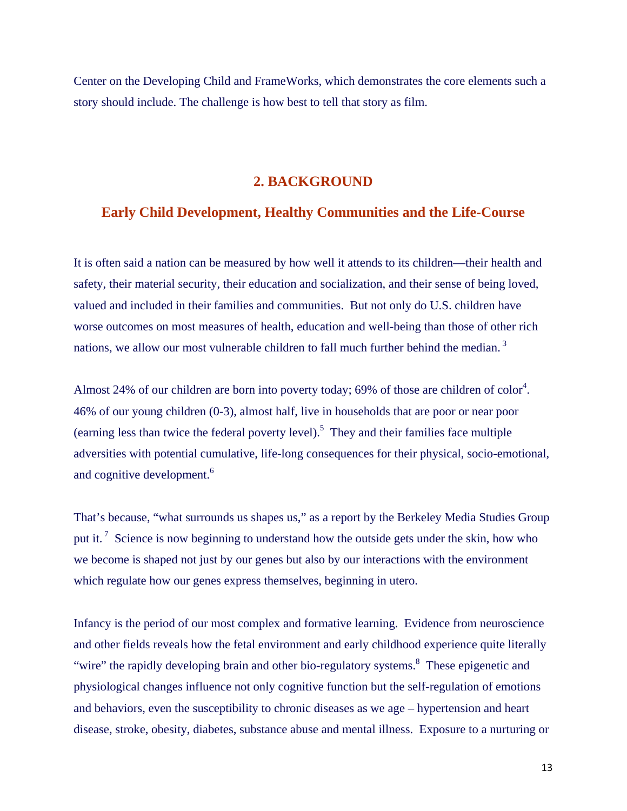Center on the Developing Child and FrameWorks, which demonstrates the core elements such a story should include. The challenge is how best to tell that story as film.

# **2. BACKGROUND**

# **Early Child Development, Healthy Communities and the Life-Course**

It is often said a nation can be measured by how well it attends to its children—their health and safety, their material security, their education and socialization, and their sense of being loved, valued and included in their families and communities. But not only do U.S. children have worse outcomes on most measures of health, education and well-being than those of other rich nations, we allow our most vulnerable children to fall much further behind the median.<sup>3</sup>

Almost 24% of our children are born into poverty today; 69% of those are children of color<sup>4</sup>. 46% of our young children (0-3), almost half, live in households that are poor or near poor (earning less than twice the federal poverty level).<sup>5</sup> They and their families face multiple adversities with potential cumulative, life-long consequences for their physical, socio-emotional, and cognitive development.<sup>6</sup>

That's because, "what surrounds us shapes us," as a report by the Berkeley Media Studies Group put it.<sup>7</sup> Science is now beginning to understand how the outside gets under the skin, how who we become is shaped not just by our genes but also by our interactions with the environment which regulate how our genes express themselves, beginning in utero.

Infancy is the period of our most complex and formative learning. Evidence from neuroscience and other fields reveals how the fetal environment and early childhood experience quite literally "wire" the rapidly developing brain and other bio-regulatory systems.<sup>8</sup> These epigenetic and physiological changes influence not only cognitive function but the self-regulation of emotions and behaviors, even the susceptibility to chronic diseases as we age – hypertension and heart disease, stroke, obesity, diabetes, substance abuse and mental illness. Exposure to a nurturing or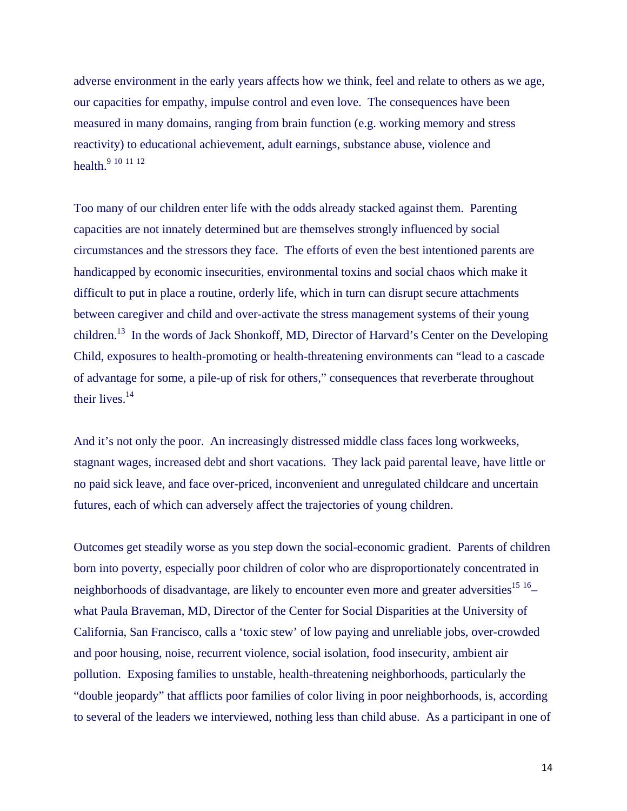adverse environment in the early years affects how we think, feel and relate to others as we age, our capacities for empathy, impulse control and even love. The consequences have been measured in many domains, ranging from brain function (e.g. working memory and stress reactivity) to educational achievement, adult earnings, substance abuse, violence and health.<sup>9</sup> <sup>10</sup> <sup>11</sup> <sup>12</sup>

Too many of our children enter life with the odds already stacked against them. Parenting capacities are not innately determined but are themselves strongly influenced by social circumstances and the stressors they face. The efforts of even the best intentioned parents are handicapped by economic insecurities, environmental toxins and social chaos which make it difficult to put in place a routine, orderly life, which in turn can disrupt secure attachments between caregiver and child and over-activate the stress management systems of their young children.<sup>13</sup> In the words of Jack Shonkoff, MD, Director of Harvard's Center on the Developing Child, exposures to health-promoting or health-threatening environments can "lead to a cascade of advantage for some, a pile-up of risk for others," consequences that reverberate throughout their lives.<sup>14</sup>

And it's not only the poor. An increasingly distressed middle class faces long workweeks, stagnant wages, increased debt and short vacations. They lack paid parental leave, have little or no paid sick leave, and face over-priced, inconvenient and unregulated childcare and uncertain futures, each of which can adversely affect the trajectories of young children.

Outcomes get steadily worse as you step down the social-economic gradient. Parents of children born into poverty, especially poor children of color who are disproportionately concentrated in neighborhoods of disadvantage, are likely to encounter even more and greater adversities<sup>15 16</sup>– what Paula Braveman, MD, Director of the Center for Social Disparities at the University of California, San Francisco, calls a 'toxic stew' of low paying and unreliable jobs, over-crowded and poor housing, noise, recurrent violence, social isolation, food insecurity, ambient air pollution. Exposing families to unstable, health-threatening neighborhoods, particularly the "double jeopardy" that afflicts poor families of color living in poor neighborhoods, is, according to several of the leaders we interviewed, nothing less than child abuse. As a participant in one of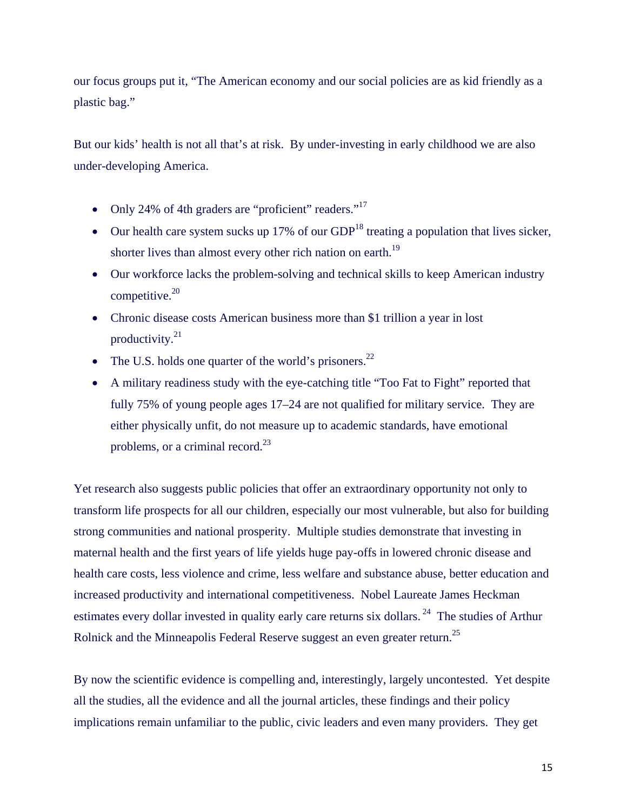our focus groups put it, "The American economy and our social policies are as kid friendly as a plastic bag."

But our kids' health is not all that's at risk. By under-investing in early childhood we are also under-developing America.

- Only 24% of 4th graders are "proficient" readers." $17$
- $\bullet$  Our health care system sucks up 17% of our GDP<sup>18</sup> treating a population that lives sicker, shorter lives than almost every other rich nation on earth.<sup>19</sup>
- Our workforce lacks the problem-solving and technical skills to keep American industry competitive. $20$
- Chronic disease costs American business more than \$1 trillion a year in lost productivity.21
- The U.S. holds one quarter of the world's prisoners.<sup>22</sup>
- A military readiness study with the eye-catching title "Too Fat to Fight" reported that fully 75% of young people ages 17–24 are not qualified for military service. They are either physically unfit, do not measure up to academic standards, have emotional problems, or a criminal record.<sup>23</sup>

Yet research also suggests public policies that offer an extraordinary opportunity not only to transform life prospects for all our children, especially our most vulnerable, but also for building strong communities and national prosperity. Multiple studies demonstrate that investing in maternal health and the first years of life yields huge pay-offs in lowered chronic disease and health care costs, less violence and crime, less welfare and substance abuse, better education and increased productivity and international competitiveness. Nobel Laureate James Heckman estimates every dollar invested in quality early care returns six dollars.<sup>24</sup> The studies of Arthur Rolnick and the Minneapolis Federal Reserve suggest an even greater return.25

By now the scientific evidence is compelling and, interestingly, largely uncontested. Yet despite all the studies, all the evidence and all the journal articles, these findings and their policy implications remain unfamiliar to the public, civic leaders and even many providers. They get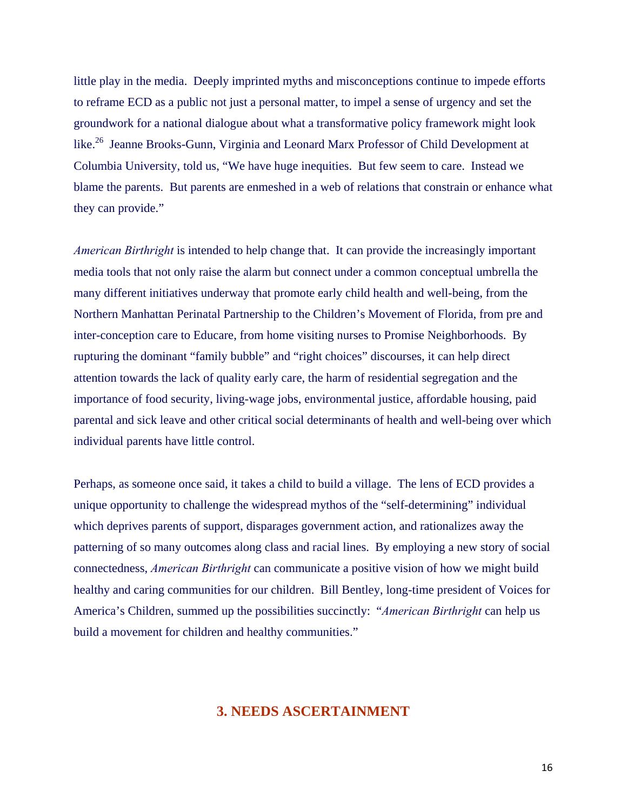little play in the media. Deeply imprinted myths and misconceptions continue to impede efforts to reframe ECD as a public not just a personal matter, to impel a sense of urgency and set the groundwork for a national dialogue about what a transformative policy framework might look like.<sup>26</sup> Jeanne Brooks-Gunn, Virginia and Leonard Marx Professor of Child Development at Columbia University, told us, "We have huge inequities. But few seem to care. Instead we blame the parents. But parents are enmeshed in a web of relations that constrain or enhance what they can provide."

*American Birthright* is intended to help change that. It can provide the increasingly important media tools that not only raise the alarm but connect under a common conceptual umbrella the many different initiatives underway that promote early child health and well-being, from the Northern Manhattan Perinatal Partnership to the Children's Movement of Florida, from pre and inter-conception care to Educare, from home visiting nurses to Promise Neighborhoods. By rupturing the dominant "family bubble" and "right choices" discourses, it can help direct attention towards the lack of quality early care, the harm of residential segregation and the importance of food security, living-wage jobs, environmental justice, affordable housing, paid parental and sick leave and other critical social determinants of health and well-being over which individual parents have little control.

Perhaps, as someone once said, it takes a child to build a village. The lens of ECD provides a unique opportunity to challenge the widespread mythos of the "self-determining" individual which deprives parents of support, disparages government action, and rationalizes away the patterning of so many outcomes along class and racial lines. By employing a new story of social connectedness, *American Birthright* can communicate a positive vision of how we might build healthy and caring communities for our children. Bill Bentley, long-time president of Voices for America's Children, summed up the possibilities succinctly: "*American Birthright* can help us build a movement for children and healthy communities."

# **3. NEEDS ASCERTAINMENT**

16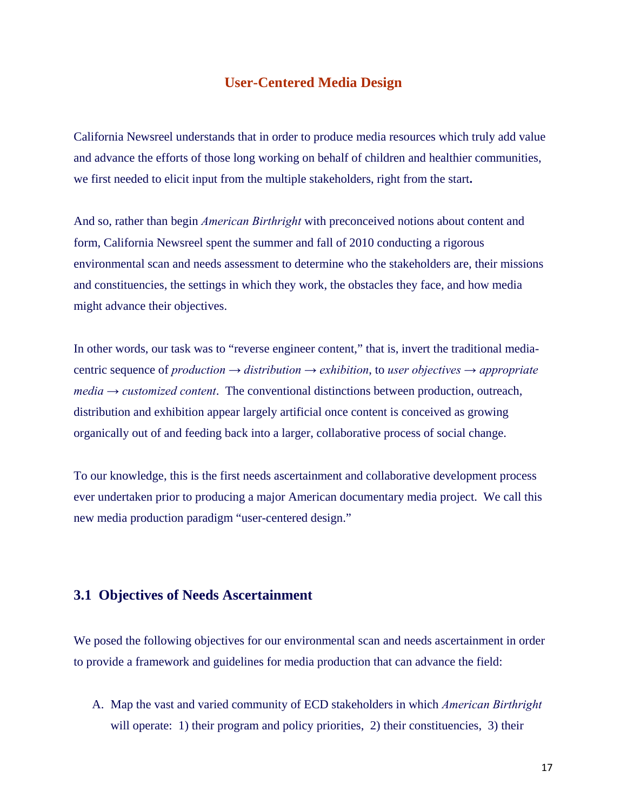### **User-Centered Media Design**

California Newsreel understands that in order to produce media resources which truly add value and advance the efforts of those long working on behalf of children and healthier communities, we first needed to elicit input from the multiple stakeholders, right from the start**.** 

And so, rather than begin *American Birthright* with preconceived notions about content and form, California Newsreel spent the summer and fall of 2010 conducting a rigorous environmental scan and needs assessment to determine who the stakeholders are, their missions and constituencies, the settings in which they work, the obstacles they face, and how media might advance their objectives.

In other words, our task was to "reverse engineer content," that is, invert the traditional mediacentric sequence of *production → distribution → exhibition*, to *user objectives → appropriate media → customized content*. The conventional distinctions between production, outreach, distribution and exhibition appear largely artificial once content is conceived as growing organically out of and feeding back into a larger, collaborative process of social change.

To our knowledge, this is the first needs ascertainment and collaborative development process ever undertaken prior to producing a major American documentary media project. We call this new media production paradigm "user-centered design."

#### **3.1 Objectives of Needs Ascertainment**

We posed the following objectives for our environmental scan and needs ascertainment in order to provide a framework and guidelines for media production that can advance the field:

A. Map the vast and varied community of ECD stakeholders in which *American Birthright*  will operate: 1) their program and policy priorities, 2) their constituencies, 3) their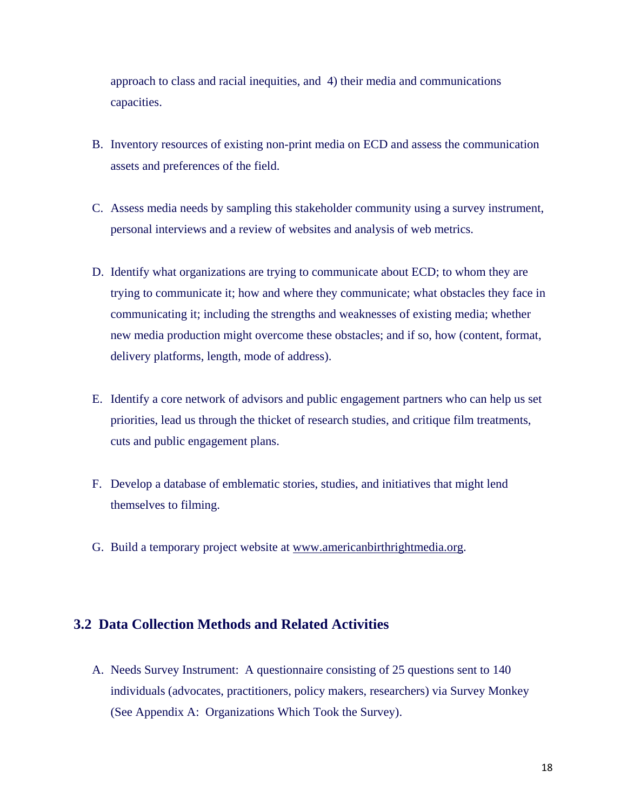approach to class and racial inequities, and 4) their media and communications capacities.

- B. Inventory resources of existing non-print media on ECD and assess the communication assets and preferences of the field.
- C. Assess media needs by sampling this stakeholder community using a survey instrument, personal interviews and a review of websites and analysis of web metrics.
- D. Identify what organizations are trying to communicate about ECD; to whom they are trying to communicate it; how and where they communicate; what obstacles they face in communicating it; including the strengths and weaknesses of existing media; whether new media production might overcome these obstacles; and if so, how (content, format, delivery platforms, length, mode of address).
- E. Identify a core network of advisors and public engagement partners who can help us set priorities, lead us through the thicket of research studies, and critique film treatments, cuts and public engagement plans.
- F. Develop a database of emblematic stories, studies, and initiatives that might lend themselves to filming.
- G. Build a temporary project website at www.americanbirthrightmedia.org.

# **3.2 Data Collection Methods and Related Activities**

A. Needs Survey Instrument: A questionnaire consisting of 25 questions sent to 140 individuals (advocates, practitioners, policy makers, researchers) via Survey Monkey (See Appendix A: Organizations Which Took the Survey).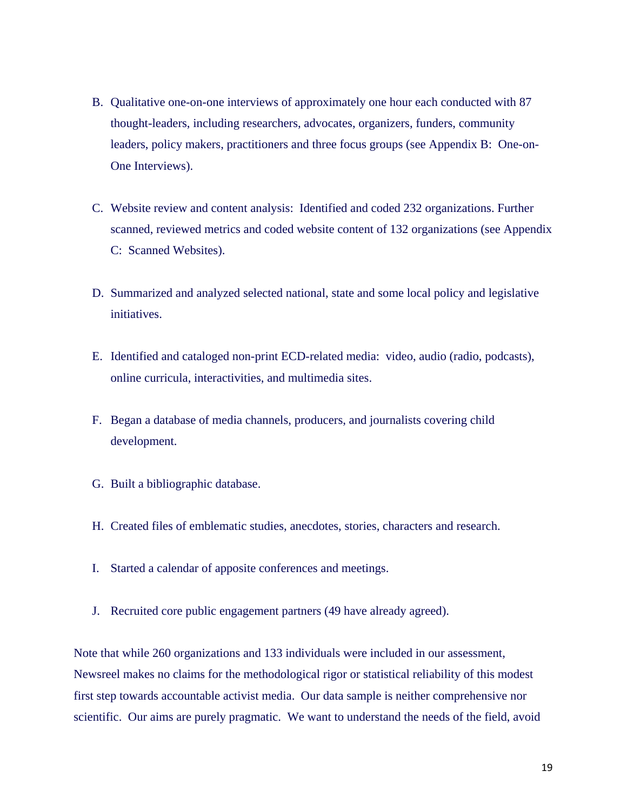- B. Qualitative one-on-one interviews of approximately one hour each conducted with 87 thought-leaders, including researchers, advocates, organizers, funders, community leaders, policy makers, practitioners and three focus groups (see Appendix B: One-on-One Interviews).
- C. Website review and content analysis: Identified and coded 232 organizations. Further scanned, reviewed metrics and coded website content of 132 organizations (see Appendix C: Scanned Websites).
- D. Summarized and analyzed selected national, state and some local policy and legislative initiatives.
- E. Identified and cataloged non-print ECD-related media: video, audio (radio, podcasts), online curricula, interactivities, and multimedia sites.
- F. Began a database of media channels, producers, and journalists covering child development.
- G. Built a bibliographic database.
- H. Created files of emblematic studies, anecdotes, stories, characters and research.
- I. Started a calendar of apposite conferences and meetings.
- J. Recruited core public engagement partners (49 have already agreed).

Note that while 260 organizations and 133 individuals were included in our assessment, Newsreel makes no claims for the methodological rigor or statistical reliability of this modest first step towards accountable activist media. Our data sample is neither comprehensive nor scientific. Our aims are purely pragmatic. We want to understand the needs of the field, avoid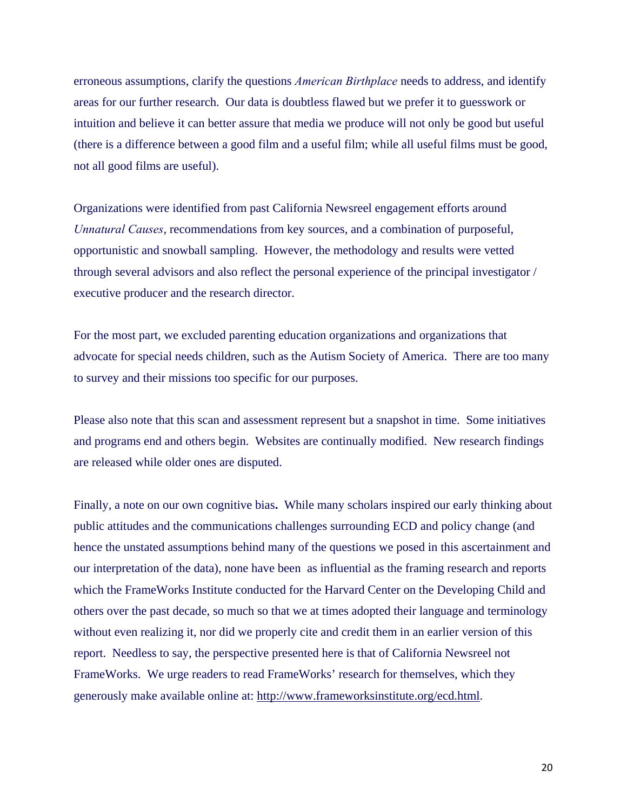erroneous assumptions, clarify the questions *American Birthplace* needs to address, and identify areas for our further research. Our data is doubtless flawed but we prefer it to guesswork or intuition and believe it can better assure that media we produce will not only be good but useful (there is a difference between a good film and a useful film; while all useful films must be good, not all good films are useful).

Organizations were identified from past California Newsreel engagement efforts around *Unnatural Causes*, recommendations from key sources, and a combination of purposeful, opportunistic and snowball sampling. However, the methodology and results were vetted through several advisors and also reflect the personal experience of the principal investigator / executive producer and the research director.

For the most part, we excluded parenting education organizations and organizations that advocate for special needs children, such as the Autism Society of America. There are too many to survey and their missions too specific for our purposes.

Please also note that this scan and assessment represent but a snapshot in time. Some initiatives and programs end and others begin. Websites are continually modified. New research findings are released while older ones are disputed.

Finally, a note on our own cognitive bias**.** While many scholars inspired our early thinking about public attitudes and the communications challenges surrounding ECD and policy change (and hence the unstated assumptions behind many of the questions we posed in this ascertainment and our interpretation of the data), none have been as influential as the framing research and reports which the FrameWorks Institute conducted for the Harvard Center on the Developing Child and others over the past decade, so much so that we at times adopted their language and terminology without even realizing it, nor did we properly cite and credit them in an earlier version of this report. Needless to say, the perspective presented here is that of California Newsreel not FrameWorks. We urge readers to read FrameWorks' research for themselves, which they generously make available online at: http://www.frameworksinstitute.org/ecd.html.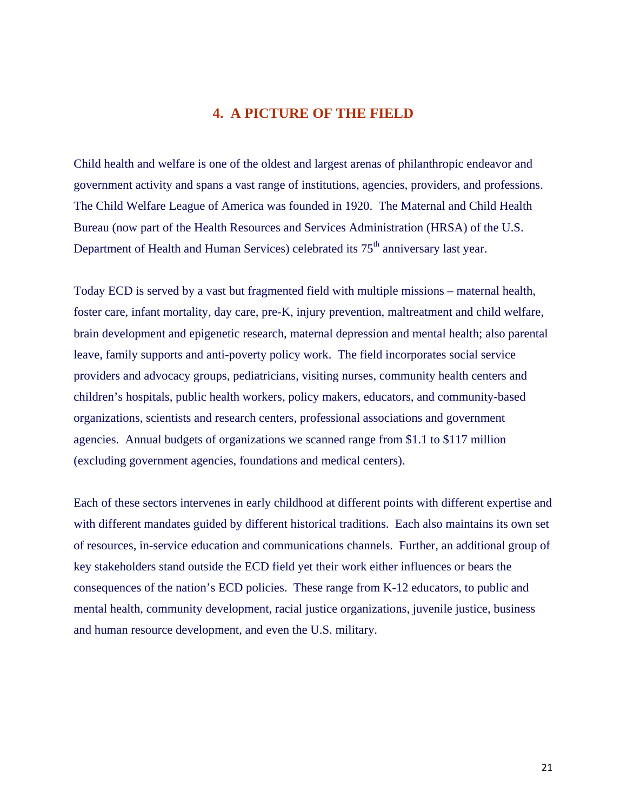# **4. A PICTURE OF THE FIELD**

Child health and welfare is one of the oldest and largest arenas of philanthropic endeavor and government activity and spans a vast range of institutions, agencies, providers, and professions. The Child Welfare League of America was founded in 1920. The Maternal and Child Health Bureau (now part of the Health Resources and Services Administration (HRSA) of the U.S. Department of Health and Human Services) celebrated its 75<sup>th</sup> anniversary last year.

Today ECD is served by a vast but fragmented field with multiple missions – maternal health, foster care, infant mortality, day care, pre-K, injury prevention, maltreatment and child welfare, brain development and epigenetic research, maternal depression and mental health; also parental leave, family supports and anti-poverty policy work. The field incorporates social service providers and advocacy groups, pediatricians, visiting nurses, community health centers and children's hospitals, public health workers, policy makers, educators, and community-based organizations, scientists and research centers, professional associations and government agencies. Annual budgets of organizations we scanned range from \$1.1 to \$117 million (excluding government agencies, foundations and medical centers).

Each of these sectors intervenes in early childhood at different points with different expertise and with different mandates guided by different historical traditions. Each also maintains its own set of resources, in-service education and communications channels. Further, an additional group of key stakeholders stand outside the ECD field yet their work either influences or bears the consequences of the nation's ECD policies. These range from K-12 educators, to public and mental health, community development, racial justice organizations, juvenile justice, business and human resource development, and even the U.S. military.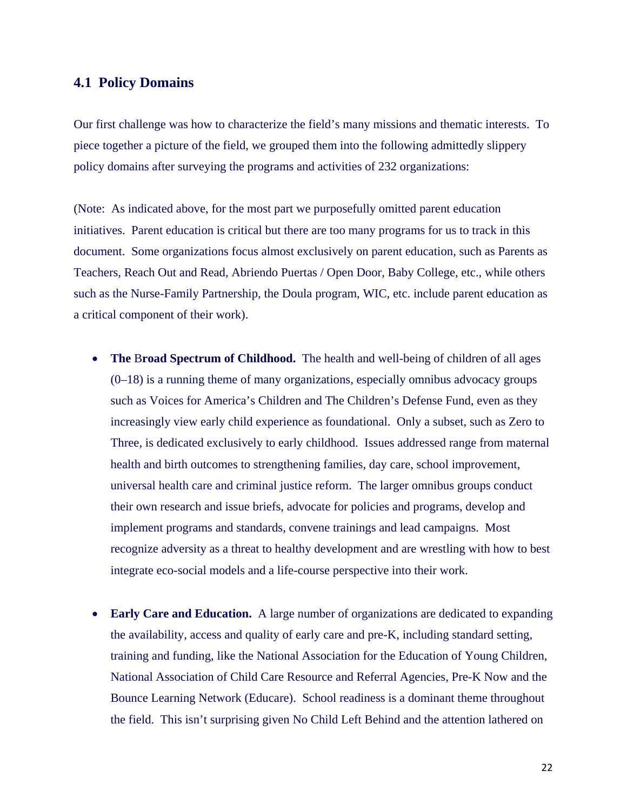#### **4.1 Policy Domains**

Our first challenge was how to characterize the field's many missions and thematic interests. To piece together a picture of the field, we grouped them into the following admittedly slippery policy domains after surveying the programs and activities of 232 organizations:

(Note: As indicated above, for the most part we purposefully omitted parent education initiatives. Parent education is critical but there are too many programs for us to track in this document. Some organizations focus almost exclusively on parent education, such as Parents as Teachers, Reach Out and Read, Abriendo Puertas / Open Door, Baby College, etc., while others such as the Nurse-Family Partnership, the Doula program, WIC, etc. include parent education as a critical component of their work).

- The Broad Spectrum of Childhood. The health and well-being of children of all ages (0–18) is a running theme of many organizations, especially omnibus advocacy groups such as Voices for America's Children and The Children's Defense Fund, even as they increasingly view early child experience as foundational. Only a subset, such as Zero to Three, is dedicated exclusively to early childhood. Issues addressed range from maternal health and birth outcomes to strengthening families, day care, school improvement, universal health care and criminal justice reform. The larger omnibus groups conduct their own research and issue briefs, advocate for policies and programs, develop and implement programs and standards, convene trainings and lead campaigns. Most recognize adversity as a threat to healthy development and are wrestling with how to best integrate eco-social models and a life-course perspective into their work.
- **Early Care and Education.** A large number of organizations are dedicated to expanding the availability, access and quality of early care and pre-K, including standard setting, training and funding, like the National Association for the Education of Young Children, National Association of Child Care Resource and Referral Agencies, Pre-K Now and the Bounce Learning Network (Educare). School readiness is a dominant theme throughout the field. This isn't surprising given No Child Left Behind and the attention lathered on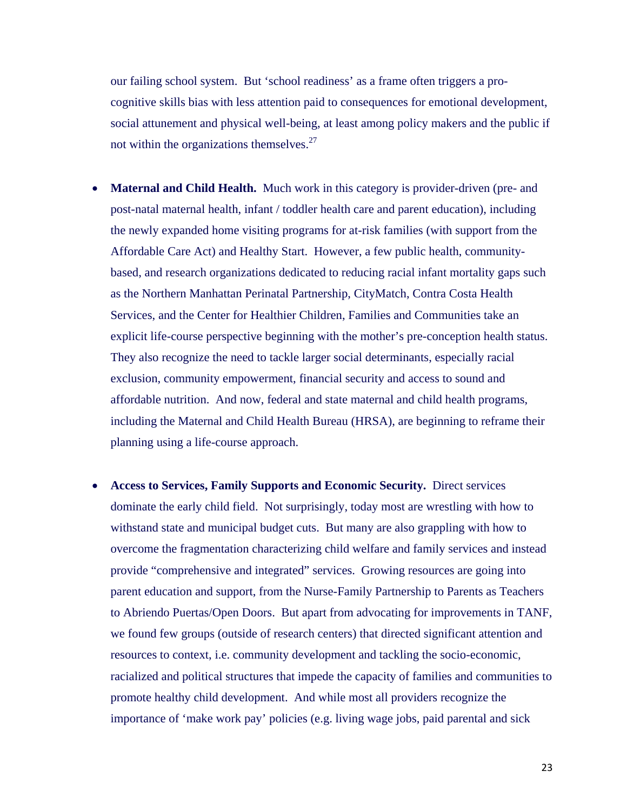our failing school system. But 'school readiness' as a frame often triggers a procognitive skills bias with less attention paid to consequences for emotional development, social attunement and physical well-being, at least among policy makers and the public if not within the organizations themselves. $27$ 

- **Maternal and Child Health.** Much work in this category is provider-driven (pre- and post-natal maternal health, infant / toddler health care and parent education), including the newly expanded home visiting programs for at-risk families (with support from the Affordable Care Act) and Healthy Start. However, a few public health, communitybased, and research organizations dedicated to reducing racial infant mortality gaps such as the Northern Manhattan Perinatal Partnership, CityMatch, Contra Costa Health Services, and the Center for Healthier Children, Families and Communities take an explicit life-course perspective beginning with the mother's pre-conception health status. They also recognize the need to tackle larger social determinants, especially racial exclusion, community empowerment, financial security and access to sound and affordable nutrition. And now, federal and state maternal and child health programs, including the Maternal and Child Health Bureau (HRSA), are beginning to reframe their planning using a life-course approach.
- **Access to Services, Family Supports and Economic Security.** Direct services dominate the early child field. Not surprisingly, today most are wrestling with how to withstand state and municipal budget cuts. But many are also grappling with how to overcome the fragmentation characterizing child welfare and family services and instead provide "comprehensive and integrated" services. Growing resources are going into parent education and support, from the Nurse-Family Partnership to Parents as Teachers to Abriendo Puertas/Open Doors. But apart from advocating for improvements in TANF, we found few groups (outside of research centers) that directed significant attention and resources to context, i.e. community development and tackling the socio-economic, racialized and political structures that impede the capacity of families and communities to promote healthy child development. And while most all providers recognize the importance of 'make work pay' policies (e.g. living wage jobs, paid parental and sick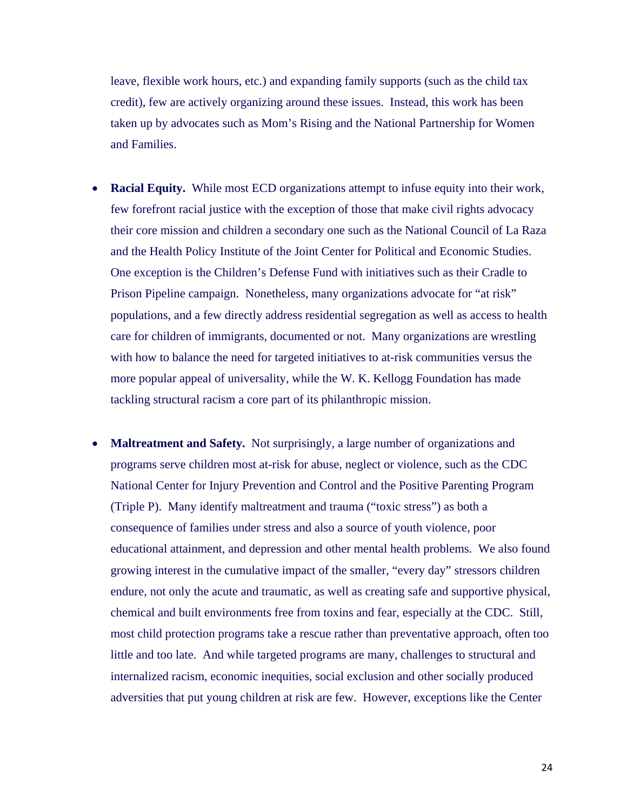leave, flexible work hours, etc.) and expanding family supports (such as the child tax credit), few are actively organizing around these issues. Instead, this work has been taken up by advocates such as Mom's Rising and the National Partnership for Women and Families.

- **Racial Equity.** While most ECD organizations attempt to infuse equity into their work, few forefront racial justice with the exception of those that make civil rights advocacy their core mission and children a secondary one such as the National Council of La Raza and the Health Policy Institute of the Joint Center for Political and Economic Studies. One exception is the Children's Defense Fund with initiatives such as their Cradle to Prison Pipeline campaign. Nonetheless, many organizations advocate for "at risk" populations, and a few directly address residential segregation as well as access to health care for children of immigrants, documented or not. Many organizations are wrestling with how to balance the need for targeted initiatives to at-risk communities versus the more popular appeal of universality, while the W. K. Kellogg Foundation has made tackling structural racism a core part of its philanthropic mission.
- **Maltreatment and Safety.** Not surprisingly, a large number of organizations and programs serve children most at-risk for abuse, neglect or violence, such as the CDC National Center for Injury Prevention and Control and the Positive Parenting Program (Triple P). Many identify maltreatment and trauma ("toxic stress") as both a consequence of families under stress and also a source of youth violence, poor educational attainment, and depression and other mental health problems. We also found growing interest in the cumulative impact of the smaller, "every day" stressors children endure, not only the acute and traumatic, as well as creating safe and supportive physical, chemical and built environments free from toxins and fear, especially at the CDC. Still, most child protection programs take a rescue rather than preventative approach, often too little and too late. And while targeted programs are many, challenges to structural and internalized racism, economic inequities, social exclusion and other socially produced adversities that put young children at risk are few. However, exceptions like the Center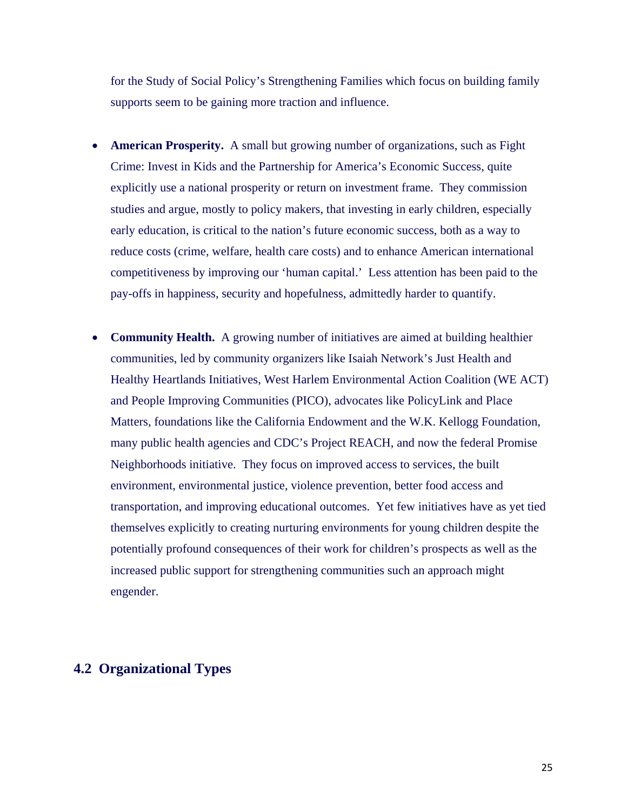for the Study of Social Policy's Strengthening Families which focus on building family supports seem to be gaining more traction and influence.

- **American Prosperity.** A small but growing number of organizations, such as Fight Crime: Invest in Kids and the Partnership for America's Economic Success, quite explicitly use a national prosperity or return on investment frame. They commission studies and argue, mostly to policy makers, that investing in early children, especially early education, is critical to the nation's future economic success, both as a way to reduce costs (crime, welfare, health care costs) and to enhance American international competitiveness by improving our 'human capital.' Less attention has been paid to the pay-offs in happiness, security and hopefulness, admittedly harder to quantify.
- **Community Health.** A growing number of initiatives are aimed at building healthier communities, led by community organizers like Isaiah Network's Just Health and Healthy Heartlands Initiatives, West Harlem Environmental Action Coalition (WE ACT) and People Improving Communities (PICO), advocates like PolicyLink and Place Matters, foundations like the California Endowment and the W.K. Kellogg Foundation, many public health agencies and CDC's Project REACH, and now the federal Promise Neighborhoods initiative. They focus on improved access to services, the built environment, environmental justice, violence prevention, better food access and transportation, and improving educational outcomes. Yet few initiatives have as yet tied themselves explicitly to creating nurturing environments for young children despite the potentially profound consequences of their work for children's prospects as well as the increased public support for strengthening communities such an approach might engender.

# **4.2 Organizational Types**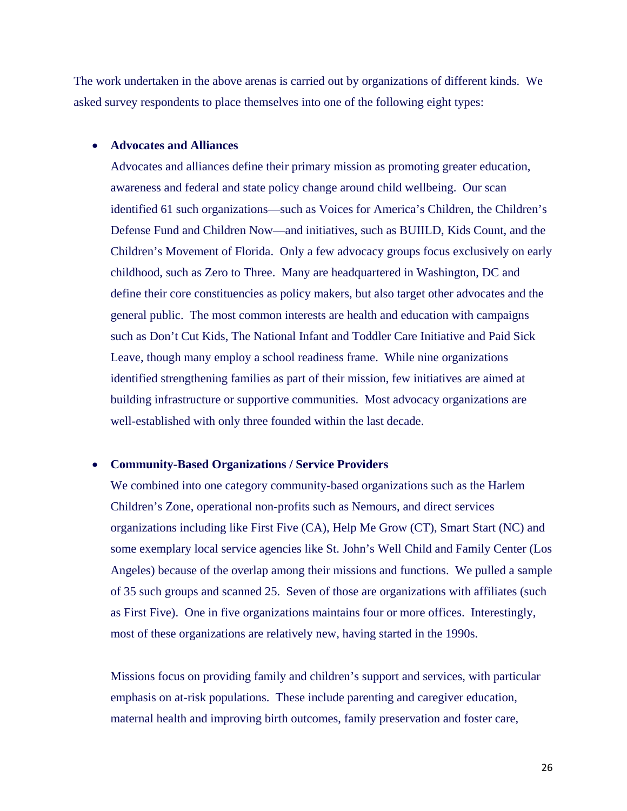The work undertaken in the above arenas is carried out by organizations of different kinds. We asked survey respondents to place themselves into one of the following eight types:

#### **Advocates and Alliances**

Advocates and alliances define their primary mission as promoting greater education, awareness and federal and state policy change around child wellbeing. Our scan identified 61 such organizations—such as Voices for America's Children, the Children's Defense Fund and Children Now—and initiatives, such as BUIILD, Kids Count, and the Children's Movement of Florida. Only a few advocacy groups focus exclusively on early childhood, such as Zero to Three. Many are headquartered in Washington, DC and define their core constituencies as policy makers, but also target other advocates and the general public. The most common interests are health and education with campaigns such as Don't Cut Kids, The National Infant and Toddler Care Initiative and Paid Sick Leave, though many employ a school readiness frame. While nine organizations identified strengthening families as part of their mission, few initiatives are aimed at building infrastructure or supportive communities. Most advocacy organizations are well-established with only three founded within the last decade.

#### **Community-Based Organizations / Service Providers**

We combined into one category community-based organizations such as the Harlem Children's Zone, operational non-profits such as Nemours, and direct services organizations including like First Five (CA), Help Me Grow (CT), Smart Start (NC) and some exemplary local service agencies like St. John's Well Child and Family Center (Los Angeles) because of the overlap among their missions and functions. We pulled a sample of 35 such groups and scanned 25. Seven of those are organizations with affiliates (such as First Five). One in five organizations maintains four or more offices. Interestingly, most of these organizations are relatively new, having started in the 1990s.

Missions focus on providing family and children's support and services, with particular emphasis on at-risk populations. These include parenting and caregiver education, maternal health and improving birth outcomes, family preservation and foster care,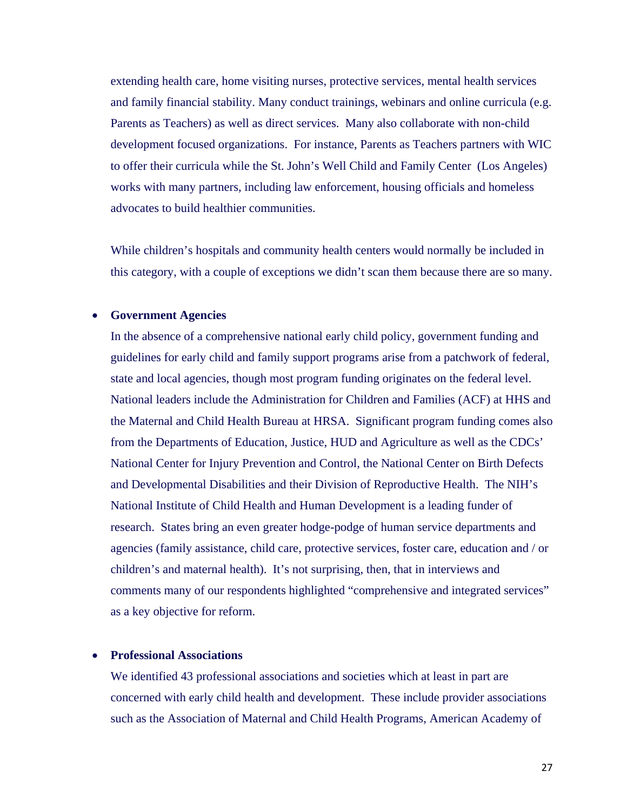extending health care, home visiting nurses, protective services, mental health services and family financial stability. Many conduct trainings, webinars and online curricula (e.g. Parents as Teachers) as well as direct services. Many also collaborate with non-child development focused organizations. For instance, Parents as Teachers partners with WIC to offer their curricula while the St. John's Well Child and Family Center (Los Angeles) works with many partners, including law enforcement, housing officials and homeless advocates to build healthier communities.

While children's hospitals and community health centers would normally be included in this category, with a couple of exceptions we didn't scan them because there are so many.

#### **Government Agencies**

In the absence of a comprehensive national early child policy, government funding and guidelines for early child and family support programs arise from a patchwork of federal, state and local agencies, though most program funding originates on the federal level. National leaders include the Administration for Children and Families (ACF) at HHS and the Maternal and Child Health Bureau at HRSA. Significant program funding comes also from the Departments of Education, Justice, HUD and Agriculture as well as the CDCs' National Center for Injury Prevention and Control, the National Center on Birth Defects and Developmental Disabilities and their Division of Reproductive Health. The NIH's National Institute of Child Health and Human Development is a leading funder of research. States bring an even greater hodge-podge of human service departments and agencies (family assistance, child care, protective services, foster care, education and / or children's and maternal health). It's not surprising, then, that in interviews and comments many of our respondents highlighted "comprehensive and integrated services" as a key objective for reform.

#### **Professional Associations**

We identified 43 professional associations and societies which at least in part are concerned with early child health and development. These include provider associations such as the Association of Maternal and Child Health Programs, American Academy of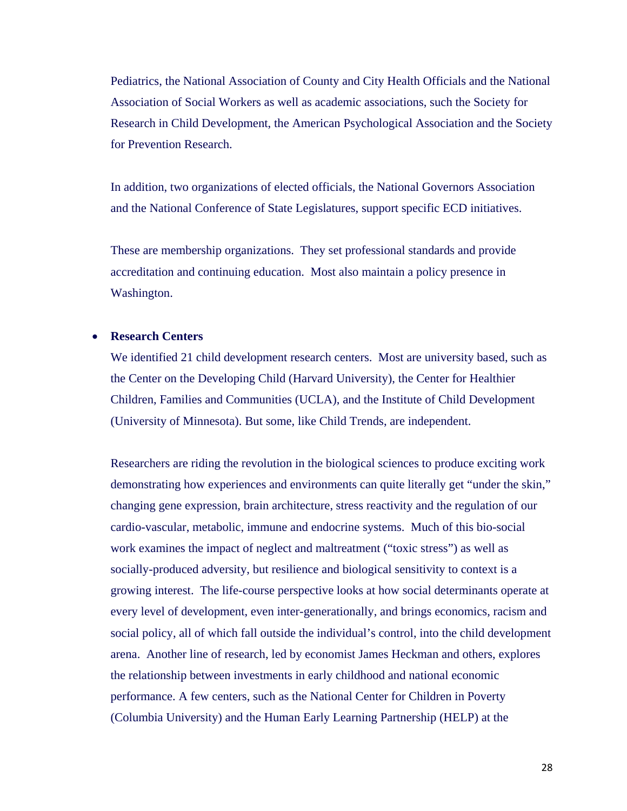Pediatrics, the National Association of County and City Health Officials and the National Association of Social Workers as well as academic associations, such the Society for Research in Child Development, the American Psychological Association and the Society for Prevention Research.

In addition, two organizations of elected officials, the National Governors Association and the National Conference of State Legislatures, support specific ECD initiatives.

These are membership organizations. They set professional standards and provide accreditation and continuing education. Most also maintain a policy presence in Washington.

#### **Research Centers**

We identified 21 child development research centers. Most are university based, such as the Center on the Developing Child (Harvard University), the Center for Healthier Children, Families and Communities (UCLA), and the Institute of Child Development (University of Minnesota). But some, like Child Trends, are independent.

Researchers are riding the revolution in the biological sciences to produce exciting work demonstrating how experiences and environments can quite literally get "under the skin," changing gene expression, brain architecture, stress reactivity and the regulation of our cardio-vascular, metabolic, immune and endocrine systems. Much of this bio-social work examines the impact of neglect and maltreatment ("toxic stress") as well as socially-produced adversity, but resilience and biological sensitivity to context is a growing interest. The life-course perspective looks at how social determinants operate at every level of development, even inter-generationally, and brings economics, racism and social policy, all of which fall outside the individual's control, into the child development arena. Another line of research, led by economist James Heckman and others, explores the relationship between investments in early childhood and national economic performance. A few centers, such as the National Center for Children in Poverty (Columbia University) and the Human Early Learning Partnership (HELP) at the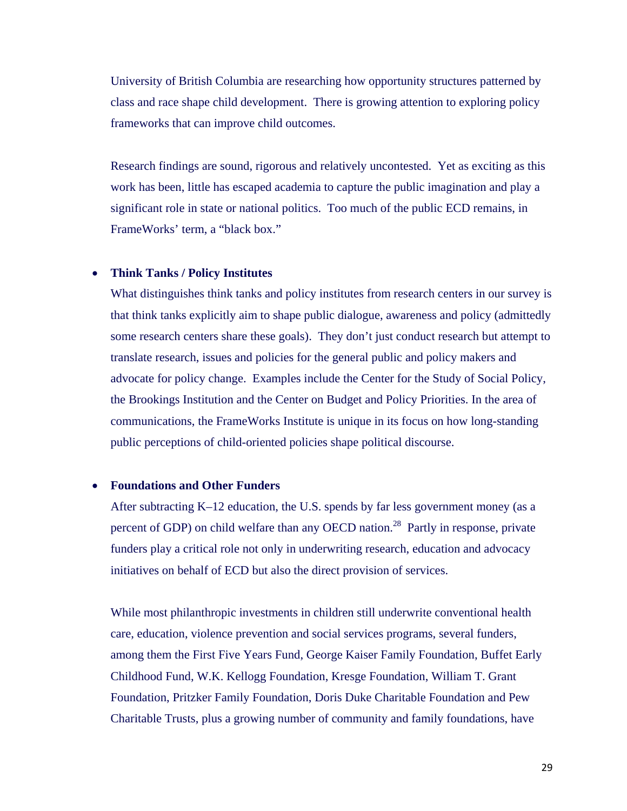University of British Columbia are researching how opportunity structures patterned by class and race shape child development. There is growing attention to exploring policy frameworks that can improve child outcomes.

Research findings are sound, rigorous and relatively uncontested. Yet as exciting as this work has been, little has escaped academia to capture the public imagination and play a significant role in state or national politics. Too much of the public ECD remains, in FrameWorks' term, a "black box."

#### **Think Tanks / Policy Institutes**

What distinguishes think tanks and policy institutes from research centers in our survey is that think tanks explicitly aim to shape public dialogue, awareness and policy (admittedly some research centers share these goals). They don't just conduct research but attempt to translate research, issues and policies for the general public and policy makers and advocate for policy change. Examples include the Center for the Study of Social Policy, the Brookings Institution and the Center on Budget and Policy Priorities. In the area of communications, the FrameWorks Institute is unique in its focus on how long-standing public perceptions of child-oriented policies shape political discourse.

#### **Foundations and Other Funders**

After subtracting K–12 education, the U.S. spends by far less government money (as a percent of GDP) on child welfare than any OECD nation.<sup>28</sup> Partly in response, private funders play a critical role not only in underwriting research, education and advocacy initiatives on behalf of ECD but also the direct provision of services.

While most philanthropic investments in children still underwrite conventional health care, education, violence prevention and social services programs, several funders, among them the First Five Years Fund, George Kaiser Family Foundation, Buffet Early Childhood Fund, W.K. Kellogg Foundation, Kresge Foundation, William T. Grant Foundation, Pritzker Family Foundation, Doris Duke Charitable Foundation and Pew Charitable Trusts, plus a growing number of community and family foundations, have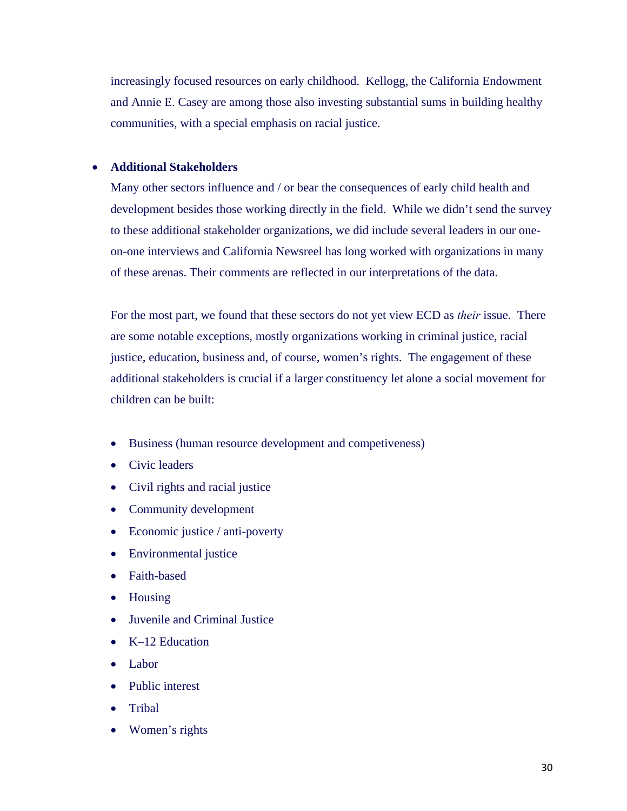increasingly focused resources on early childhood. Kellogg, the California Endowment and Annie E. Casey are among those also investing substantial sums in building healthy communities, with a special emphasis on racial justice.

#### **Additional Stakeholders**

Many other sectors influence and / or bear the consequences of early child health and development besides those working directly in the field. While we didn't send the survey to these additional stakeholder organizations, we did include several leaders in our oneon-one interviews and California Newsreel has long worked with organizations in many of these arenas. Their comments are reflected in our interpretations of the data.

For the most part, we found that these sectors do not yet view ECD as *their* issue. There are some notable exceptions, mostly organizations working in criminal justice, racial justice, education, business and, of course, women's rights. The engagement of these additional stakeholders is crucial if a larger constituency let alone a social movement for children can be built:

- Business (human resource development and competiveness)
- Civic leaders
- Civil rights and racial justice
- Community development
- Economic justice / anti-poverty
- Environmental justice
- Faith-based
- Housing
- Juvenile and Criminal Justice
- $\bullet$  K–12 Education
- Labor
- Public interest
- Tribal
- Women's rights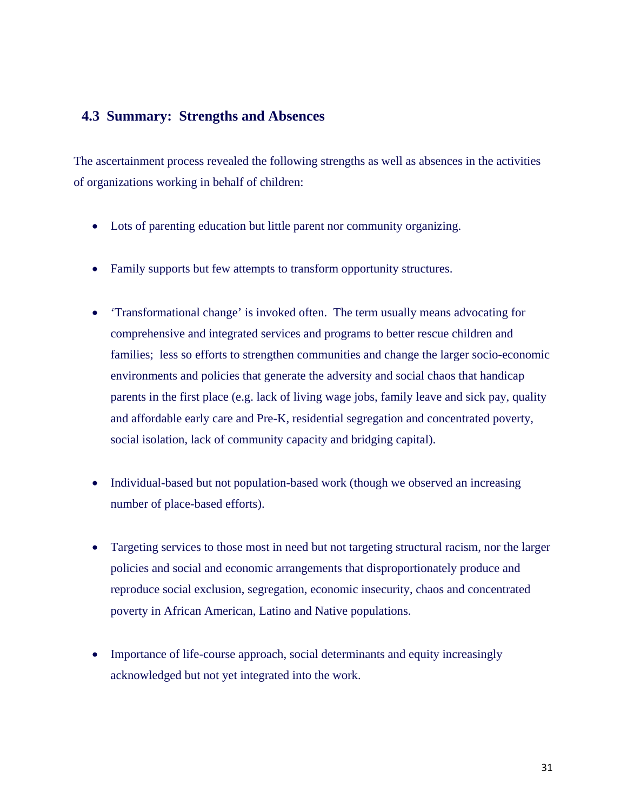# **4.3 Summary: Strengths and Absences**

The ascertainment process revealed the following strengths as well as absences in the activities of organizations working in behalf of children:

- Lots of parenting education but little parent nor community organizing.
- Family supports but few attempts to transform opportunity structures.
- 'Transformational change' is invoked often. The term usually means advocating for comprehensive and integrated services and programs to better rescue children and families; less so efforts to strengthen communities and change the larger socio-economic environments and policies that generate the adversity and social chaos that handicap parents in the first place (e.g. lack of living wage jobs, family leave and sick pay, quality and affordable early care and Pre-K, residential segregation and concentrated poverty, social isolation, lack of community capacity and bridging capital).
- Individual-based but not population-based work (though we observed an increasing number of place-based efforts).
- Targeting services to those most in need but not targeting structural racism, nor the larger policies and social and economic arrangements that disproportionately produce and reproduce social exclusion, segregation, economic insecurity, chaos and concentrated poverty in African American, Latino and Native populations.
- Importance of life-course approach, social determinants and equity increasingly acknowledged but not yet integrated into the work.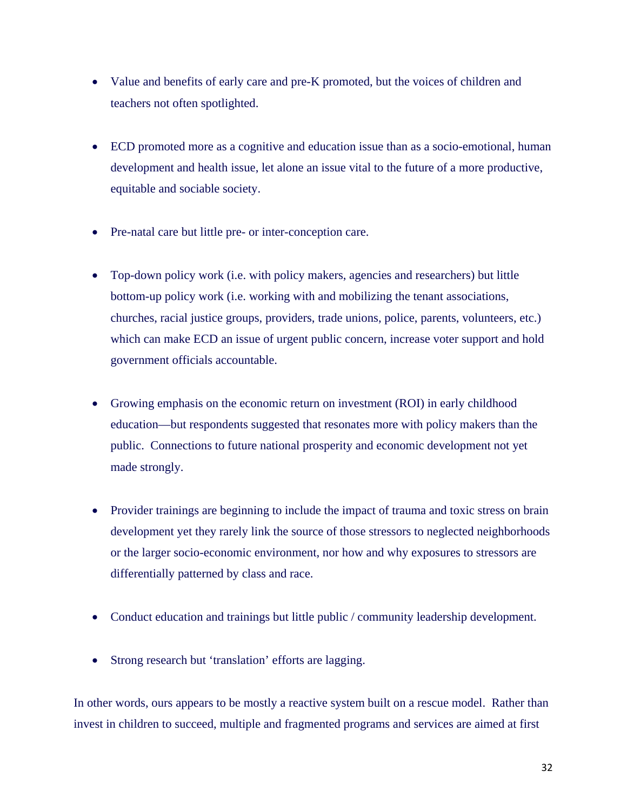- Value and benefits of early care and pre-K promoted, but the voices of children and teachers not often spotlighted.
- ECD promoted more as a cognitive and education issue than as a socio-emotional, human development and health issue, let alone an issue vital to the future of a more productive, equitable and sociable society.
- Pre-natal care but little pre- or inter-conception care.
- Top-down policy work (i.e. with policy makers, agencies and researchers) but little bottom-up policy work (i.e. working with and mobilizing the tenant associations, churches, racial justice groups, providers, trade unions, police, parents, volunteers, etc.) which can make ECD an issue of urgent public concern, increase voter support and hold government officials accountable.
- Growing emphasis on the economic return on investment (ROI) in early childhood education—but respondents suggested that resonates more with policy makers than the public. Connections to future national prosperity and economic development not yet made strongly.
- Provider trainings are beginning to include the impact of trauma and toxic stress on brain development yet they rarely link the source of those stressors to neglected neighborhoods or the larger socio-economic environment, nor how and why exposures to stressors are differentially patterned by class and race.
- Conduct education and trainings but little public / community leadership development.
- Strong research but 'translation' efforts are lagging.

In other words, ours appears to be mostly a reactive system built on a rescue model. Rather than invest in children to succeed, multiple and fragmented programs and services are aimed at first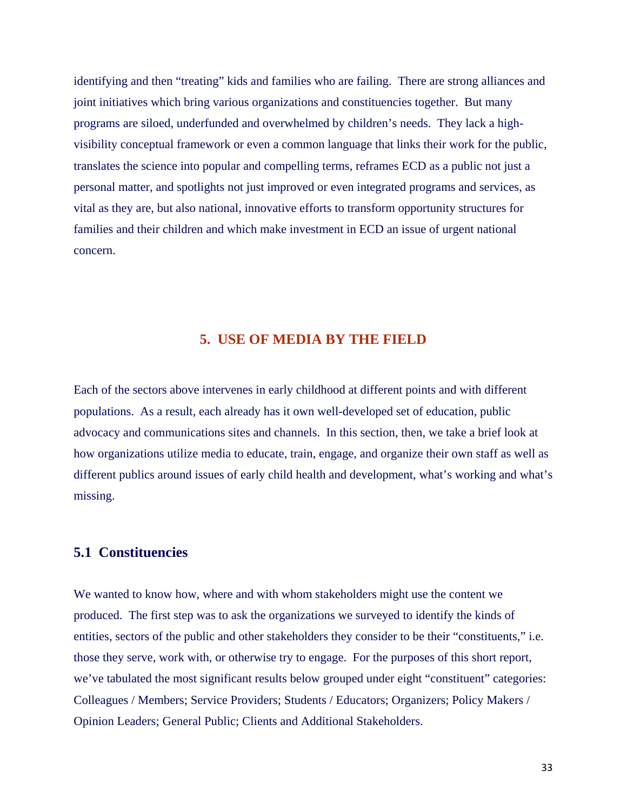identifying and then "treating" kids and families who are failing. There are strong alliances and joint initiatives which bring various organizations and constituencies together. But many programs are siloed, underfunded and overwhelmed by children's needs. They lack a highvisibility conceptual framework or even a common language that links their work for the public, translates the science into popular and compelling terms, reframes ECD as a public not just a personal matter, and spotlights not just improved or even integrated programs and services, as vital as they are, but also national, innovative efforts to transform opportunity structures for families and their children and which make investment in ECD an issue of urgent national concern.

# **5. USE OF MEDIA BY THE FIELD**

Each of the sectors above intervenes in early childhood at different points and with different populations. As a result, each already has it own well-developed set of education, public advocacy and communications sites and channels. In this section, then, we take a brief look at how organizations utilize media to educate, train, engage, and organize their own staff as well as different publics around issues of early child health and development, what's working and what's missing.

#### **5.1 Constituencies**

We wanted to know how, where and with whom stakeholders might use the content we produced. The first step was to ask the organizations we surveyed to identify the kinds of entities, sectors of the public and other stakeholders they consider to be their "constituents," i.e. those they serve, work with, or otherwise try to engage. For the purposes of this short report, we've tabulated the most significant results below grouped under eight "constituent" categories: Colleagues / Members; Service Providers; Students / Educators; Organizers; Policy Makers / Opinion Leaders; General Public; Clients and Additional Stakeholders.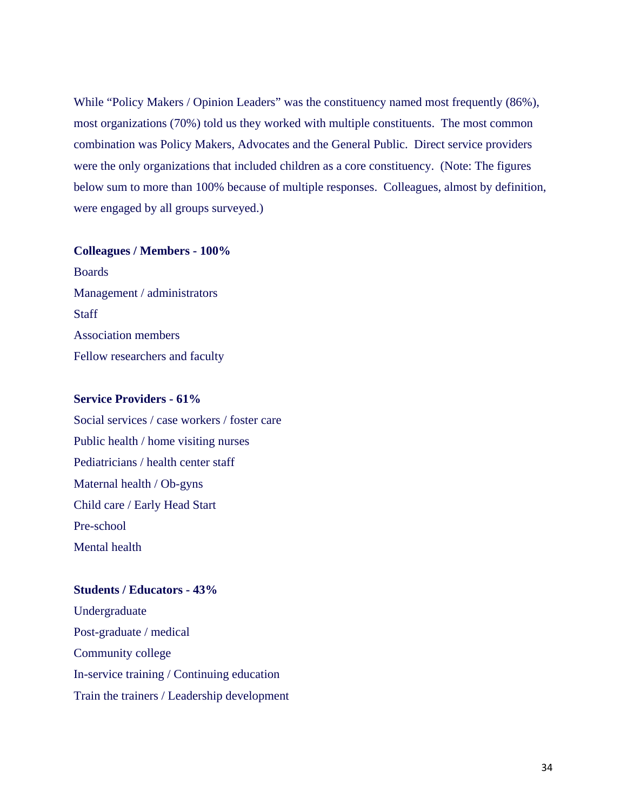While "Policy Makers / Opinion Leaders" was the constituency named most frequently (86%), most organizations (70%) told us they worked with multiple constituents. The most common combination was Policy Makers, Advocates and the General Public. Direct service providers were the only organizations that included children as a core constituency. (Note: The figures below sum to more than 100% because of multiple responses. Colleagues, almost by definition, were engaged by all groups surveyed.)

#### **Colleagues / Members - 100%**

Boards Management / administrators **Staff** Association members Fellow researchers and faculty

#### **Service Providers - 61%**

Social services / case workers / foster care Public health / home visiting nurses Pediatricians / health center staff Maternal health / Ob-gyns Child care / Early Head Start Pre-school Mental health

#### **Students / Educators - 43%**

Undergraduate Post-graduate / medical Community college In-service training / Continuing education Train the trainers / Leadership development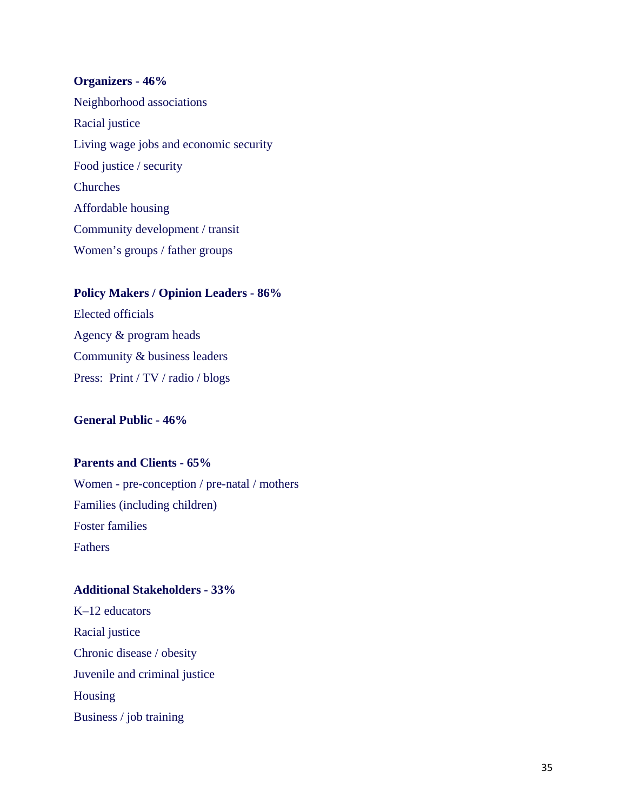#### **Organizers - 46%**

Neighborhood associations Racial justice Living wage jobs and economic security Food justice / security Churches Affordable housing Community development / transit Women's groups / father groups

#### **Policy Makers / Opinion Leaders - 86%**

Elected officials Agency & program heads Community & business leaders Press: Print / TV / radio / blogs

#### **General Public - 46%**

#### **Parents and Clients - 65%**

Women - pre-conception / pre-natal / mothers Families (including children) Foster families Fathers

#### **Additional Stakeholders - 33%**

K–12 educators Racial justice Chronic disease / obesity Juvenile and criminal justice Housing Business / job training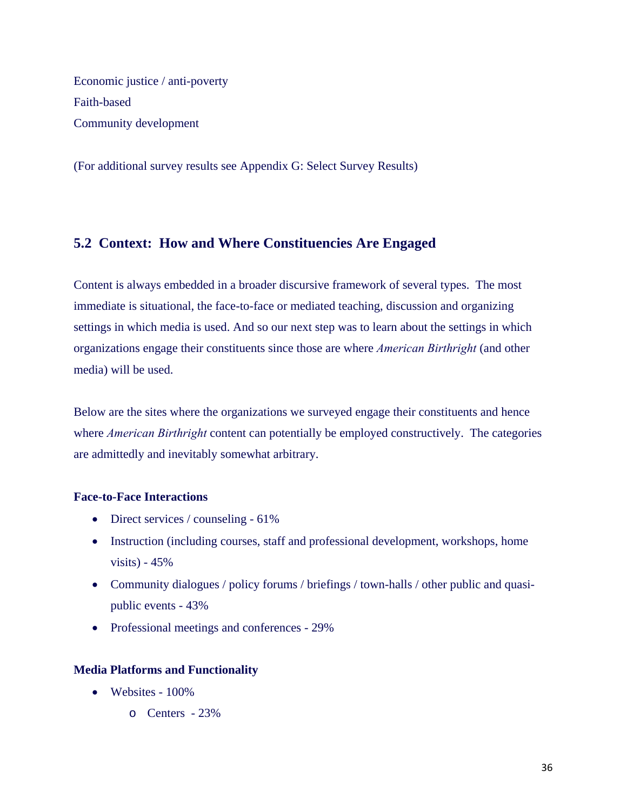Economic justice / anti-poverty Faith-based Community development

(For additional survey results see Appendix G: Select Survey Results)

# **5.2 Context: How and Where Constituencies Are Engaged**

Content is always embedded in a broader discursive framework of several types. The most immediate is situational, the face-to-face or mediated teaching, discussion and organizing settings in which media is used. And so our next step was to learn about the settings in which organizations engage their constituents since those are where *American Birthright* (and other media) will be used.

Below are the sites where the organizations we surveyed engage their constituents and hence where *American Birthright* content can potentially be employed constructively. The categories are admittedly and inevitably somewhat arbitrary.

#### **Face-to-Face Interactions**

- Direct services / counseling 61%
- Instruction (including courses, staff and professional development, workshops, home visits) -  $45%$
- Community dialogues / policy forums / briefings / town-halls / other public and quasipublic events - 43%
- Professional meetings and conferences 29%

#### **Media Platforms and Functionality**

- $\bullet$  Websites 100%
	- o Centers 23%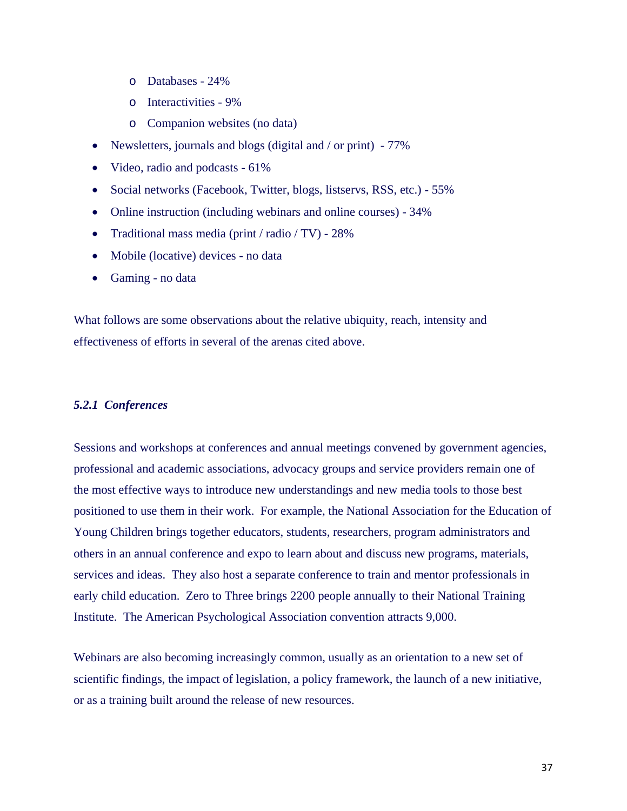- o Databases 24%
- o Interactivities 9%
- o Companion websites (no data)
- Newsletters, journals and blogs (digital and / or print) 77%
- Video, radio and podcasts 61%
- Social networks (Facebook, Twitter, blogs, listservs, RSS, etc.) 55%
- Online instruction (including webinars and online courses) 34%
- Traditional mass media (print / radio / TV) 28%
- Mobile (locative) devices no data
- Gaming no data

What follows are some observations about the relative ubiquity, reach, intensity and effectiveness of efforts in several of the arenas cited above.

#### *5.2.1 Conferences*

Sessions and workshops at conferences and annual meetings convened by government agencies, professional and academic associations, advocacy groups and service providers remain one of the most effective ways to introduce new understandings and new media tools to those best positioned to use them in their work. For example, the National Association for the Education of Young Children brings together educators, students, researchers, program administrators and others in an annual conference and expo to learn about and discuss new programs, materials, services and ideas. They also host a separate conference to train and mentor professionals in early child education. Zero to Three brings 2200 people annually to their National Training Institute. The American Psychological Association convention attracts 9,000.

Webinars are also becoming increasingly common, usually as an orientation to a new set of scientific findings, the impact of legislation, a policy framework, the launch of a new initiative, or as a training built around the release of new resources.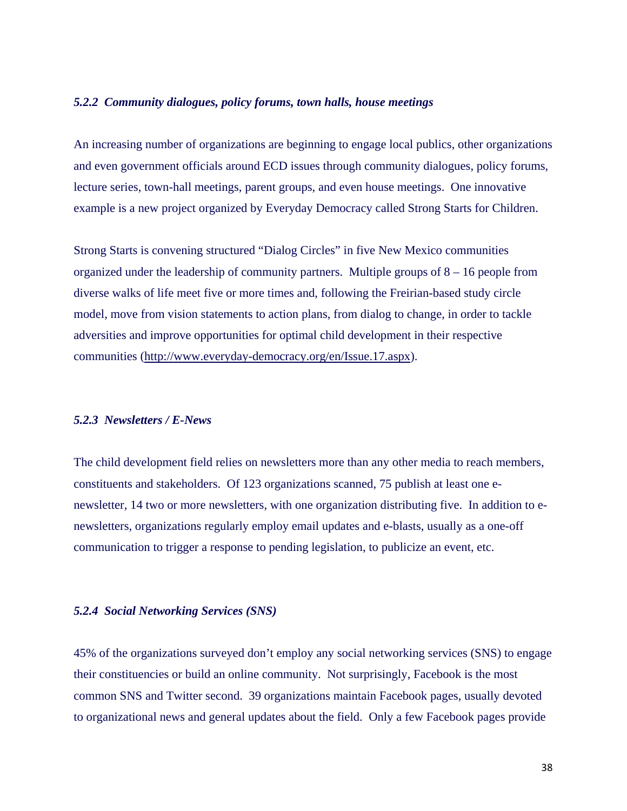#### *5.2.2 Community dialogues, policy forums, town halls, house meetings*

An increasing number of organizations are beginning to engage local publics, other organizations and even government officials around ECD issues through community dialogues, policy forums, lecture series, town-hall meetings, parent groups, and even house meetings. One innovative example is a new project organized by Everyday Democracy called Strong Starts for Children.

Strong Starts is convening structured "Dialog Circles" in five New Mexico communities organized under the leadership of community partners. Multiple groups of 8 – 16 people from diverse walks of life meet five or more times and, following the Freirian-based study circle model, move from vision statements to action plans, from dialog to change, in order to tackle adversities and improve opportunities for optimal child development in their respective communities (http://www.everyday-democracy.org/en/Issue.17.aspx).

#### *5.2.3 Newsletters / E-News*

The child development field relies on newsletters more than any other media to reach members, constituents and stakeholders. Of 123 organizations scanned, 75 publish at least one enewsletter, 14 two or more newsletters, with one organization distributing five. In addition to enewsletters, organizations regularly employ email updates and e-blasts, usually as a one-off communication to trigger a response to pending legislation, to publicize an event, etc.

#### *5.2.4 Social Networking Services (SNS)*

45% of the organizations surveyed don't employ any social networking services (SNS) to engage their constituencies or build an online community. Not surprisingly, Facebook is the most common SNS and Twitter second. 39 organizations maintain Facebook pages, usually devoted to organizational news and general updates about the field. Only a few Facebook pages provide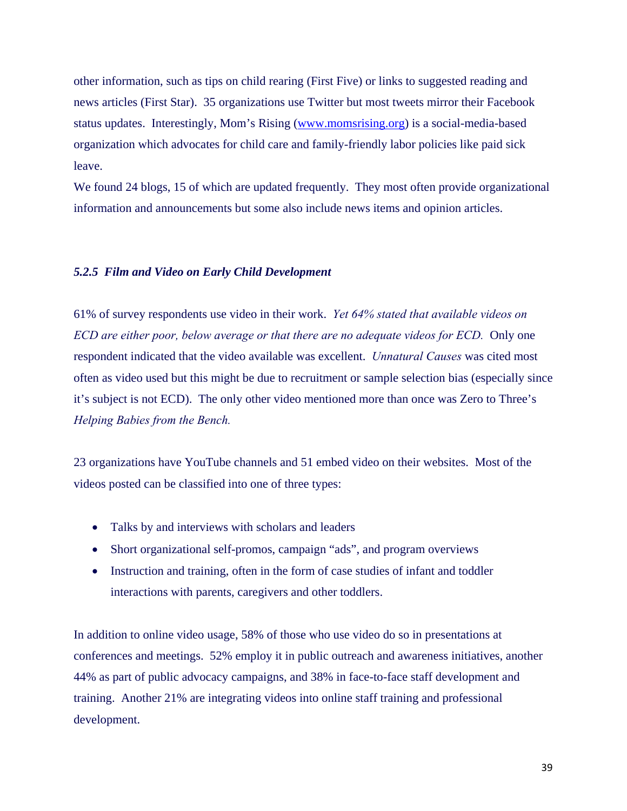other information, such as tips on child rearing (First Five) or links to suggested reading and news articles (First Star). 35 organizations use Twitter but most tweets mirror their Facebook status updates. Interestingly, Mom's Rising (www.momsrising.org) is a social-media-based organization which advocates for child care and family-friendly labor policies like paid sick leave.

We found 24 blogs, 15 of which are updated frequently. They most often provide organizational information and announcements but some also include news items and opinion articles.

#### *5.2.5 Film and Video on Early Child Development*

61% of survey respondents use video in their work. *Yet 64% stated that available videos on ECD are either poor, below average or that there are no adequate videos for ECD.* Only one respondent indicated that the video available was excellent. *Unnatural Causes* was cited most often as video used but this might be due to recruitment or sample selection bias (especially since it's subject is not ECD). The only other video mentioned more than once was Zero to Three's *Helping Babies from the Bench.* 

23 organizations have YouTube channels and 51 embed video on their websites. Most of the videos posted can be classified into one of three types:

- Talks by and interviews with scholars and leaders
- Short organizational self-promos, campaign "ads", and program overviews
- Instruction and training, often in the form of case studies of infant and toddler interactions with parents, caregivers and other toddlers.

In addition to online video usage, 58% of those who use video do so in presentations at conferences and meetings. 52% employ it in public outreach and awareness initiatives, another 44% as part of public advocacy campaigns, and 38% in face-to-face staff development and training. Another 21% are integrating videos into online staff training and professional development.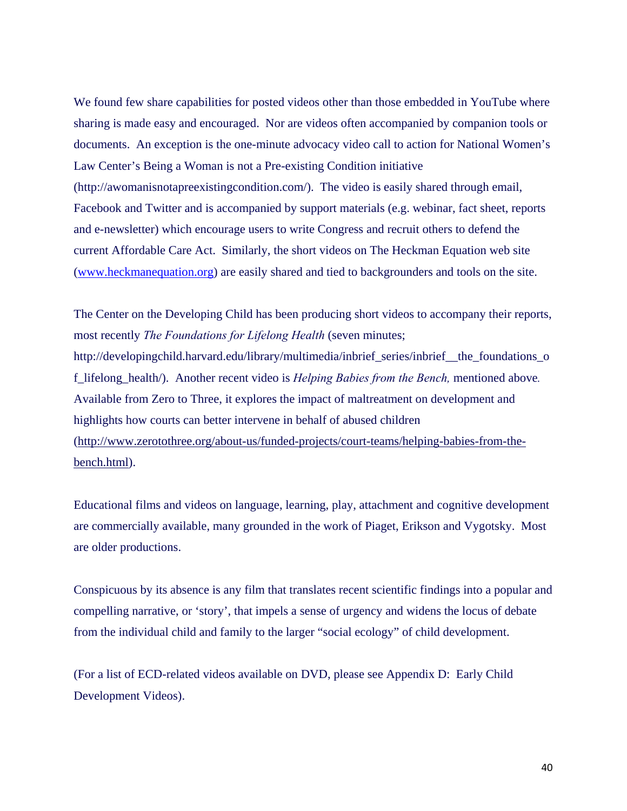We found few share capabilities for posted videos other than those embedded in YouTube where sharing is made easy and encouraged. Nor are videos often accompanied by companion tools or documents. An exception is the one-minute advocacy video call to action for National Women's Law Center's Being a Woman is not a Pre-existing Condition initiative (http://awomanisnotapreexistingcondition.com/). The video is easily shared through email, Facebook and Twitter and is accompanied by support materials (e.g. webinar, fact sheet, reports and e-newsletter) which encourage users to write Congress and recruit others to defend the current Affordable Care Act. Similarly, the short videos on The Heckman Equation web site (www.heckmanequation.org) are easily shared and tied to backgrounders and tools on the site.

The Center on the Developing Child has been producing short videos to accompany their reports, most recently *The Foundations for Lifelong Health* (seven minutes; http://developingchild.harvard.edu/library/multimedia/inbrief\_series/inbrief\_\_the\_foundations\_o f\_lifelong\_health/). Another recent video is *Helping Babies from the Bench,* mentioned above*.* Available from Zero to Three, it explores the impact of maltreatment on development and highlights how courts can better intervene in behalf of abused children (http://www.zerotothree.org/about-us/funded-projects/court-teams/helping-babies-from-thebench.html).

Educational films and videos on language, learning, play, attachment and cognitive development are commercially available, many grounded in the work of Piaget, Erikson and Vygotsky. Most are older productions.

Conspicuous by its absence is any film that translates recent scientific findings into a popular and compelling narrative, or 'story', that impels a sense of urgency and widens the locus of debate from the individual child and family to the larger "social ecology" of child development.

(For a list of ECD-related videos available on DVD, please see Appendix D: Early Child Development Videos).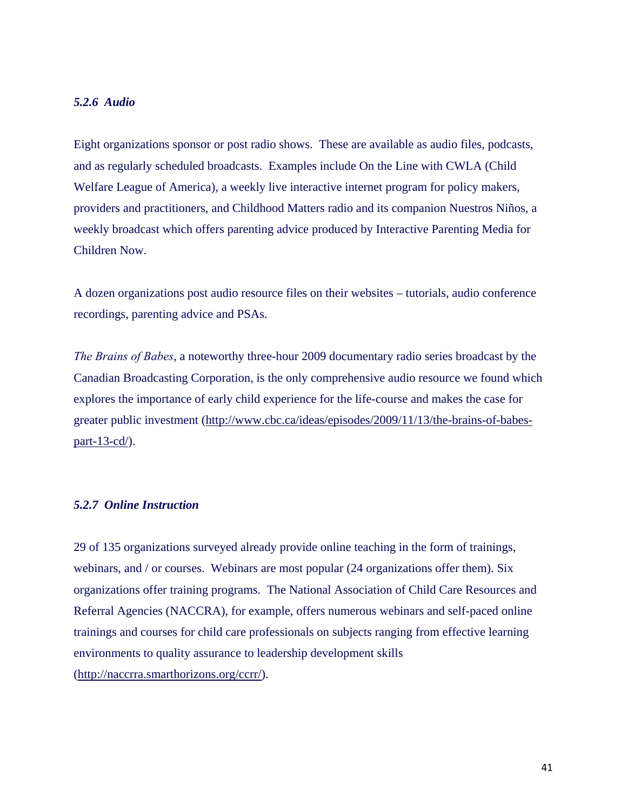## *5.2.6 Audio*

Eight organizations sponsor or post radio shows. These are available as audio files, podcasts, and as regularly scheduled broadcasts. Examples include On the Line with CWLA (Child Welfare League of America), a weekly live interactive internet program for policy makers, providers and practitioners, and Childhood Matters radio and its companion Nuestros Niños, a weekly broadcast which offers parenting advice produced by Interactive Parenting Media for Children Now.

A dozen organizations post audio resource files on their websites – tutorials, audio conference recordings, parenting advice and PSAs.

*The Brains of Babes*, a noteworthy three-hour 2009 documentary radio series broadcast by the Canadian Broadcasting Corporation, is the only comprehensive audio resource we found which explores the importance of early child experience for the life-course and makes the case for greater public investment (http://www.cbc.ca/ideas/episodes/2009/11/13/the-brains-of-babespart-13-cd/).

#### *5.2.7 Online Instruction*

29 of 135 organizations surveyed already provide online teaching in the form of trainings, webinars, and / or courses. Webinars are most popular (24 organizations offer them). Six organizations offer training programs. The National Association of Child Care Resources and Referral Agencies (NACCRA), for example, offers numerous webinars and self-paced online trainings and courses for child care professionals on subjects ranging from effective learning environments to quality assurance to leadership development skills (http://naccrra.smarthorizons.org/ccrr/).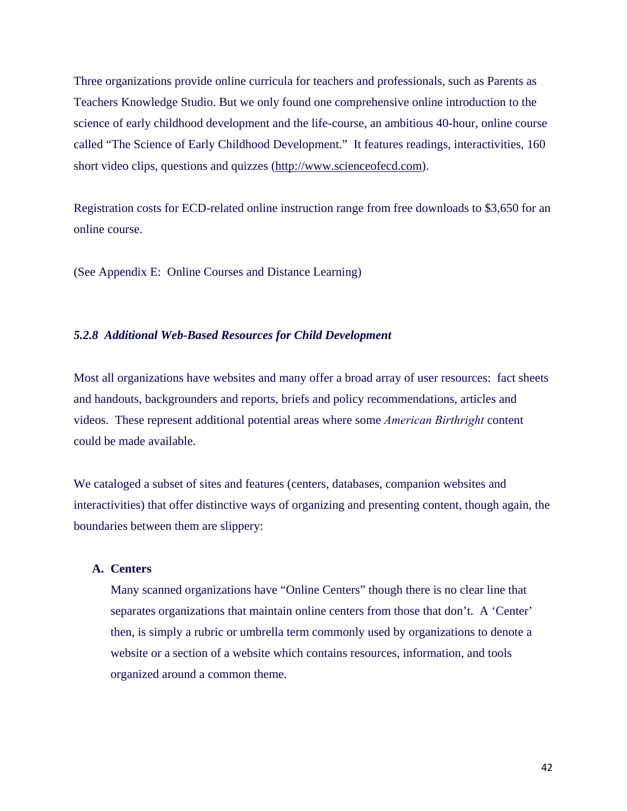Three organizations provide online curricula for teachers and professionals, such as Parents as Teachers Knowledge Studio. But we only found one comprehensive online introduction to the science of early childhood development and the life-course, an ambitious 40-hour, online course called "The Science of Early Childhood Development." It features readings, interactivities, 160 short video clips, questions and quizzes (http://www.scienceofecd.com).

Registration costs for ECD-related online instruction range from free downloads to \$3,650 for an online course.

(See Appendix E: Online Courses and Distance Learning)

#### *5.2.8 Additional Web-Based Resources for Child Development*

Most all organizations have websites and many offer a broad array of user resources: fact sheets and handouts, backgrounders and reports, briefs and policy recommendations, articles and videos. These represent additional potential areas where some *American Birthright* content could be made available.

We cataloged a subset of sites and features (centers, databases, companion websites and interactivities) that offer distinctive ways of organizing and presenting content, though again, the boundaries between them are slippery:

## **A. Centers**

Many scanned organizations have "Online Centers" though there is no clear line that separates organizations that maintain online centers from those that don't. A 'Center' then, is simply a rubric or umbrella term commonly used by organizations to denote a website or a section of a website which contains resources, information, and tools organized around a common theme.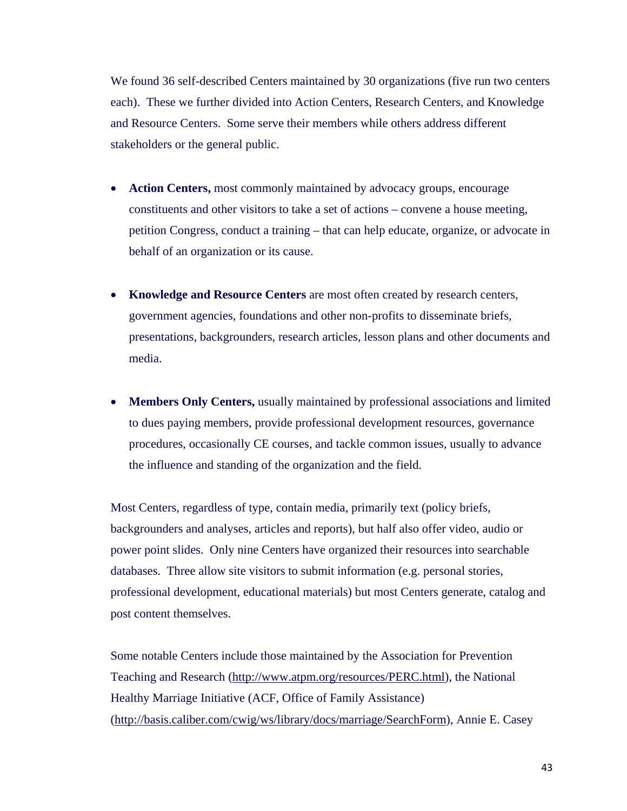We found 36 self-described Centers maintained by 30 organizations (five run two centers each). These we further divided into Action Centers, Research Centers, and Knowledge and Resource Centers. Some serve their members while others address different stakeholders or the general public.

- **Action Centers,** most commonly maintained by advocacy groups, encourage constituents and other visitors to take a set of actions – convene a house meeting, petition Congress, conduct a training – that can help educate, organize, or advocate in behalf of an organization or its cause.
- **Knowledge and Resource Centers** are most often created by research centers, government agencies, foundations and other non-profits to disseminate briefs, presentations, backgrounders, research articles, lesson plans and other documents and media.
- **Members Only Centers,** usually maintained by professional associations and limited to dues paying members, provide professional development resources, governance procedures, occasionally CE courses, and tackle common issues, usually to advance the influence and standing of the organization and the field.

Most Centers, regardless of type, contain media, primarily text (policy briefs, backgrounders and analyses, articles and reports), but half also offer video, audio or power point slides. Only nine Centers have organized their resources into searchable databases. Three allow site visitors to submit information (e.g. personal stories, professional development, educational materials) but most Centers generate, catalog and post content themselves.

Some notable Centers include those maintained by the Association for Prevention Teaching and Research (http://www.atpm.org/resources/PERC.html), the National Healthy Marriage Initiative (ACF, Office of Family Assistance) (http://basis.caliber.com/cwig/ws/library/docs/marriage/SearchForm), Annie E. Casey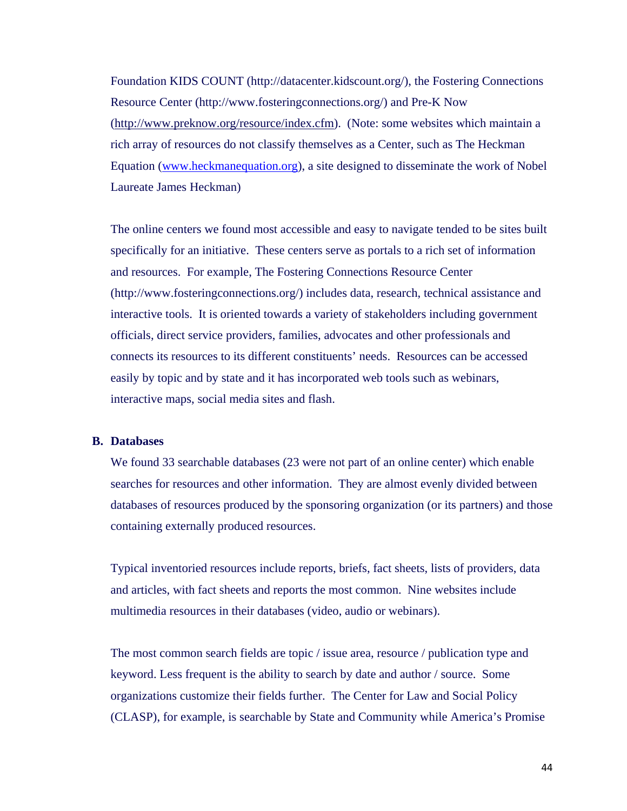Foundation KIDS COUNT (http://datacenter.kidscount.org/), the Fostering Connections Resource Center (http://www.fosteringconnections.org/) and Pre-K Now (http://www.preknow.org/resource/index.cfm). (Note: some websites which maintain a rich array of resources do not classify themselves as a Center, such as The Heckman Equation (www.heckmanequation.org), a site designed to disseminate the work of Nobel Laureate James Heckman)

The online centers we found most accessible and easy to navigate tended to be sites built specifically for an initiative. These centers serve as portals to a rich set of information and resources. For example, The Fostering Connections Resource Center (http://www.fosteringconnections.org/) includes data, research, technical assistance and interactive tools. It is oriented towards a variety of stakeholders including government officials, direct service providers, families, advocates and other professionals and connects its resources to its different constituents' needs. Resources can be accessed easily by topic and by state and it has incorporated web tools such as webinars, interactive maps, social media sites and flash.

#### **B. Databases**

We found 33 searchable databases (23 were not part of an online center) which enable searches for resources and other information. They are almost evenly divided between databases of resources produced by the sponsoring organization (or its partners) and those containing externally produced resources.

Typical inventoried resources include reports, briefs, fact sheets, lists of providers, data and articles, with fact sheets and reports the most common. Nine websites include multimedia resources in their databases (video, audio or webinars).

The most common search fields are topic / issue area, resource / publication type and keyword. Less frequent is the ability to search by date and author / source. Some organizations customize their fields further. The Center for Law and Social Policy (CLASP), for example, is searchable by State and Community while America's Promise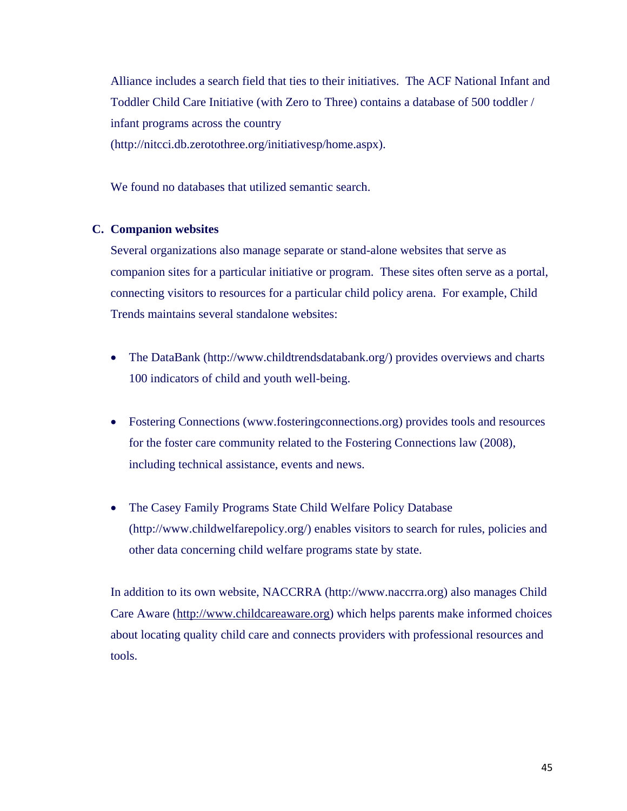Alliance includes a search field that ties to their initiatives. The ACF National Infant and Toddler Child Care Initiative (with Zero to Three) contains a database of 500 toddler / infant programs across the country (http://nitcci.db.zerotothree.org/initiativesp/home.aspx).

We found no databases that utilized semantic search.

#### **C. Companion websites**

Several organizations also manage separate or stand-alone websites that serve as companion sites for a particular initiative or program. These sites often serve as a portal, connecting visitors to resources for a particular child policy arena. For example, Child Trends maintains several standalone websites:

- The DataBank (http://www.childtrendsdatabank.org/) provides overviews and charts 100 indicators of child and youth well-being.
- Fostering Connections (www.fosteringconnections.org) provides tools and resources for the foster care community related to the Fostering Connections law (2008), including technical assistance, events and news.
- The Casey Family Programs State Child Welfare Policy Database (http://www.childwelfarepolicy.org/) enables visitors to search for rules, policies and other data concerning child welfare programs state by state.

In addition to its own website, NACCRRA (http://www.naccrra.org) also manages Child Care Aware (http://www.childcareaware.org) which helps parents make informed choices about locating quality child care and connects providers with professional resources and tools.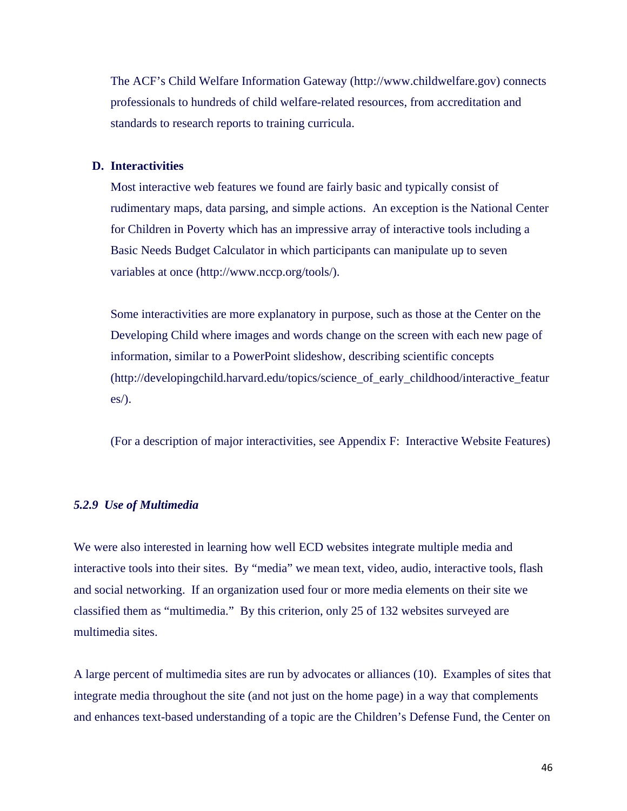The ACF's Child Welfare Information Gateway (http://www.childwelfare.gov) connects professionals to hundreds of child welfare-related resources, from accreditation and standards to research reports to training curricula.

#### **D. Interactivities**

Most interactive web features we found are fairly basic and typically consist of rudimentary maps, data parsing, and simple actions. An exception is the National Center for Children in Poverty which has an impressive array of interactive tools including a Basic Needs Budget Calculator in which participants can manipulate up to seven variables at once (http://www.nccp.org/tools/).

Some interactivities are more explanatory in purpose, such as those at the Center on the Developing Child where images and words change on the screen with each new page of information, similar to a PowerPoint slideshow, describing scientific concepts (http://developingchild.harvard.edu/topics/science\_of\_early\_childhood/interactive\_featur es/).

(For a description of major interactivities, see Appendix F: Interactive Website Features)

#### *5.2.9 Use of Multimedia*

We were also interested in learning how well ECD websites integrate multiple media and interactive tools into their sites. By "media" we mean text, video, audio, interactive tools, flash and social networking. If an organization used four or more media elements on their site we classified them as "multimedia." By this criterion, only 25 of 132 websites surveyed are multimedia sites.

A large percent of multimedia sites are run by advocates or alliances (10). Examples of sites that integrate media throughout the site (and not just on the home page) in a way that complements and enhances text-based understanding of a topic are the Children's Defense Fund, the Center on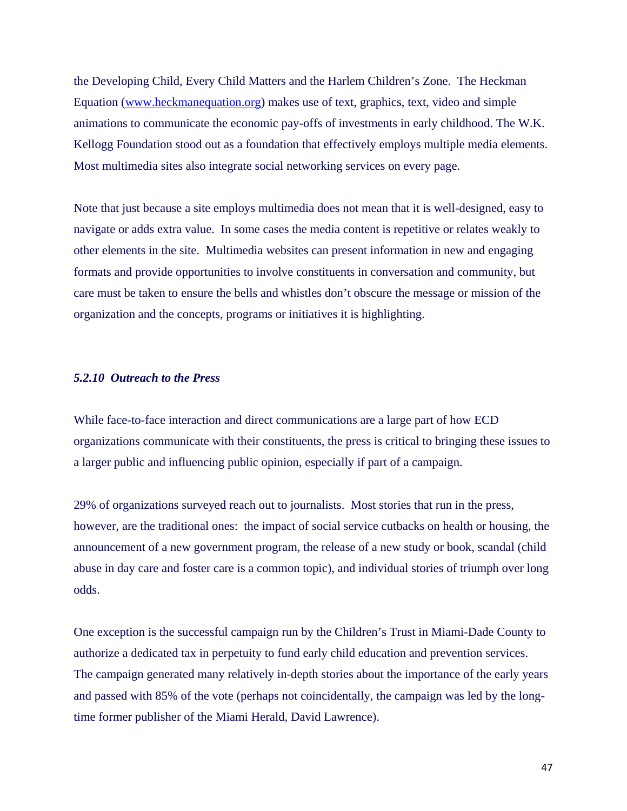the Developing Child, Every Child Matters and the Harlem Children's Zone. The Heckman Equation (www.heckmanequation.org) makes use of text, graphics, text, video and simple animations to communicate the economic pay-offs of investments in early childhood. The W.K. Kellogg Foundation stood out as a foundation that effectively employs multiple media elements. Most multimedia sites also integrate social networking services on every page.

Note that just because a site employs multimedia does not mean that it is well-designed, easy to navigate or adds extra value. In some cases the media content is repetitive or relates weakly to other elements in the site. Multimedia websites can present information in new and engaging formats and provide opportunities to involve constituents in conversation and community, but care must be taken to ensure the bells and whistles don't obscure the message or mission of the organization and the concepts, programs or initiatives it is highlighting.

#### *5.2.10 Outreach to the Press*

While face-to-face interaction and direct communications are a large part of how ECD organizations communicate with their constituents, the press is critical to bringing these issues to a larger public and influencing public opinion, especially if part of a campaign.

29% of organizations surveyed reach out to journalists. Most stories that run in the press, however, are the traditional ones: the impact of social service cutbacks on health or housing, the announcement of a new government program, the release of a new study or book, scandal (child abuse in day care and foster care is a common topic), and individual stories of triumph over long odds.

One exception is the successful campaign run by the Children's Trust in Miami-Dade County to authorize a dedicated tax in perpetuity to fund early child education and prevention services. The campaign generated many relatively in-depth stories about the importance of the early years and passed with 85% of the vote (perhaps not coincidentally, the campaign was led by the longtime former publisher of the Miami Herald, David Lawrence).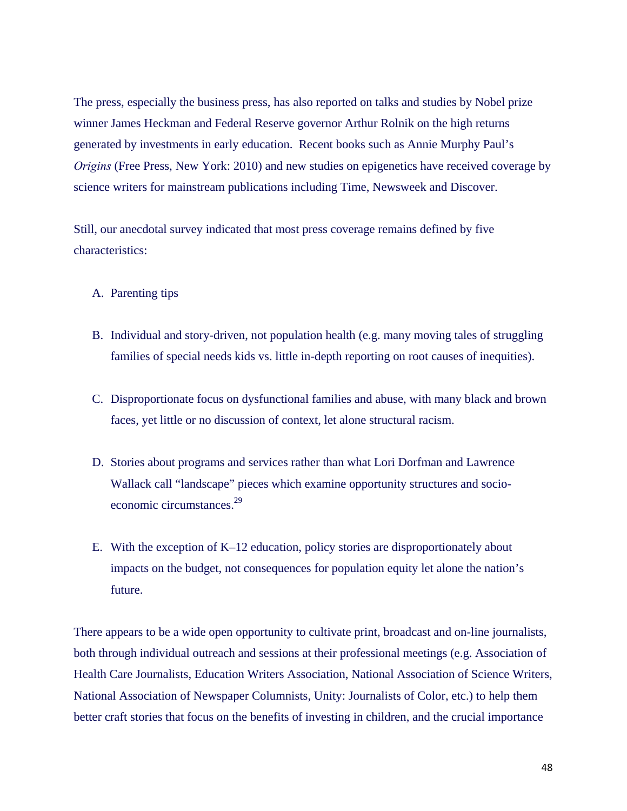The press, especially the business press, has also reported on talks and studies by Nobel prize winner James Heckman and Federal Reserve governor Arthur Rolnik on the high returns generated by investments in early education. Recent books such as Annie Murphy Paul's *Origins* (Free Press, New York: 2010) and new studies on epigenetics have received coverage by science writers for mainstream publications including Time, Newsweek and Discover.

Still, our anecdotal survey indicated that most press coverage remains defined by five characteristics:

- A. Parenting tips
- B. Individual and story-driven, not population health (e.g. many moving tales of struggling families of special needs kids vs. little in-depth reporting on root causes of inequities).
- C. Disproportionate focus on dysfunctional families and abuse, with many black and brown faces, yet little or no discussion of context, let alone structural racism.
- D. Stories about programs and services rather than what Lori Dorfman and Lawrence Wallack call "landscape" pieces which examine opportunity structures and socioeconomic circumstances.<sup>29</sup>
- E. With the exception of K–12 education, policy stories are disproportionately about impacts on the budget, not consequences for population equity let alone the nation's future.

There appears to be a wide open opportunity to cultivate print, broadcast and on-line journalists, both through individual outreach and sessions at their professional meetings (e.g. Association of Health Care Journalists, Education Writers Association, National Association of Science Writers, National Association of Newspaper Columnists, Unity: Journalists of Color, etc.) to help them better craft stories that focus on the benefits of investing in children, and the crucial importance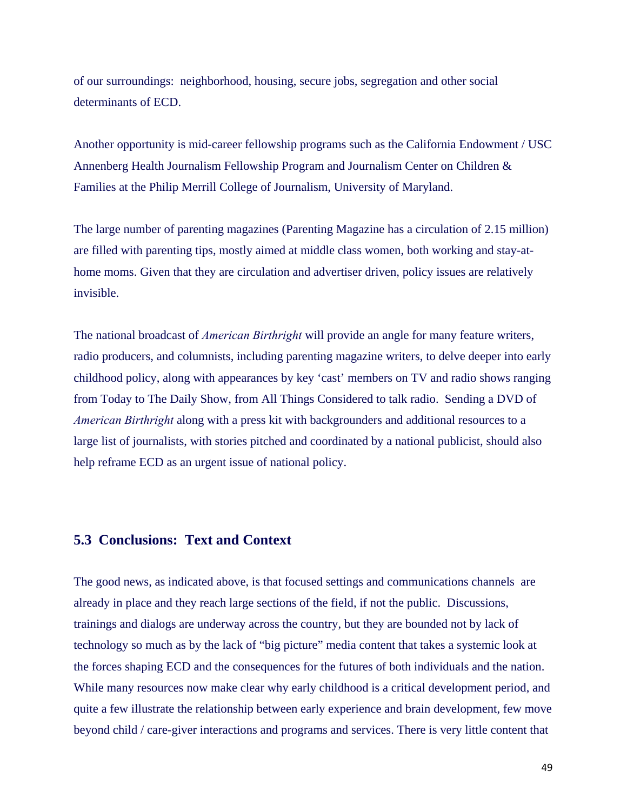of our surroundings: neighborhood, housing, secure jobs, segregation and other social determinants of ECD.

Another opportunity is mid-career fellowship programs such as the California Endowment / USC Annenberg Health Journalism Fellowship Program and Journalism Center on Children & Families at the Philip Merrill College of Journalism, University of Maryland.

The large number of parenting magazines (Parenting Magazine has a circulation of 2.15 million) are filled with parenting tips, mostly aimed at middle class women, both working and stay-athome moms. Given that they are circulation and advertiser driven, policy issues are relatively invisible.

The national broadcast of *American Birthright* will provide an angle for many feature writers, radio producers, and columnists, including parenting magazine writers, to delve deeper into early childhood policy, along with appearances by key 'cast' members on TV and radio shows ranging from Today to The Daily Show, from All Things Considered to talk radio. Sending a DVD of *American Birthright* along with a press kit with backgrounders and additional resources to a large list of journalists, with stories pitched and coordinated by a national publicist, should also help reframe ECD as an urgent issue of national policy.

## **5.3 Conclusions: Text and Context**

The good news, as indicated above, is that focused settings and communications channels are already in place and they reach large sections of the field, if not the public. Discussions, trainings and dialogs are underway across the country, but they are bounded not by lack of technology so much as by the lack of "big picture" media content that takes a systemic look at the forces shaping ECD and the consequences for the futures of both individuals and the nation. While many resources now make clear why early childhood is a critical development period, and quite a few illustrate the relationship between early experience and brain development, few move beyond child / care-giver interactions and programs and services. There is very little content that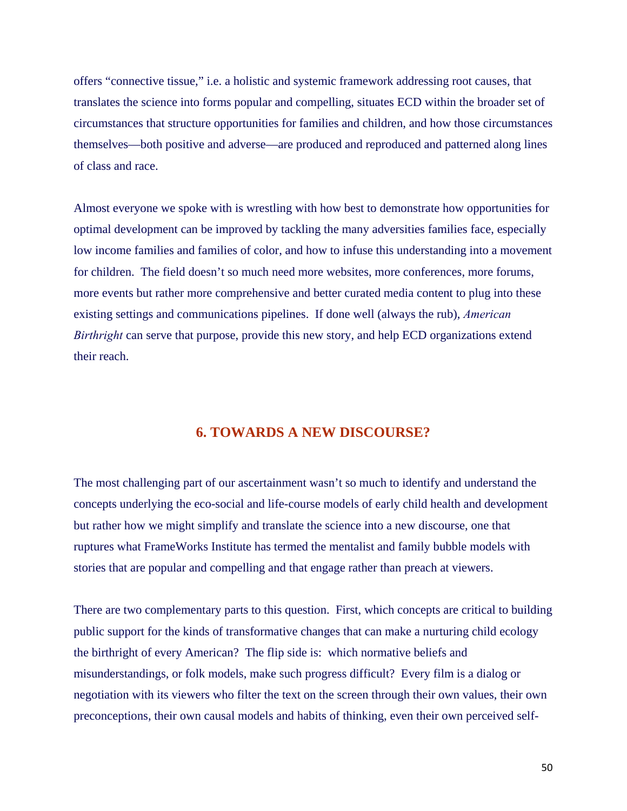offers "connective tissue," i.e. a holistic and systemic framework addressing root causes, that translates the science into forms popular and compelling, situates ECD within the broader set of circumstances that structure opportunities for families and children, and how those circumstances themselves—both positive and adverse—are produced and reproduced and patterned along lines of class and race.

Almost everyone we spoke with is wrestling with how best to demonstrate how opportunities for optimal development can be improved by tackling the many adversities families face, especially low income families and families of color, and how to infuse this understanding into a movement for children. The field doesn't so much need more websites, more conferences, more forums, more events but rather more comprehensive and better curated media content to plug into these existing settings and communications pipelines. If done well (always the rub), *American Birthright* can serve that purpose, provide this new story, and help ECD organizations extend their reach.

## **6. TOWARDS A NEW DISCOURSE?**

The most challenging part of our ascertainment wasn't so much to identify and understand the concepts underlying the eco-social and life-course models of early child health and development but rather how we might simplify and translate the science into a new discourse, one that ruptures what FrameWorks Institute has termed the mentalist and family bubble models with stories that are popular and compelling and that engage rather than preach at viewers.

There are two complementary parts to this question. First, which concepts are critical to building public support for the kinds of transformative changes that can make a nurturing child ecology the birthright of every American? The flip side is: which normative beliefs and misunderstandings, or folk models, make such progress difficult? Every film is a dialog or negotiation with its viewers who filter the text on the screen through their own values, their own preconceptions, their own causal models and habits of thinking, even their own perceived self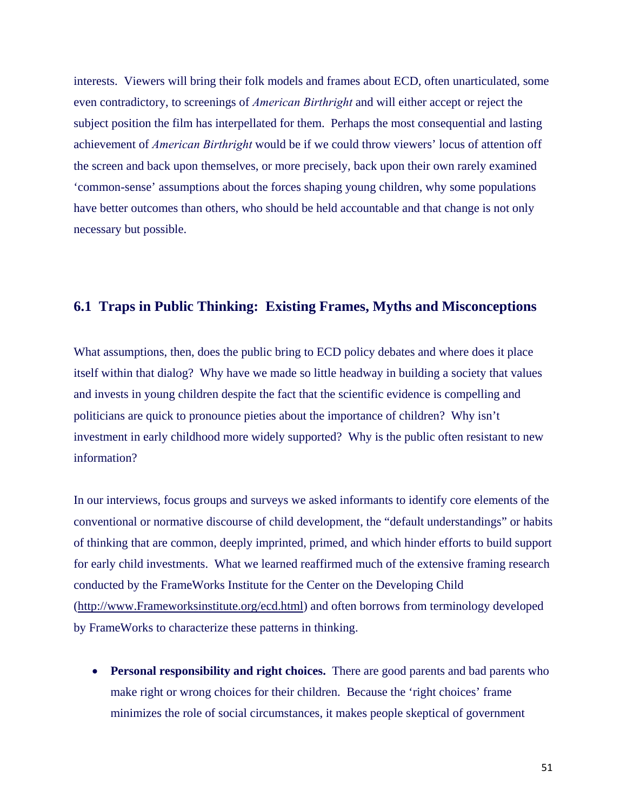interests. Viewers will bring their folk models and frames about ECD, often unarticulated, some even contradictory, to screenings of *American Birthright* and will either accept or reject the subject position the film has interpellated for them. Perhaps the most consequential and lasting achievement of *American Birthright* would be if we could throw viewers' locus of attention off the screen and back upon themselves, or more precisely, back upon their own rarely examined 'common-sense' assumptions about the forces shaping young children, why some populations have better outcomes than others, who should be held accountable and that change is not only necessary but possible.

# **6.1 Traps in Public Thinking: Existing Frames, Myths and Misconceptions**

What assumptions, then, does the public bring to ECD policy debates and where does it place itself within that dialog? Why have we made so little headway in building a society that values and invests in young children despite the fact that the scientific evidence is compelling and politicians are quick to pronounce pieties about the importance of children? Why isn't investment in early childhood more widely supported? Why is the public often resistant to new information?

In our interviews, focus groups and surveys we asked informants to identify core elements of the conventional or normative discourse of child development, the "default understandings" or habits of thinking that are common, deeply imprinted, primed, and which hinder efforts to build support for early child investments. What we learned reaffirmed much of the extensive framing research conducted by the FrameWorks Institute for the Center on the Developing Child (http://www.Frameworksinstitute.org/ecd.html) and often borrows from terminology developed by FrameWorks to characterize these patterns in thinking.

 **Personal responsibility and right choices.** There are good parents and bad parents who make right or wrong choices for their children. Because the 'right choices' frame minimizes the role of social circumstances, it makes people skeptical of government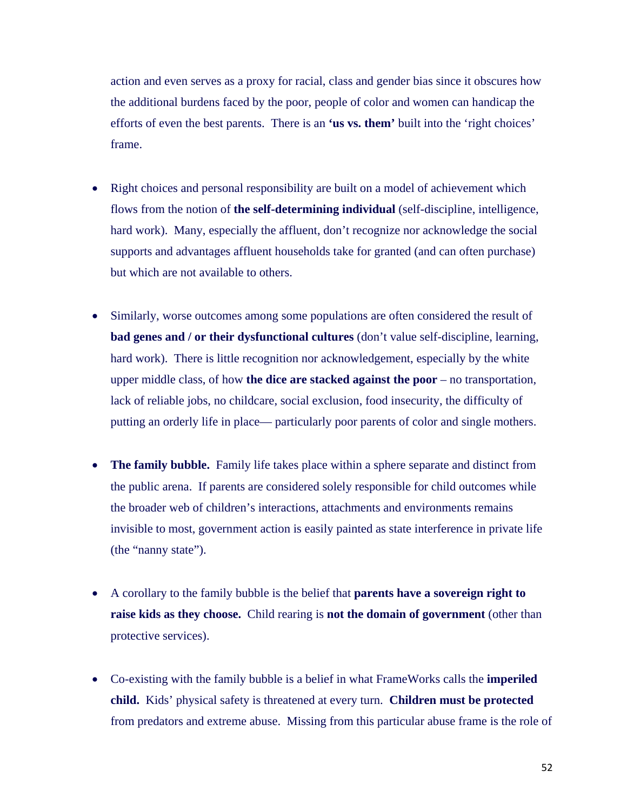action and even serves as a proxy for racial, class and gender bias since it obscures how the additional burdens faced by the poor, people of color and women can handicap the efforts of even the best parents. There is an **'us vs. them'** built into the 'right choices' frame.

- Right choices and personal responsibility are built on a model of achievement which flows from the notion of **the self-determining individual** (self-discipline, intelligence, hard work). Many, especially the affluent, don't recognize nor acknowledge the social supports and advantages affluent households take for granted (and can often purchase) but which are not available to others.
- Similarly, worse outcomes among some populations are often considered the result of **bad genes and / or their dysfunctional cultures** (don't value self-discipline, learning, hard work). There is little recognition nor acknowledgement, especially by the white upper middle class, of how **the dice are stacked against the poor** – no transportation, lack of reliable jobs, no childcare, social exclusion, food insecurity, the difficulty of putting an orderly life in place— particularly poor parents of color and single mothers.
- **The family bubble.** Family life takes place within a sphere separate and distinct from the public arena. If parents are considered solely responsible for child outcomes while the broader web of children's interactions, attachments and environments remains invisible to most, government action is easily painted as state interference in private life (the "nanny state").
- A corollary to the family bubble is the belief that **parents have a sovereign right to raise kids as they choose.** Child rearing is **not the domain of government** (other than protective services).
- Co-existing with the family bubble is a belief in what FrameWorks calls the **imperiled child.** Kids' physical safety is threatened at every turn. **Children must be protected**  from predators and extreme abuse. Missing from this particular abuse frame is the role of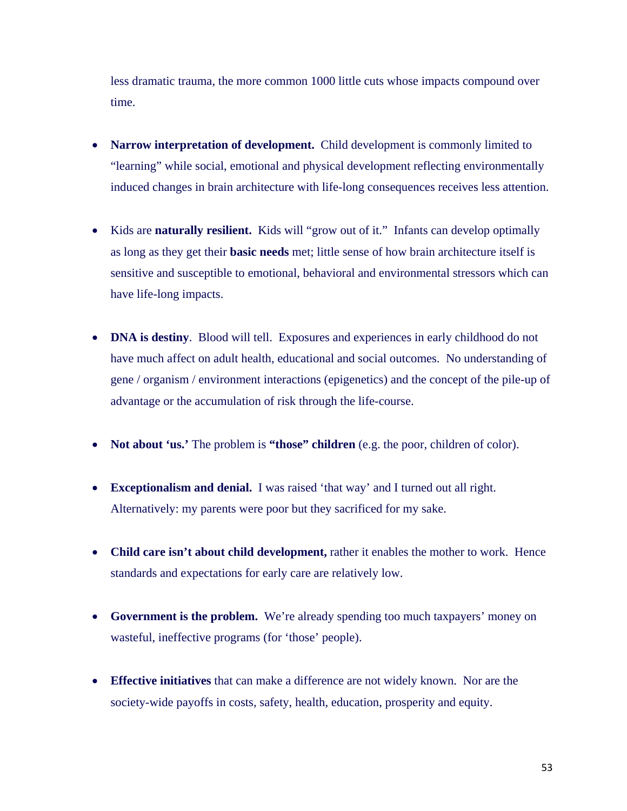less dramatic trauma, the more common 1000 little cuts whose impacts compound over time.

- **Narrow interpretation of development.** Child development is commonly limited to "learning" while social, emotional and physical development reflecting environmentally induced changes in brain architecture with life-long consequences receives less attention.
- Kids are **naturally resilient.** Kids will "grow out of it." Infants can develop optimally as long as they get their **basic needs** met; little sense of how brain architecture itself is sensitive and susceptible to emotional, behavioral and environmental stressors which can have life-long impacts.
- **DNA is destiny**. Blood will tell. Exposures and experiences in early childhood do not have much affect on adult health, educational and social outcomes. No understanding of gene / organism / environment interactions (epigenetics) and the concept of the pile-up of advantage or the accumulation of risk through the life-course.
- **Not about 'us.'** The problem is **"those" children** (e.g. the poor, children of color).
- **Exceptionalism and denial.** I was raised 'that way' and I turned out all right. Alternatively: my parents were poor but they sacrificed for my sake.
- **Child care isn't about child development,** rather it enables the mother to work. Hence standards and expectations for early care are relatively low.
- **Government is the problem.** We're already spending too much taxpayers' money on wasteful, ineffective programs (for 'those' people).
- **Effective initiatives** that can make a difference are not widely known. Nor are the society-wide payoffs in costs, safety, health, education, prosperity and equity.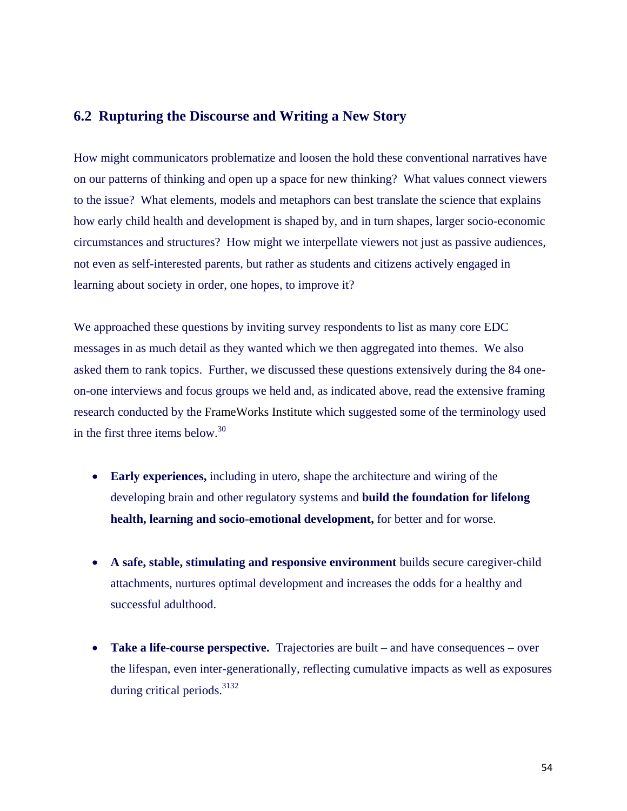## **6.2 Rupturing the Discourse and Writing a New Story**

How might communicators problematize and loosen the hold these conventional narratives have on our patterns of thinking and open up a space for new thinking? What values connect viewers to the issue? What elements, models and metaphors can best translate the science that explains how early child health and development is shaped by, and in turn shapes, larger socio-economic circumstances and structures? How might we interpellate viewers not just as passive audiences, not even as self-interested parents, but rather as students and citizens actively engaged in learning about society in order, one hopes, to improve it?

We approached these questions by inviting survey respondents to list as many core EDC messages in as much detail as they wanted which we then aggregated into themes. We also asked them to rank topics. Further, we discussed these questions extensively during the 84 oneon-one interviews and focus groups we held and, as indicated above, read the extensive framing research conducted by the FrameWorks Institute which suggested some of the terminology used in the first three items below.<sup>30</sup>

- **Early experiences,** including in utero, shape the architecture and wiring of the developing brain and other regulatory systems and **build the foundation for lifelong health, learning and socio-emotional development,** for better and for worse.
- **A safe, stable, stimulating and responsive environment** builds secure caregiver-child attachments, nurtures optimal development and increases the odds for a healthy and successful adulthood.
- **Take a life-course perspective.** Trajectories are built and have consequences over the lifespan, even inter-generationally, reflecting cumulative impacts as well as exposures during critical periods.<sup>3132</sup>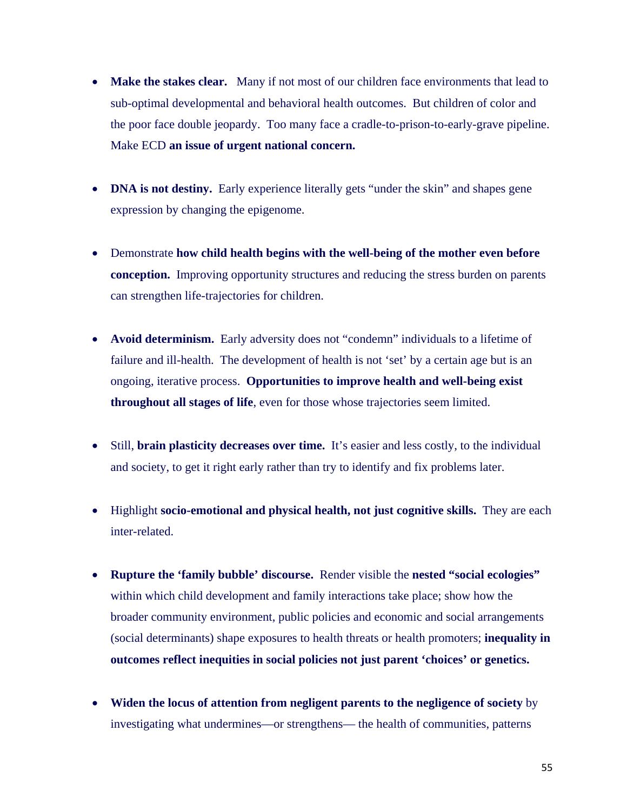- Make the stakes clear. Many if not most of our children face environments that lead to sub-optimal developmental and behavioral health outcomes. But children of color and the poor face double jeopardy. Too many face a cradle-to-prison-to-early-grave pipeline. Make ECD **an issue of urgent national concern.**
- **DNA is not destiny.** Early experience literally gets "under the skin" and shapes gene expression by changing the epigenome.
- Demonstrate **how child health begins with the well-being of the mother even before conception.** Improving opportunity structures and reducing the stress burden on parents can strengthen life-trajectories for children.
- **Avoid determinism.** Early adversity does not "condemn" individuals to a lifetime of failure and ill-health. The development of health is not 'set' by a certain age but is an ongoing, iterative process. **Opportunities to improve health and well-being exist throughout all stages of life**, even for those whose trajectories seem limited.
- Still, **brain plasticity decreases over time.** It's easier and less costly, to the individual and society, to get it right early rather than try to identify and fix problems later.
- Highlight **socio-emotional and physical health, not just cognitive skills.** They are each inter-related.
- **Rupture the 'family bubble' discourse.** Render visible the **nested "social ecologies"** within which child development and family interactions take place; show how the broader community environment, public policies and economic and social arrangements (social determinants) shape exposures to health threats or health promoters; **inequality in outcomes reflect inequities in social policies not just parent 'choices' or genetics.**
- **Widen the locus of attention from negligent parents to the negligence of society** by investigating what undermines—or strengthens— the health of communities, patterns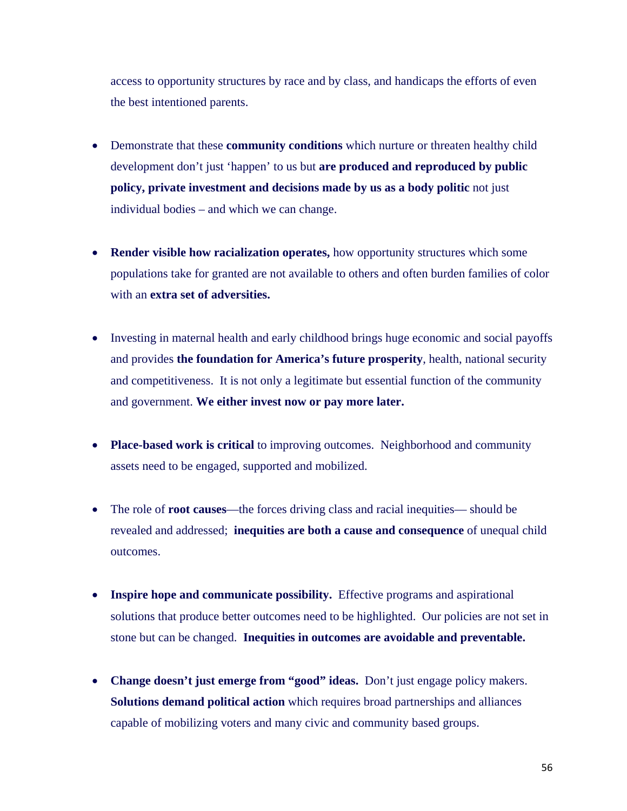access to opportunity structures by race and by class, and handicaps the efforts of even the best intentioned parents.

- Demonstrate that these **community conditions** which nurture or threaten healthy child development don't just 'happen' to us but **are produced and reproduced by public policy, private investment and decisions made by us as a body politic** not just individual bodies – and which we can change.
- **Render visible how racialization operates,** how opportunity structures which some populations take for granted are not available to others and often burden families of color with an **extra set of adversities.**
- Investing in maternal health and early childhood brings huge economic and social payoffs and provides **the foundation for America's future prosperity**, health, national security and competitiveness. It is not only a legitimate but essential function of the community and government. **We either invest now or pay more later.**
- **Place-based work is critical** to improving outcomes. Neighborhood and community assets need to be engaged, supported and mobilized.
- The role of **root causes**—the forces driving class and racial inequities— should be revealed and addressed; **inequities are both a cause and consequence** of unequal child outcomes.
- **Inspire hope and communicate possibility.** Effective programs and aspirational solutions that produce better outcomes need to be highlighted. Our policies are not set in stone but can be changed. **Inequities in outcomes are avoidable and preventable.**
- **Change doesn't just emerge from "good" ideas.** Don't just engage policy makers. **Solutions demand political action** which requires broad partnerships and alliances capable of mobilizing voters and many civic and community based groups.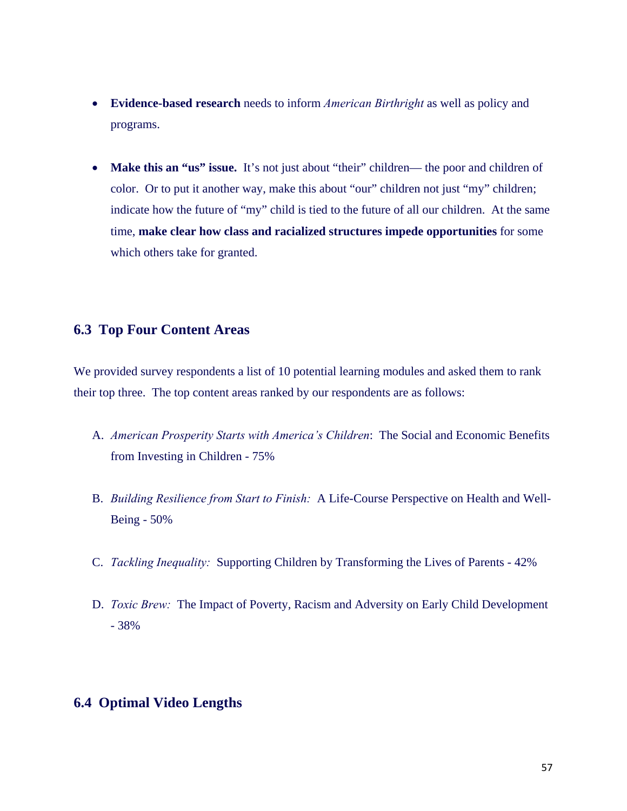- **Evidence-based research** needs to inform *American Birthright* as well as policy and programs.
- **Make this an "us" issue.** It's not just about "their" children— the poor and children of color. Or to put it another way, make this about "our" children not just "my" children; indicate how the future of "my" child is tied to the future of all our children. At the same time, **make clear how class and racialized structures impede opportunities** for some which others take for granted.

# **6.3 Top Four Content Areas**

We provided survey respondents a list of 10 potential learning modules and asked them to rank their top three. The top content areas ranked by our respondents are as follows:

- A. *American Prosperity Starts with America's Children*: The Social and Economic Benefits from Investing in Children - 75%
- B. *Building Resilience from Start to Finish:* A Life-Course Perspective on Health and Well-Being - 50%
- C. *Tackling Inequality:* Supporting Children by Transforming the Lives of Parents 42%
- D. *Toxic Brew:* The Impact of Poverty, Racism and Adversity on Early Child Development - 38%

## **6.4 Optimal Video Lengths**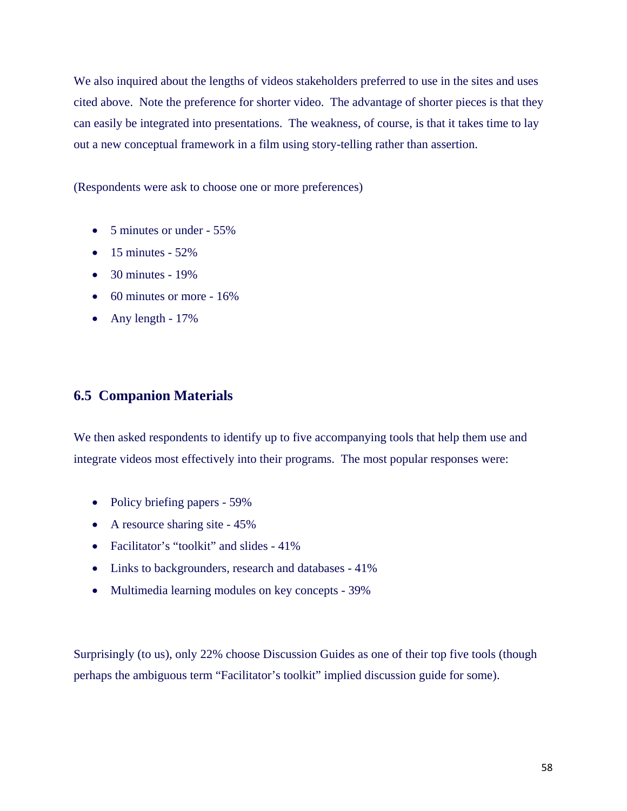We also inquired about the lengths of videos stakeholders preferred to use in the sites and uses cited above. Note the preference for shorter video. The advantage of shorter pieces is that they can easily be integrated into presentations. The weakness, of course, is that it takes time to lay out a new conceptual framework in a film using story-telling rather than assertion.

(Respondents were ask to choose one or more preferences)

- 5 minutes or under 55%
- $\bullet$  15 minutes 52%
- $\bullet$  30 minutes 19%
- $\bullet$  60 minutes or more 16%
- Any length  $-17\%$

# **6.5 Companion Materials**

We then asked respondents to identify up to five accompanying tools that help them use and integrate videos most effectively into their programs. The most popular responses were:

- Policy briefing papers 59%
- A resource sharing site 45%
- Facilitator's "toolkit" and slides 41%
- Links to backgrounders, research and databases 41%
- Multimedia learning modules on key concepts 39%

Surprisingly (to us), only 22% choose Discussion Guides as one of their top five tools (though perhaps the ambiguous term "Facilitator's toolkit" implied discussion guide for some).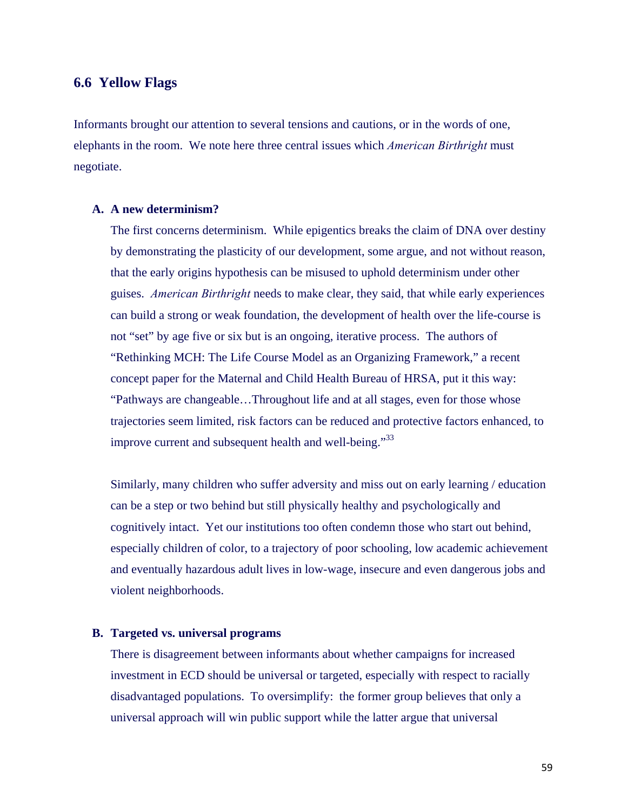# **6.6 Yellow Flags**

Informants brought our attention to several tensions and cautions, or in the words of one, elephants in the room. We note here three central issues which *American Birthright* must negotiate.

#### **A. A new determinism?**

The first concerns determinism. While epigentics breaks the claim of DNA over destiny by demonstrating the plasticity of our development, some argue, and not without reason, that the early origins hypothesis can be misused to uphold determinism under other guises. *American Birthright* needs to make clear, they said, that while early experiences can build a strong or weak foundation, the development of health over the life-course is not "set" by age five or six but is an ongoing, iterative process. The authors of "Rethinking MCH: The Life Course Model as an Organizing Framework," a recent concept paper for the Maternal and Child Health Bureau of HRSA, put it this way: "Pathways are changeable…Throughout life and at all stages, even for those whose trajectories seem limited, risk factors can be reduced and protective factors enhanced, to improve current and subsequent health and well-being."<sup>33</sup>

Similarly, many children who suffer adversity and miss out on early learning / education can be a step or two behind but still physically healthy and psychologically and cognitively intact. Yet our institutions too often condemn those who start out behind, especially children of color, to a trajectory of poor schooling, low academic achievement and eventually hazardous adult lives in low-wage, insecure and even dangerous jobs and violent neighborhoods.

#### **B. Targeted vs. universal programs**

There is disagreement between informants about whether campaigns for increased investment in ECD should be universal or targeted, especially with respect to racially disadvantaged populations. To oversimplify: the former group believes that only a universal approach will win public support while the latter argue that universal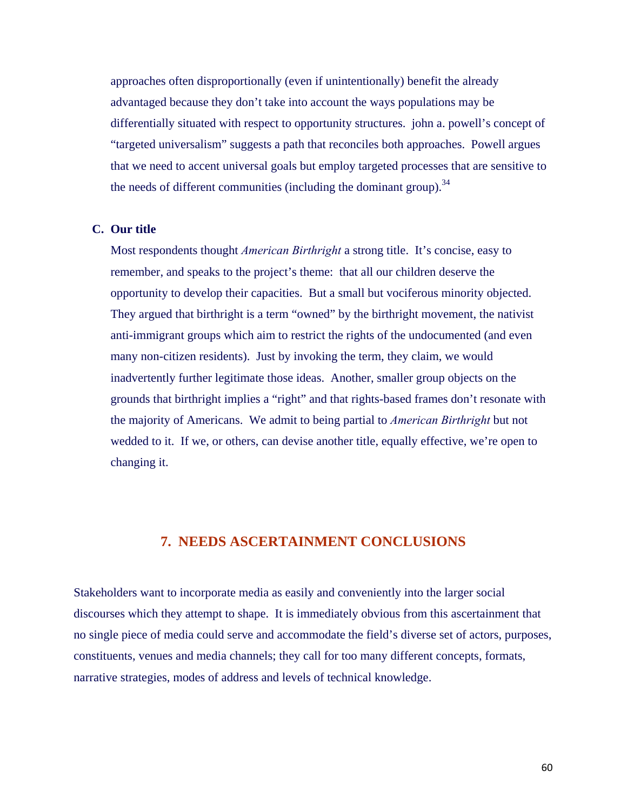approaches often disproportionally (even if unintentionally) benefit the already advantaged because they don't take into account the ways populations may be differentially situated with respect to opportunity structures. john a. powell's concept of "targeted universalism" suggests a path that reconciles both approaches. Powell argues that we need to accent universal goals but employ targeted processes that are sensitive to the needs of different communities (including the dominant group).<sup>34</sup>

#### **C. Our title**

Most respondents thought *American Birthright* a strong title. It's concise, easy to remember, and speaks to the project's theme: that all our children deserve the opportunity to develop their capacities. But a small but vociferous minority objected. They argued that birthright is a term "owned" by the birthright movement, the nativist anti-immigrant groups which aim to restrict the rights of the undocumented (and even many non-citizen residents). Just by invoking the term, they claim, we would inadvertently further legitimate those ideas. Another, smaller group objects on the grounds that birthright implies a "right" and that rights-based frames don't resonate with the majority of Americans. We admit to being partial to *American Birthright* but not wedded to it. If we, or others, can devise another title, equally effective, we're open to changing it.

## **7. NEEDS ASCERTAINMENT CONCLUSIONS**

Stakeholders want to incorporate media as easily and conveniently into the larger social discourses which they attempt to shape. It is immediately obvious from this ascertainment that no single piece of media could serve and accommodate the field's diverse set of actors, purposes, constituents, venues and media channels; they call for too many different concepts, formats, narrative strategies, modes of address and levels of technical knowledge.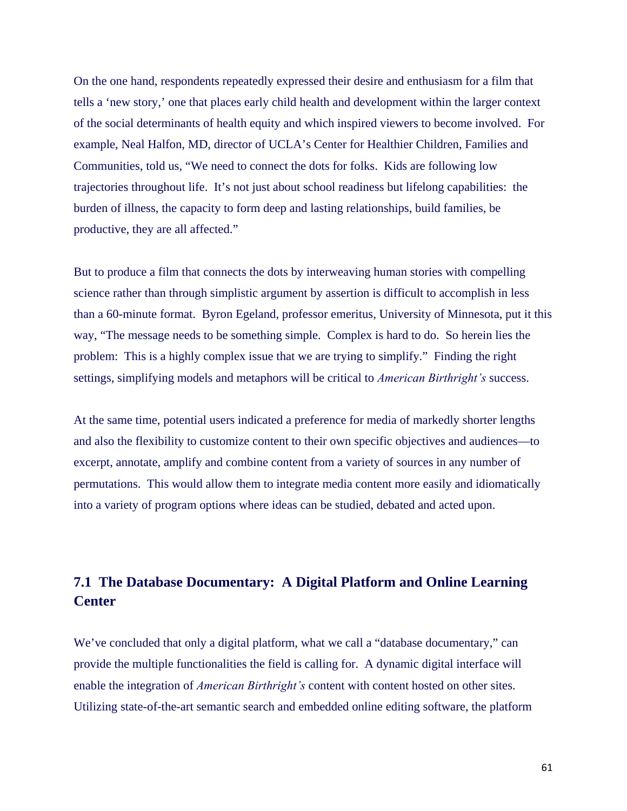On the one hand, respondents repeatedly expressed their desire and enthusiasm for a film that tells a 'new story,' one that places early child health and development within the larger context of the social determinants of health equity and which inspired viewers to become involved. For example, Neal Halfon, MD, director of UCLA's Center for Healthier Children, Families and Communities, told us, "We need to connect the dots for folks. Kids are following low trajectories throughout life. It's not just about school readiness but lifelong capabilities: the burden of illness, the capacity to form deep and lasting relationships, build families, be productive, they are all affected."

But to produce a film that connects the dots by interweaving human stories with compelling science rather than through simplistic argument by assertion is difficult to accomplish in less than a 60-minute format. Byron Egeland, professor emeritus, University of Minnesota, put it this way, "The message needs to be something simple. Complex is hard to do. So herein lies the problem: This is a highly complex issue that we are trying to simplify." Finding the right settings, simplifying models and metaphors will be critical to *American Birthright's* success.

At the same time, potential users indicated a preference for media of markedly shorter lengths and also the flexibility to customize content to their own specific objectives and audiences—to excerpt, annotate, amplify and combine content from a variety of sources in any number of permutations. This would allow them to integrate media content more easily and idiomatically into a variety of program options where ideas can be studied, debated and acted upon.

# **7.1 The Database Documentary: A Digital Platform and Online Learning Center**

We've concluded that only a digital platform, what we call a "database documentary," can provide the multiple functionalities the field is calling for. A dynamic digital interface will enable the integration of *American Birthright's* content with content hosted on other sites. Utilizing state-of-the-art semantic search and embedded online editing software, the platform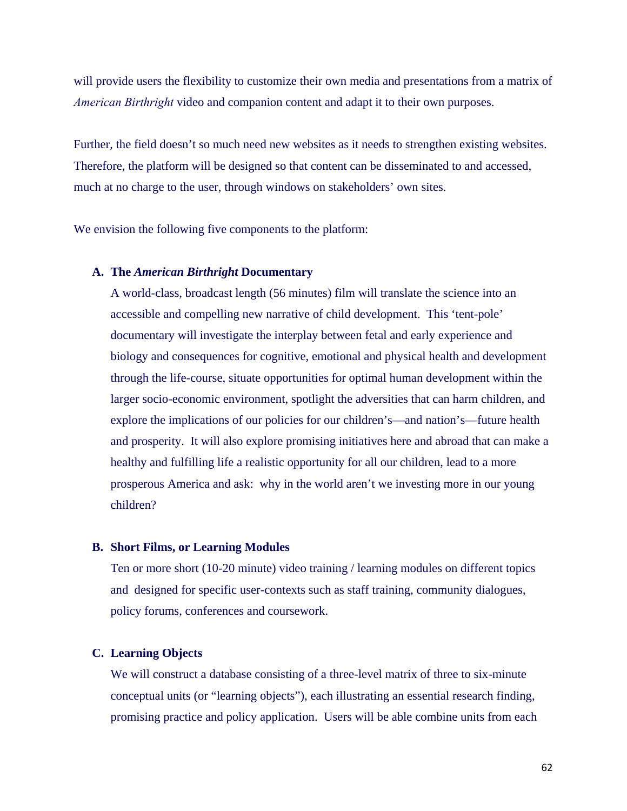will provide users the flexibility to customize their own media and presentations from a matrix of *American Birthright* video and companion content and adapt it to their own purposes.

Further, the field doesn't so much need new websites as it needs to strengthen existing websites. Therefore, the platform will be designed so that content can be disseminated to and accessed, much at no charge to the user, through windows on stakeholders' own sites.

We envision the following five components to the platform:

#### **A. The** *American Birthright* **Documentary**

A world-class, broadcast length (56 minutes) film will translate the science into an accessible and compelling new narrative of child development. This 'tent-pole' documentary will investigate the interplay between fetal and early experience and biology and consequences for cognitive, emotional and physical health and development through the life-course, situate opportunities for optimal human development within the larger socio-economic environment, spotlight the adversities that can harm children, and explore the implications of our policies for our children's—and nation's—future health and prosperity. It will also explore promising initiatives here and abroad that can make a healthy and fulfilling life a realistic opportunity for all our children, lead to a more prosperous America and ask: why in the world aren't we investing more in our young children?

#### **B. Short Films, or Learning Modules**

Ten or more short (10-20 minute) video training / learning modules on different topics and designed for specific user-contexts such as staff training, community dialogues, policy forums, conferences and coursework.

#### **C. Learning Objects**

We will construct a database consisting of a three-level matrix of three to six-minute conceptual units (or "learning objects"), each illustrating an essential research finding, promising practice and policy application. Users will be able combine units from each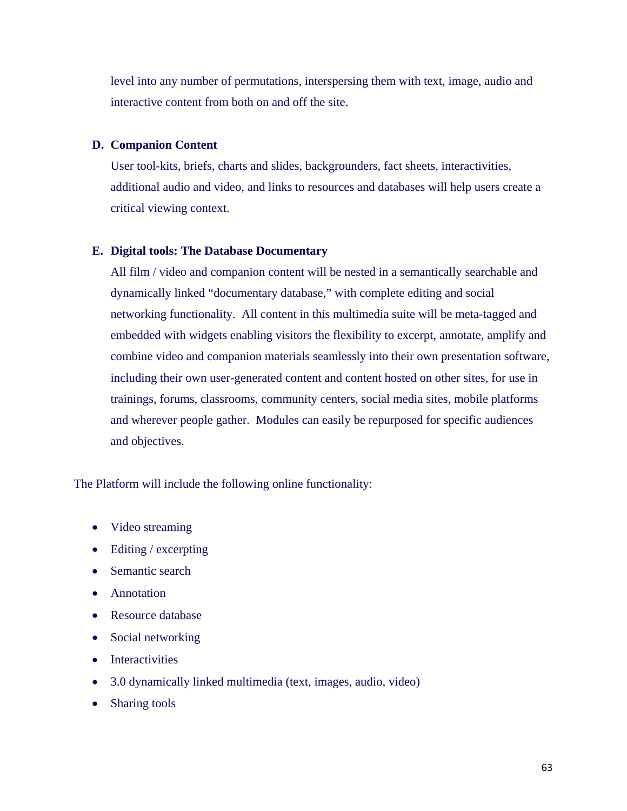level into any number of permutations, interspersing them with text, image, audio and interactive content from both on and off the site.

#### **D. Companion Content**

User tool-kits, briefs, charts and slides, backgrounders, fact sheets, interactivities, additional audio and video, and links to resources and databases will help users create a critical viewing context.

#### **E. Digital tools: The Database Documentary**

All film / video and companion content will be nested in a semantically searchable and dynamically linked "documentary database," with complete editing and social networking functionality. All content in this multimedia suite will be meta-tagged and embedded with widgets enabling visitors the flexibility to excerpt, annotate, amplify and combine video and companion materials seamlessly into their own presentation software, including their own user-generated content and content hosted on other sites, for use in trainings, forums, classrooms, community centers, social media sites, mobile platforms and wherever people gather. Modules can easily be repurposed for specific audiences and objectives.

The Platform will include the following online functionality:

- Video streaming
- Editing / excerpting
- Semantic search
- Annotation
- Resource database
- Social networking
- Interactivities
- 3.0 dynamically linked multimedia (text, images, audio, video)
- Sharing tools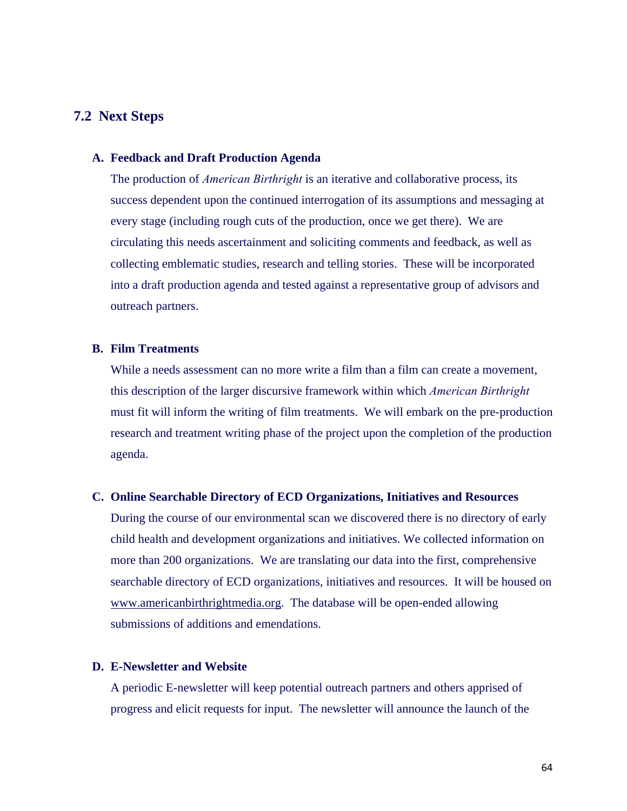## **7.2 Next Steps**

#### **A. Feedback and Draft Production Agenda**

The production of *American Birthright* is an iterative and collaborative process, its success dependent upon the continued interrogation of its assumptions and messaging at every stage (including rough cuts of the production, once we get there). We are circulating this needs ascertainment and soliciting comments and feedback, as well as collecting emblematic studies, research and telling stories. These will be incorporated into a draft production agenda and tested against a representative group of advisors and outreach partners.

#### **B. Film Treatments**

While a needs assessment can no more write a film than a film can create a movement, this description of the larger discursive framework within which *American Birthright* must fit will inform the writing of film treatments. We will embark on the pre-production research and treatment writing phase of the project upon the completion of the production agenda.

#### **C. Online Searchable Directory of ECD Organizations, Initiatives and Resources**

During the course of our environmental scan we discovered there is no directory of early child health and development organizations and initiatives. We collected information on more than 200 organizations. We are translating our data into the first, comprehensive searchable directory of ECD organizations, initiatives and resources. It will be housed on www.americanbirthrightmedia.org. The database will be open-ended allowing submissions of additions and emendations.

#### **D. E-Newsletter and Website**

A periodic E-newsletter will keep potential outreach partners and others apprised of progress and elicit requests for input. The newsletter will announce the launch of the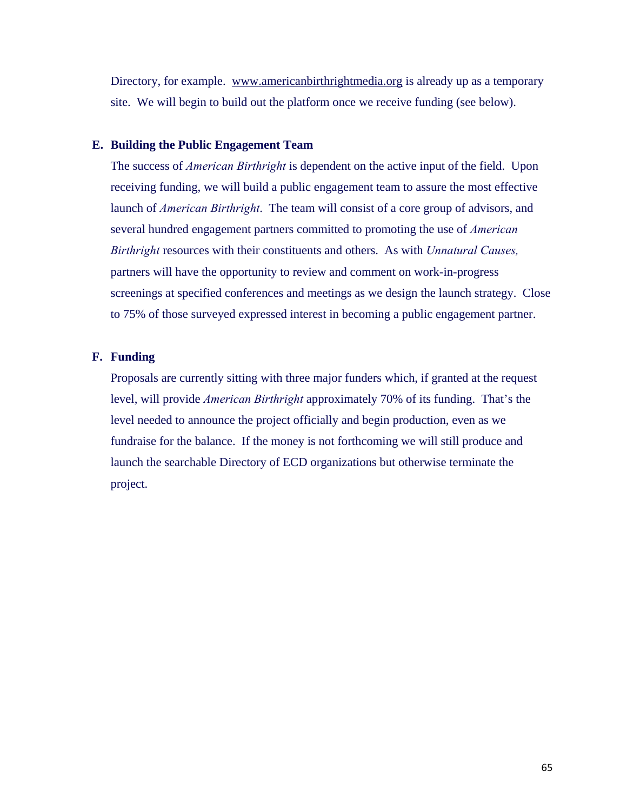Directory, for example. www.americanbirthrightmedia.org is already up as a temporary site. We will begin to build out the platform once we receive funding (see below).

#### **E. Building the Public Engagement Team**

The success of *American Birthright* is dependent on the active input of the field. Upon receiving funding, we will build a public engagement team to assure the most effective launch of *American Birthright*. The team will consist of a core group of advisors, and several hundred engagement partners committed to promoting the use of *American Birthright* resources with their constituents and others. As with *Unnatural Causes,* partners will have the opportunity to review and comment on work-in-progress screenings at specified conferences and meetings as we design the launch strategy. Close to 75% of those surveyed expressed interest in becoming a public engagement partner.

#### **F. Funding**

Proposals are currently sitting with three major funders which, if granted at the request level, will provide *American Birthright* approximately 70% of its funding. That's the level needed to announce the project officially and begin production, even as we fundraise for the balance. If the money is not forthcoming we will still produce and launch the searchable Directory of ECD organizations but otherwise terminate the project.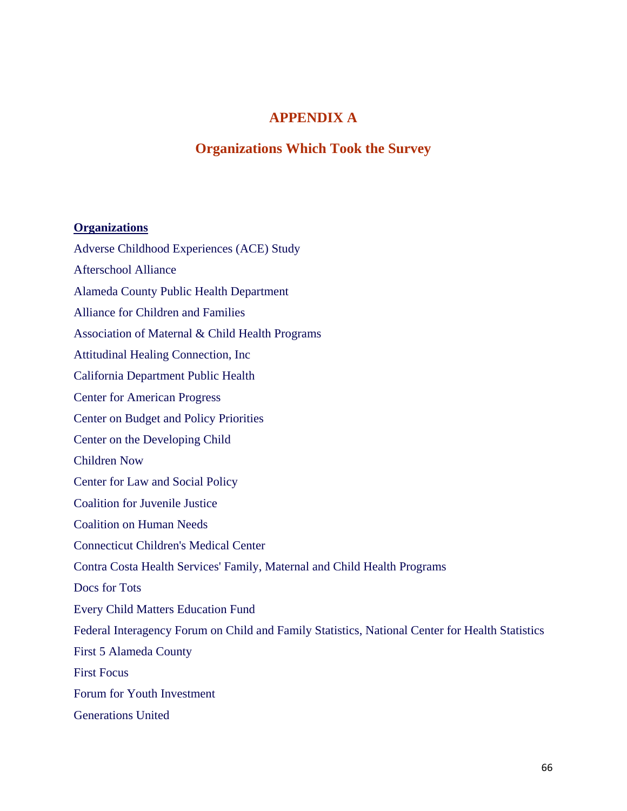# **APPENDIX A**

# **Organizations Which Took the Survey**

#### **Organizations**

Adverse Childhood Experiences (ACE) Study

Afterschool Alliance

Alameda County Public Health Department

Alliance for Children and Families

Association of Maternal & Child Health Programs

Attitudinal Healing Connection, Inc

California Department Public Health

Center for American Progress

Center on Budget and Policy Priorities

Center on the Developing Child

Children Now

Center for Law and Social Policy

Coalition for Juvenile Justice

Coalition on Human Needs

Connecticut Children's Medical Center

Contra Costa Health Services' Family, Maternal and Child Health Programs

Docs for Tots

Every Child Matters Education Fund

Federal Interagency Forum on Child and Family Statistics, National Center for Health Statistics

First 5 Alameda County

First Focus

Forum for Youth Investment

Generations United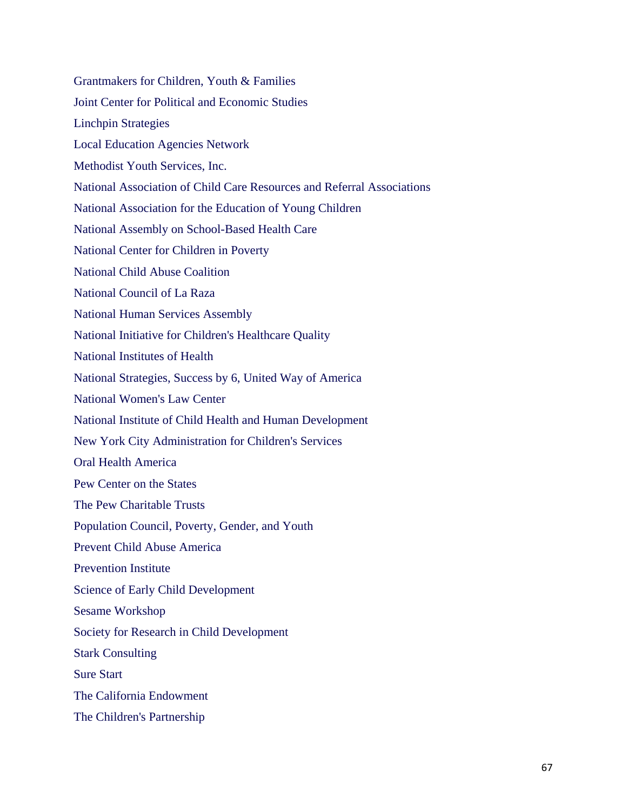Grantmakers for Children, Youth & Families Joint Center for Political and Economic Studies Linchpin Strategies Local Education Agencies Network Methodist Youth Services, Inc. National Association of Child Care Resources and Referral Associations National Association for the Education of Young Children National Assembly on School-Based Health Care National Center for Children in Poverty National Child Abuse Coalition National Council of La Raza National Human Services Assembly National Initiative for Children's Healthcare Quality National Institutes of Health National Strategies, Success by 6, United Way of America National Women's Law Center National Institute of Child Health and Human Development New York City Administration for Children's Services Oral Health America Pew Center on the States The Pew Charitable Trusts Population Council, Poverty, Gender, and Youth Prevent Child Abuse America Prevention Institute Science of Early Child Development Sesame Workshop Society for Research in Child Development Stark Consulting Sure Start The California Endowment The Children's Partnership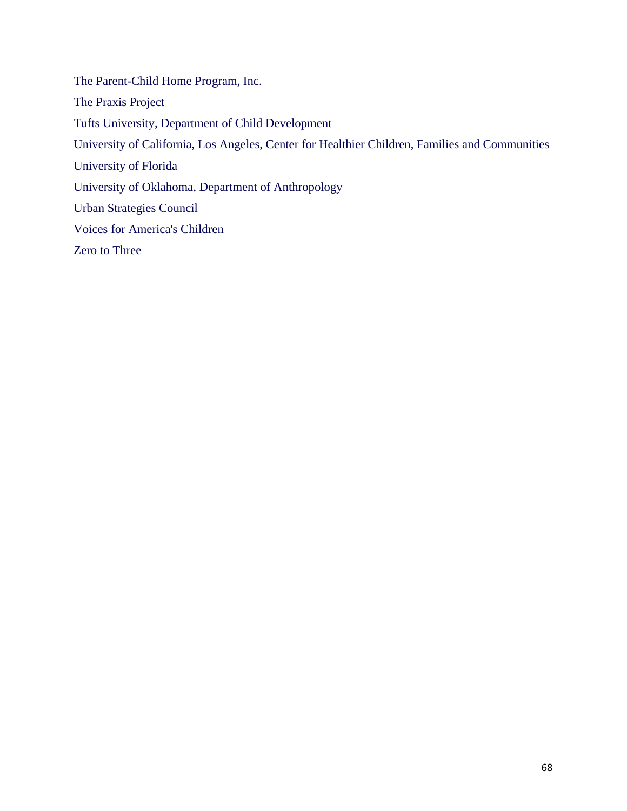The Parent-Child Home Program, Inc. The Praxis Project Tufts University, Department of Child Development University of California, Los Angeles, Center for Healthier Children, Families and Communities University of Florida University of Oklahoma, Department of Anthropology Urban Strategies Council Voices for America's Children Zero to Three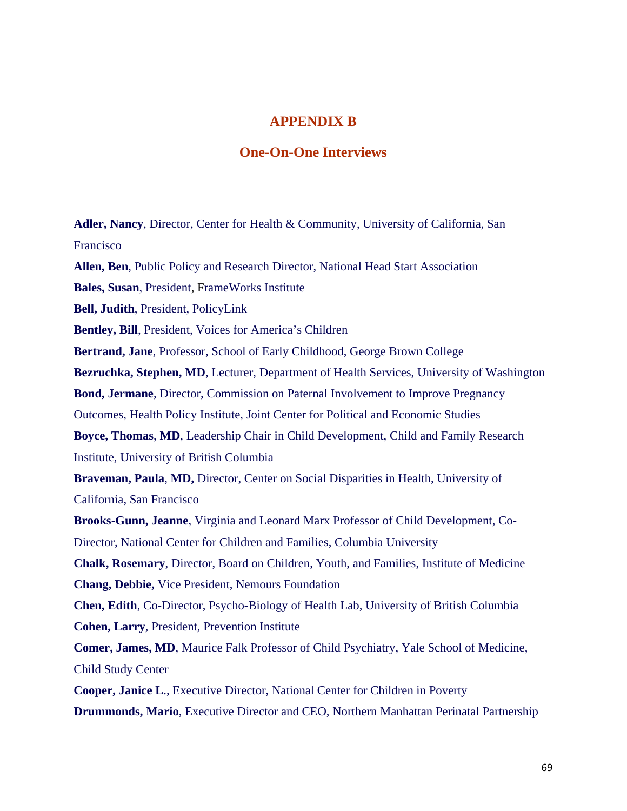## **APPENDIX B**

## **One-On-One Interviews**

**Adler, Nancy**, Director, Center for Health & Community, University of California, San Francisco **Allen, Ben**, Public Policy and Research Director, National Head Start Association **Bales, Susan**, President, FrameWorks Institute **Bell, Judith**, President, PolicyLink **Bentley, Bill**, President, Voices for America's Children **Bertrand, Jane**, Professor, School of Early Childhood, George Brown College **Bezruchka, Stephen, MD**, Lecturer, Department of Health Services, University of Washington **Bond, Jermane**, Director, Commission on Paternal Involvement to Improve Pregnancy Outcomes, Health Policy Institute, Joint Center for Political and Economic Studies **Boyce, Thomas**, **MD**, Leadership Chair in Child Development, Child and Family Research Institute, University of British Columbia **Braveman, Paula**, **MD,** Director, Center on Social Disparities in Health, University of California, San Francisco **Brooks-Gunn, Jeanne**, Virginia and Leonard Marx Professor of Child Development, Co-Director, National Center for Children and Families, Columbia University **Chalk, Rosemary**, Director, Board on Children, Youth, and Families, Institute of Medicine **Chang, Debbie,** Vice President, Nemours Foundation **Chen, Edith**, Co-Director, Psycho-Biology of Health Lab, University of British Columbia **Cohen, Larry**, President, Prevention Institute **Comer, James, MD**, Maurice Falk Professor of Child Psychiatry, Yale School of Medicine, Child Study Center **Cooper, Janice L**., Executive Director, National Center for Children in Poverty **Drummonds, Mario**, Executive Director and CEO, Northern Manhattan Perinatal Partnership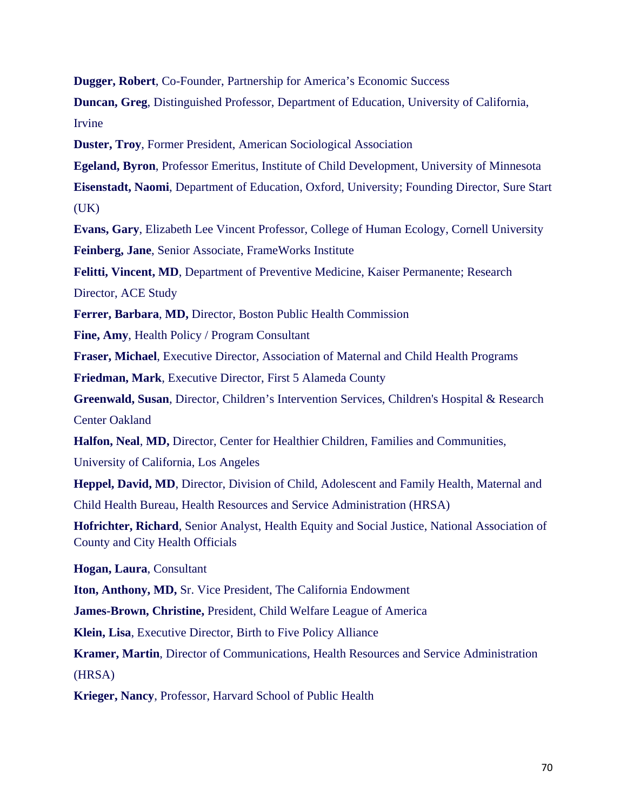**Dugger, Robert**, Co-Founder, Partnership for America's Economic Success

**Duncan, Greg**, Distinguished Professor, Department of Education, University of California, Irvine

**Duster, Troy**, Former President, American Sociological Association

**Egeland, Byron**, Professor Emeritus, Institute of Child Development, University of Minnesota

**Eisenstadt, Naomi**, Department of Education, Oxford, University; Founding Director, Sure Start  $(UK)$ 

**Evans, Gary**, Elizabeth Lee Vincent Professor, College of Human Ecology, Cornell University **Feinberg, Jane**, Senior Associate, FrameWorks Institute

**Felitti, Vincent, MD**, Department of Preventive Medicine, Kaiser Permanente; Research

Director, ACE Study

**Ferrer, Barbara**, **MD,** Director, Boston Public Health Commission

**Fine, Amy**, Health Policy / Program Consultant

**Fraser, Michael**, Executive Director, Association of Maternal and Child Health Programs

**Friedman, Mark**, Executive Director, First 5 Alameda County

**Greenwald, Susan**, Director, Children's Intervention Services, Children's Hospital & Research Center Oakland

**Halfon, Neal**, **MD,** Director, Center for Healthier Children, Families and Communities,

University of California, Los Angeles

**Heppel, David, MD**, Director, Division of Child, Adolescent and Family Health, Maternal and Child Health Bureau, Health Resources and Service Administration (HRSA)

**Hofrichter, Richard**, Senior Analyst, Health Equity and Social Justice, National Association of County and City Health Officials

**Hogan, Laura**, Consultant

**Iton, Anthony, MD,** Sr. Vice President, The California Endowment

**James-Brown, Christine,** President, Child Welfare League of America

**Klein, Lisa**, Executive Director, Birth to Five Policy Alliance

**Kramer, Martin**, Director of Communications, Health Resources and Service Administration (HRSA)

**Krieger, Nancy**, Professor, Harvard School of Public Health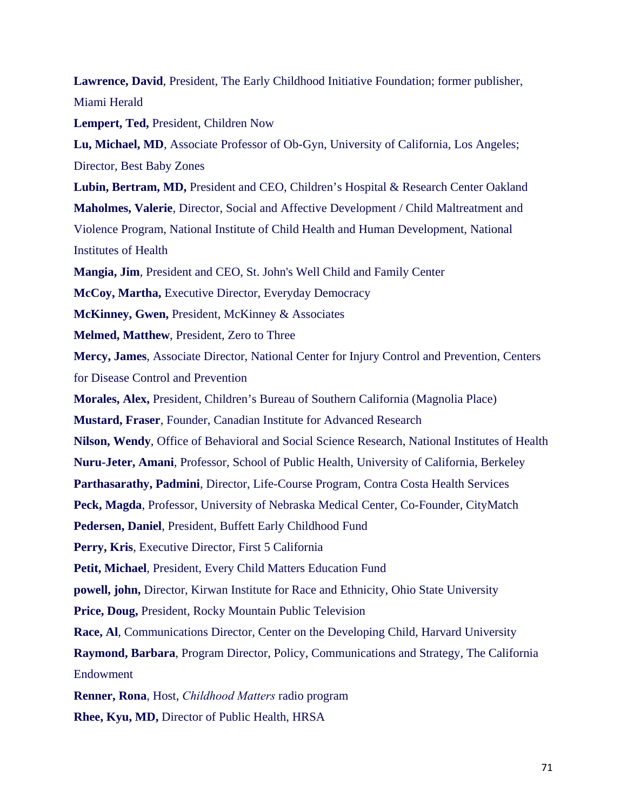**Lawrence, David**, President, The Early Childhood Initiative Foundation; former publisher, Miami Herald

**Lempert, Ted,** President, Children Now

**Lu, Michael, MD**, Associate Professor of Ob-Gyn, University of California, Los Angeles; Director, Best Baby Zones

**Lubin, Bertram, MD,** President and CEO, Children's Hospital & Research Center Oakland **Maholmes, Valerie**, Director, Social and Affective Development / Child Maltreatment and Violence Program, National Institute of Child Health and Human Development, National Institutes of Health

**Mangia, Jim**, President and CEO, St. John's Well Child and Family Center

**McCoy, Martha,** Executive Director, Everyday Democracy

**McKinney, Gwen,** President, McKinney & Associates

**Melmed, Matthew**, President, Zero to Three

**Mercy, James**, Associate Director, National Center for Injury Control and Prevention, Centers for Disease Control and Prevention

**Morales, Alex,** President, Children's Bureau of Southern California (Magnolia Place)

**Mustard, Fraser**, Founder, Canadian Institute for Advanced Research

**Nilson, Wendy**, Office of Behavioral and Social Science Research, National Institutes of Health

**Nuru-Jeter, Amani**, Professor, School of Public Health, University of California, Berkeley

**Parthasarathy, Padmini**, Director, Life-Course Program, Contra Costa Health Services

**Peck, Magda**, Professor, University of Nebraska Medical Center, Co-Founder, CityMatch

**Pedersen, Daniel**, President, Buffett Early Childhood Fund

**Perry, Kris**, Executive Director, First 5 California

**Petit, Michael**, President, Every Child Matters Education Fund

**powell, john,** Director, Kirwan Institute for Race and Ethnicity, Ohio State University

**Price, Doug,** President, Rocky Mountain Public Television

**Race, Al**, Communications Director, Center on the Developing Child, Harvard University

**Raymond, Barbara**, Program Director, Policy, Communications and Strategy, The California Endowment

**Renner, Rona**, Host, *Childhood Matters* radio program

**Rhee, Kyu, MD,** Director of Public Health, HRSA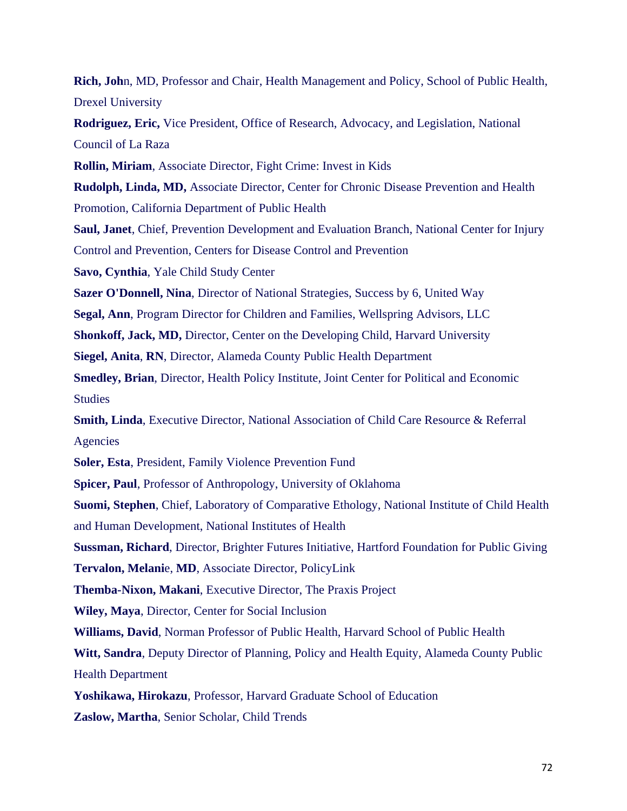**Rich, Joh**n, MD, Professor and Chair, Health Management and Policy, School of Public Health, Drexel University

**Rodriguez, Eric,** Vice President, Office of Research, Advocacy, and Legislation, National Council of La Raza

**Rollin, Miriam**, Associate Director, Fight Crime: Invest in Kids

**Rudolph, Linda, MD,** Associate Director, Center for Chronic Disease Prevention and Health Promotion, California Department of Public Health

**Saul, Janet**, Chief, Prevention Development and Evaluation Branch, National Center for Injury Control and Prevention, Centers for Disease Control and Prevention

**Savo, Cynthia**, Yale Child Study Center

**Sazer O'Donnell, Nina**, Director of National Strategies, Success by 6, United Way

**Segal, Ann**, Program Director for Children and Families, Wellspring Advisors, LLC

**Shonkoff, Jack, MD,** Director, Center on the Developing Child, Harvard University

**Siegel, Anita**, **RN**, Director, Alameda County Public Health Department

**Smedley, Brian**, Director, Health Policy Institute, Joint Center for Political and Economic Studies

**Smith, Linda**, Executive Director, National Association of Child Care Resource & Referral Agencies

**Soler, Esta**, President, Family Violence Prevention Fund

**Spicer, Paul**, Professor of Anthropology, University of Oklahoma

**Suomi, Stephen**, Chief, Laboratory of Comparative Ethology, National Institute of Child Health and Human Development, National Institutes of Health

**Sussman, Richard**, Director, Brighter Futures Initiative, Hartford Foundation for Public Giving

**Tervalon, Melani**e, **MD**, Associate Director, PolicyLink

**Themba-Nixon, Makani**, Executive Director, The Praxis Project

**Wiley, Maya**, Director, Center for Social Inclusion

**Williams, David**, Norman Professor of Public Health, Harvard School of Public Health

**Witt, Sandra**, Deputy Director of Planning, Policy and Health Equity, Alameda County Public Health Department

**Yoshikawa, Hirokazu**, Professor, Harvard Graduate School of Education

**Zaslow, Martha**, Senior Scholar, Child Trends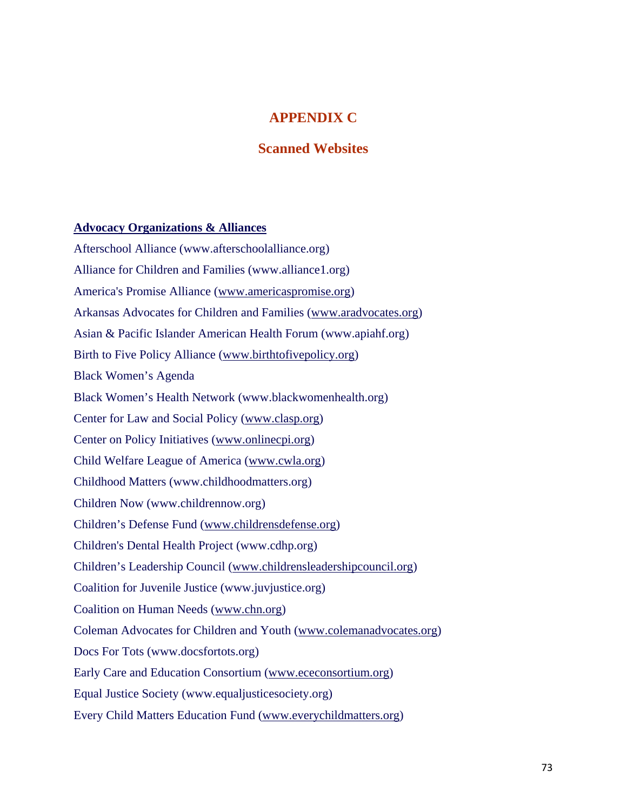### **APPENDIX C**

### **Scanned Websites**

#### **Advocacy Organizations & Alliances**

Afterschool Alliance (www.afterschoolalliance.org) Alliance for Children and Families (www.alliance1.org) America's Promise Alliance (www.americaspromise.org) Arkansas Advocates for Children and Families (www.aradvocates.org) Asian & Pacific Islander American Health Forum (www.apiahf.org) Birth to Five Policy Alliance (www.birthtofivepolicy.org) Black Women's Agenda Black Women's Health Network (www.blackwomenhealth.org) Center for Law and Social Policy (www.clasp.org) Center on Policy Initiatives (www.onlinecpi.org) Child Welfare League of America (www.cwla.org) Childhood Matters (www.childhoodmatters.org) Children Now (www.childrennow.org) Children's Defense Fund (www.childrensdefense.org) Children's Dental Health Project (www.cdhp.org) Children's Leadership Council (www.childrensleadershipcouncil.org) Coalition for Juvenile Justice (www.juvjustice.org) Coalition on Human Needs (www.chn.org) Coleman Advocates for Children and Youth (www.colemanadvocates.org) Docs For Tots (www.docsfortots.org) Early Care and Education Consortium (www.ececonsortium.org) Equal Justice Society (www.equaljusticesociety.org) Every Child Matters Education Fund (www.everychildmatters.org)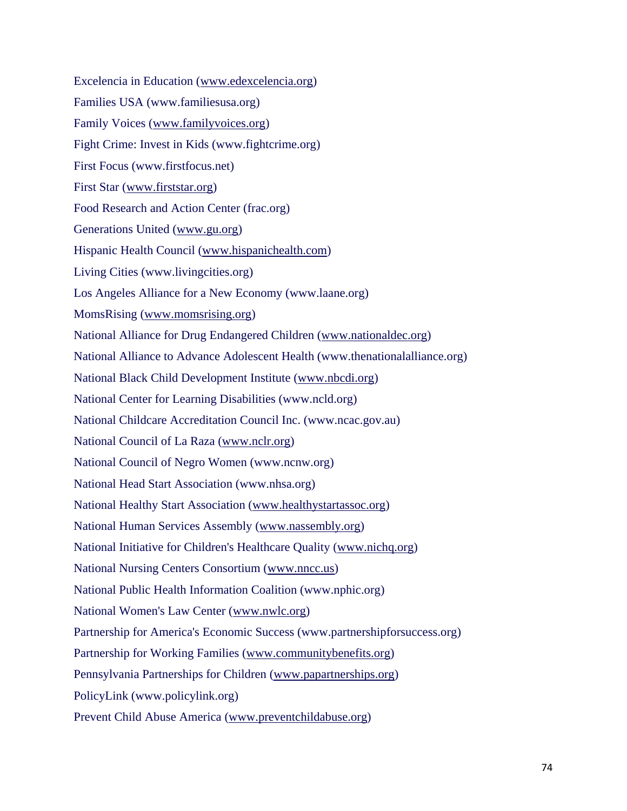Excelencia in Education (www.edexcelencia.org) Families USA (www.familiesusa.org) Family Voices (www.familyvoices.org) Fight Crime: Invest in Kids (www.fightcrime.org) First Focus (www.firstfocus.net) First Star (www.firststar.org) Food Research and Action Center (frac.org) Generations United (www.gu.org) Hispanic Health Council (www.hispanichealth.com) Living Cities (www.livingcities.org) Los Angeles Alliance for a New Economy (www.laane.org) MomsRising (www.momsrising.org) National Alliance for Drug Endangered Children (www.nationaldec.org) National Alliance to Advance Adolescent Health (www.thenationalalliance.org) National Black Child Development Institute (www.nbcdi.org) National Center for Learning Disabilities (www.ncld.org) National Childcare Accreditation Council Inc. (www.ncac.gov.au) National Council of La Raza (www.nclr.org) National Council of Negro Women (www.ncnw.org) National Head Start Association (www.nhsa.org) National Healthy Start Association (www.healthystartassoc.org) National Human Services Assembly (www.nassembly.org) National Initiative for Children's Healthcare Quality (www.nichq.org) National Nursing Centers Consortium (www.nncc.us) National Public Health Information Coalition (www.nphic.org) National Women's Law Center (www.nwlc.org) Partnership for America's Economic Success (www.partnershipforsuccess.org) Partnership for Working Families (www.communitybenefits.org) Pennsylvania Partnerships for Children (www.papartnerships.org) PolicyLink (www.policylink.org) Prevent Child Abuse America (www.preventchildabuse.org)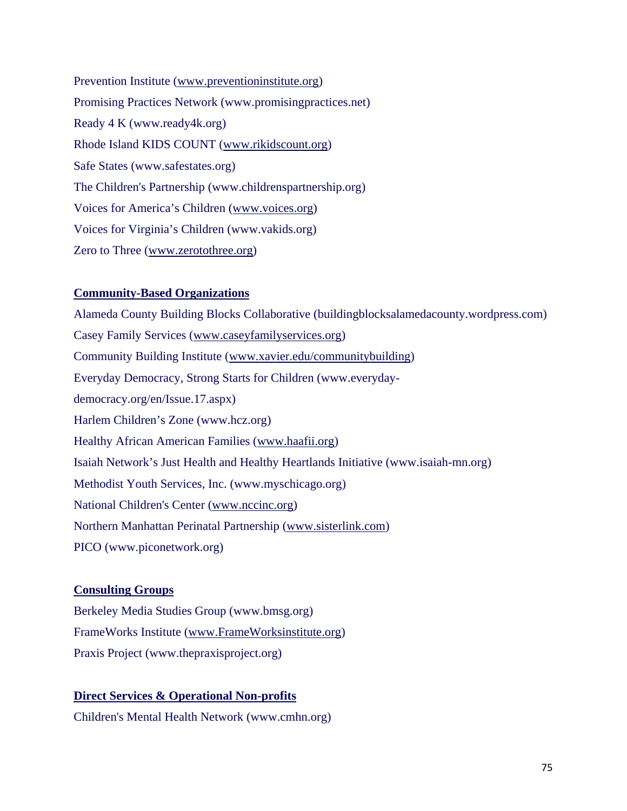Prevention Institute (www.preventioninstitute.org) Promising Practices Network (www.promisingpractices.net) Ready 4 K (www.ready4k.org) Rhode Island KIDS COUNT (www.rikidscount.org) Safe States (www.safestates.org) The Children's Partnership (www.childrenspartnership.org) Voices for America's Children (www.voices.org) Voices for Virginia's Children (www.vakids.org) Zero to Three (www.zerotothree.org)

### **Community-Based Organizations**

Alameda County Building Blocks Collaborative (buildingblocksalamedacounty.wordpress.com) Casey Family Services (www.caseyfamilyservices.org) Community Building Institute (www.xavier.edu/communitybuilding) Everyday Democracy, Strong Starts for Children (www.everydaydemocracy.org/en/Issue.17.aspx) Harlem Children's Zone (www.hcz.org) Healthy African American Families (www.haafii.org) Isaiah Network's Just Health and Healthy Heartlands Initiative (www.isaiah-mn.org) Methodist Youth Services, Inc. (www.myschicago.org) National Children's Center (www.nccinc.org) Northern Manhattan Perinatal Partnership (www.sisterlink.com) PICO (www.piconetwork.org)

### **Consulting Groups**

Berkeley Media Studies Group (www.bmsg.org) FrameWorks Institute (www.FrameWorksinstitute.org) Praxis Project (www.thepraxisproject.org)

### **Direct Services & Operational Non-profits**

Children's Mental Health Network (www.cmhn.org)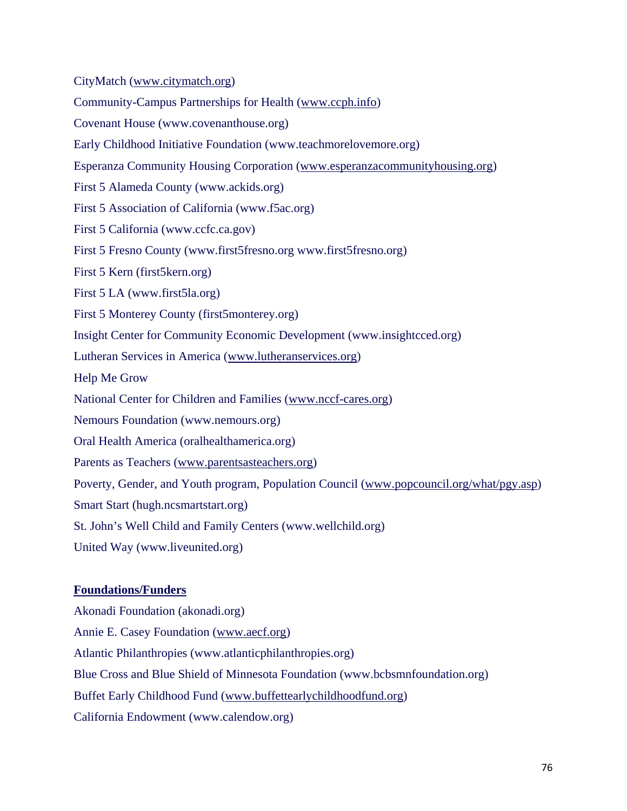CityMatch (www.citymatch.org)

Community-Campus Partnerships for Health (www.ccph.info)

Covenant House (www.covenanthouse.org)

Early Childhood Initiative Foundation (www.teachmorelovemore.org)

Esperanza Community Housing Corporation (www.esperanzacommunityhousing.org)

First 5 Alameda County (www.ackids.org)

First 5 Association of California (www.f5ac.org)

First 5 California (www.ccfc.ca.gov)

First 5 Fresno County (www.first5fresno.org www.first5fresno.org)

First 5 Kern (first5kern.org)

First 5 LA (www.first5la.org)

First 5 Monterey County (first5monterey.org)

Insight Center for Community Economic Development (www.insightcced.org)

Lutheran Services in America (www.lutheranservices.org)

Help Me Grow

National Center for Children and Families (www.nccf-cares.org)

Nemours Foundation (www.nemours.org)

Oral Health America (oralhealthamerica.org)

Parents as Teachers (www.parentsasteachers.org)

Poverty, Gender, and Youth program, Population Council (www.popcouncil.org/what/pgy.asp)

Smart Start (hugh.ncsmartstart.org)

St. John's Well Child and Family Centers (www.wellchild.org)

United Way (www.liveunited.org)

### **Foundations/Funders**

Akonadi Foundation (akonadi.org) Annie E. Casey Foundation (www.aecf.org) Atlantic Philanthropies (www.atlanticphilanthropies.org) Blue Cross and Blue Shield of Minnesota Foundation (www.bcbsmnfoundation.org) Buffet Early Childhood Fund (www.buffettearlychildhoodfund.org) California Endowment (www.calendow.org)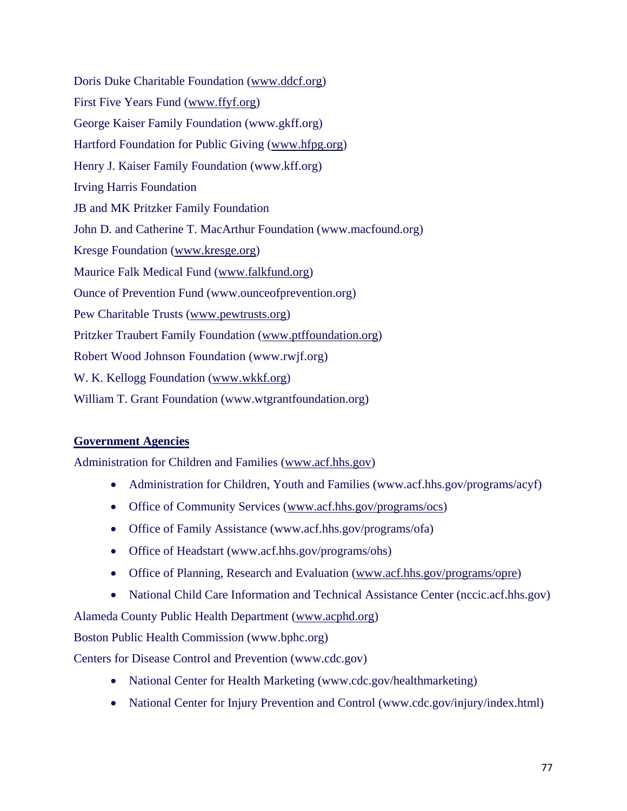Doris Duke Charitable Foundation (www.ddcf.org) First Five Years Fund (www.ffyf.org) George Kaiser Family Foundation (www.gkff.org) Hartford Foundation for Public Giving (www.hfpg.org) Henry J. Kaiser Family Foundation (www.kff.org) Irving Harris Foundation JB and MK Pritzker Family Foundation John D. and Catherine T. MacArthur Foundation (www.macfound.org) Kresge Foundation (www.kresge.org) Maurice Falk Medical Fund (www.falkfund.org) Ounce of Prevention Fund (www.ounceofprevention.org) Pew Charitable Trusts (www.pewtrusts.org) Pritzker Traubert Family Foundation (www.ptffoundation.org) Robert Wood Johnson Foundation (www.rwjf.org) W. K. Kellogg Foundation (www.wkkf.org) William T. Grant Foundation (www.wtgrantfoundation.org)

### **Government Agencies**

Administration for Children and Families (www.acf.hhs.gov)

- Administration for Children, Youth and Families (www.acf.hhs.gov/programs/acyf)
- Office of Community Services (www.acf.hhs.gov/programs/ocs)
- Office of Family Assistance (www.acf.hhs.gov/programs/ofa)
- Office of Headstart (www.acf.hhs.gov/programs/ohs)
- Office of Planning, Research and Evaluation (www.acf.hhs.gov/programs/opre)
- National Child Care Information and Technical Assistance Center (nccic.acf.hhs.gov)

Alameda County Public Health Department (www.acphd.org)

Boston Public Health Commission (www.bphc.org)

Centers for Disease Control and Prevention (www.cdc.gov)

- National Center for Health Marketing (www.cdc.gov/healthmarketing)
- National Center for Injury Prevention and Control (www.cdc.gov/injury/index.html)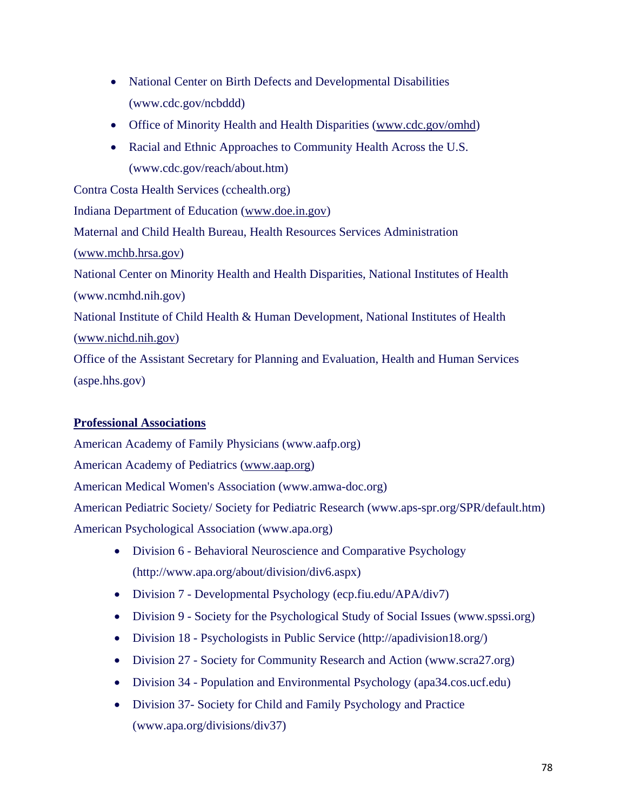- National Center on Birth Defects and Developmental Disabilities (www.cdc.gov/ncbddd)
- Office of Minority Health and Health Disparities (www.cdc.gov/omhd)
- Racial and Ethnic Approaches to Community Health Across the U.S. (www.cdc.gov/reach/about.htm)

Contra Costa Health Services (cchealth.org) Indiana Department of Education (www.doe.in.gov) Maternal and Child Health Bureau, Health Resources Services Administration (www.mchb.hrsa.gov) National Center on Minority Health and Health Disparities, National Institutes of Health (www.ncmhd.nih.gov) National Institute of Child Health & Human Development, National Institutes of Health (www.nichd.nih.gov) Office of the Assistant Secretary for Planning and Evaluation, Health and Human Services (aspe.hhs.gov)

### **Professional Associations**

American Academy of Family Physicians (www.aafp.org)

American Academy of Pediatrics (www.aap.org)

American Medical Women's Association (www.amwa-doc.org)

American Pediatric Society/ Society for Pediatric Research (www.aps-spr.org/SPR/default.htm) American Psychological Association (www.apa.org)

- Division 6 Behavioral Neuroscience and Comparative Psychology (http://www.apa.org/about/division/div6.aspx)
- Division 7 Developmental Psychology (ecp.fiu.edu/APA/div7)
- Division 9 Society for the Psychological Study of Social Issues (www.spssi.org)
- Division 18 Psychologists in Public Service (http://apadivision18.org/)
- Division 27 Society for Community Research and Action (www.scra27.org)
- Division 34 Population and Environmental Psychology (apa34.cos.ucf.edu)
- Division 37- Society for Child and Family Psychology and Practice (www.apa.org/divisions/div37)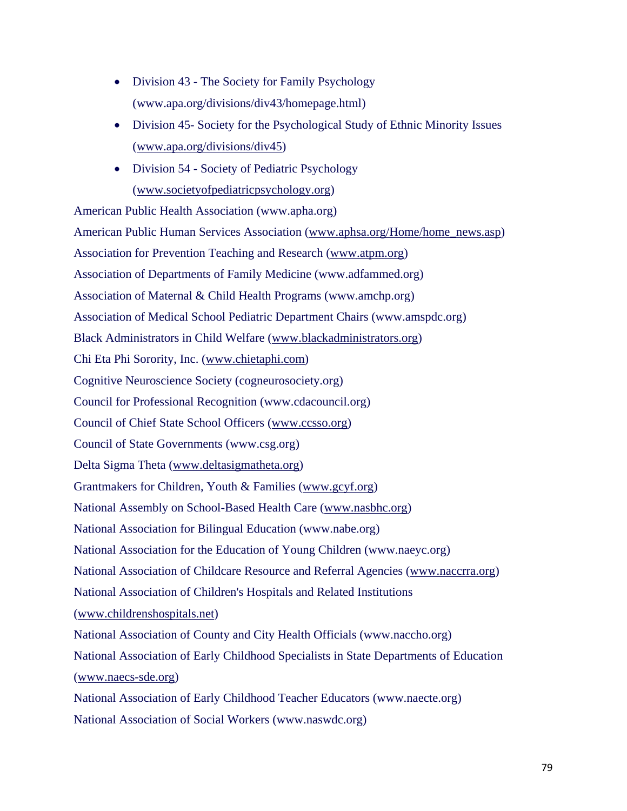- Division 43 The Society for Family Psychology (www.apa.org/divisions/div43/homepage.html)
- Division 45- Society for the Psychological Study of Ethnic Minority Issues (www.apa.org/divisions/div45)
- Division 54 Society of Pediatric Psychology (www.societyofpediatricpsychology.org)

American Public Health Association (www.apha.org) American Public Human Services Association (www.aphsa.org/Home/home\_news.asp) Association for Prevention Teaching and Research (www.atpm.org) Association of Departments of Family Medicine (www.adfammed.org) Association of Maternal & Child Health Programs (www.amchp.org) Association of Medical School Pediatric Department Chairs (www.amspdc.org) Black Administrators in Child Welfare (www.blackadministrators.org) Chi Eta Phi Sorority, Inc. (www.chietaphi.com) Cognitive Neuroscience Society (cogneurosociety.org) Council for Professional Recognition (www.cdacouncil.org) Council of Chief State School Officers (www.ccsso.org) Council of State Governments (www.csg.org) Delta Sigma Theta (www.deltasigmatheta.org) Grantmakers for Children, Youth & Families (www.gcyf.org) National Assembly on School-Based Health Care (www.nasbhc.org) National Association for Bilingual Education (www.nabe.org) National Association for the Education of Young Children (www.naeyc.org) National Association of Childcare Resource and Referral Agencies (www.naccrra.org) National Association of Children's Hospitals and Related Institutions (www.childrenshospitals.net) National Association of County and City Health Officials (www.naccho.org) National Association of Early Childhood Specialists in State Departments of Education (www.naecs-sde.org) National Association of Early Childhood Teacher Educators (www.naecte.org) National Association of Social Workers (www.naswdc.org)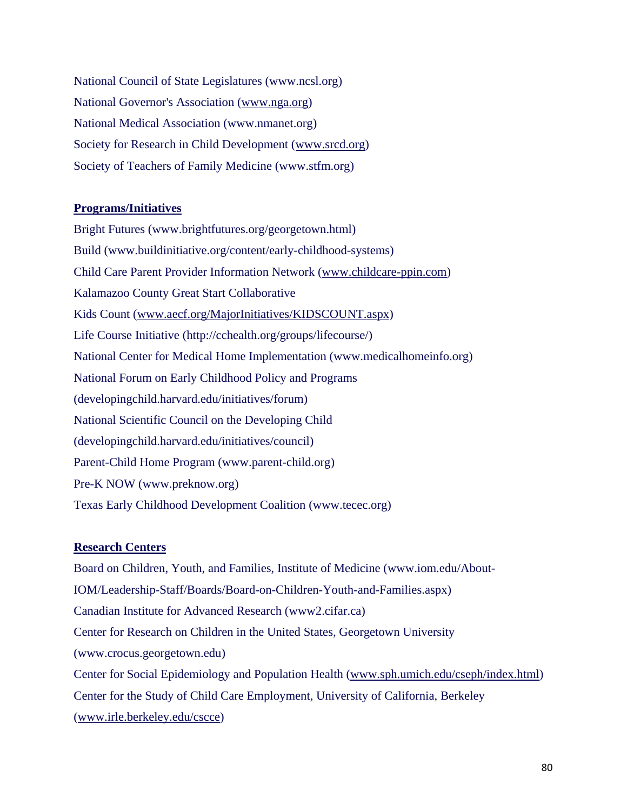National Council of State Legislatures (www.ncsl.org) National Governor's Association (www.nga.org) National Medical Association (www.nmanet.org) Society for Research in Child Development (www.srcd.org) Society of Teachers of Family Medicine (www.stfm.org)

### **Programs/Initiatives**

Bright Futures (www.brightfutures.org/georgetown.html) Build (www.buildinitiative.org/content/early-childhood-systems) Child Care Parent Provider Information Network (www.childcare-ppin.com) Kalamazoo County Great Start Collaborative Kids Count (www.aecf.org/MajorInitiatives/KIDSCOUNT.aspx) Life Course Initiative (http://cchealth.org/groups/lifecourse/) National Center for Medical Home Implementation (www.medicalhomeinfo.org) National Forum on Early Childhood Policy and Programs (developingchild.harvard.edu/initiatives/forum) National Scientific Council on the Developing Child (developingchild.harvard.edu/initiatives/council) Parent-Child Home Program (www.parent-child.org) Pre-K NOW (www.preknow.org) Texas Early Childhood Development Coalition (www.tecec.org)

### **Research Centers**

Board on Children, Youth, and Families, Institute of Medicine (www.iom.edu/About-IOM/Leadership-Staff/Boards/Board-on-Children-Youth-and-Families.aspx) Canadian Institute for Advanced Research (www2.cifar.ca) Center for Research on Children in the United States, Georgetown University (www.crocus.georgetown.edu) Center for Social Epidemiology and Population Health (www.sph.umich.edu/cseph/index.html) Center for the Study of Child Care Employment, University of California, Berkeley (www.irle.berkeley.edu/cscce)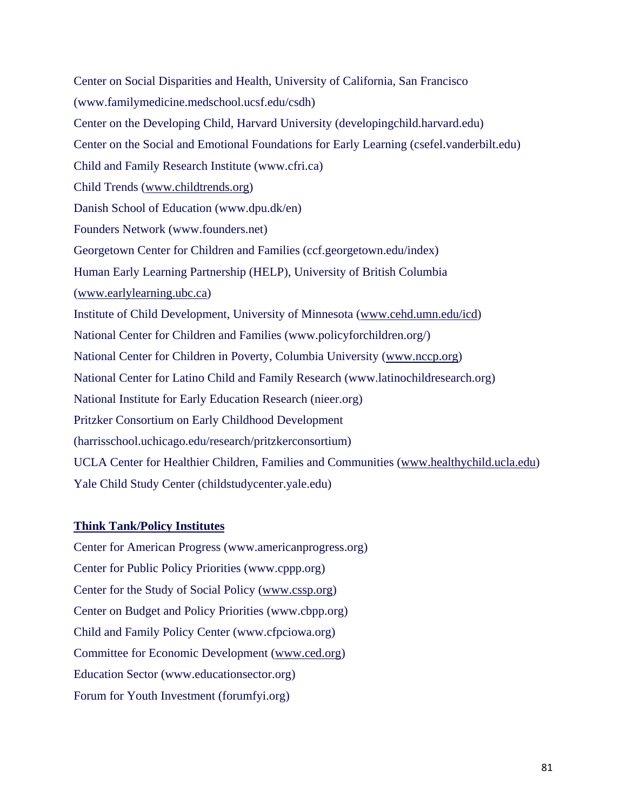Center on Social Disparities and Health, University of California, San Francisco (www.familymedicine.medschool.ucsf.edu/csdh) Center on the Developing Child, Harvard University (developingchild.harvard.edu) Center on the Social and Emotional Foundations for Early Learning (csefel.vanderbilt.edu) Child and Family Research Institute (www.cfri.ca) Child Trends (www.childtrends.org) Danish School of Education (www.dpu.dk/en) Founders Network (www.founders.net) Georgetown Center for Children and Families (ccf.georgetown.edu/index) Human Early Learning Partnership (HELP), University of British Columbia (www.earlylearning.ubc.ca) Institute of Child Development, University of Minnesota (www.cehd.umn.edu/icd) National Center for Children and Families (www.policyforchildren.org/) National Center for Children in Poverty, Columbia University (www.nccp.org) National Center for Latino Child and Family Research (www.latinochildresearch.org) National Institute for Early Education Research (nieer.org) Pritzker Consortium on Early Childhood Development (harrisschool.uchicago.edu/research/pritzkerconsortium) UCLA Center for Healthier Children, Families and Communities (www.healthychild.ucla.edu) Yale Child Study Center (childstudycenter.yale.edu)

### **Think Tank/Policy Institutes**

Center for American Progress (www.americanprogress.org) Center for Public Policy Priorities (www.cppp.org) Center for the Study of Social Policy (www.cssp.org) Center on Budget and Policy Priorities (www.cbpp.org) Child and Family Policy Center (www.cfpciowa.org) Committee for Economic Development (www.ced.org) Education Sector (www.educationsector.org) Forum for Youth Investment (forumfyi.org)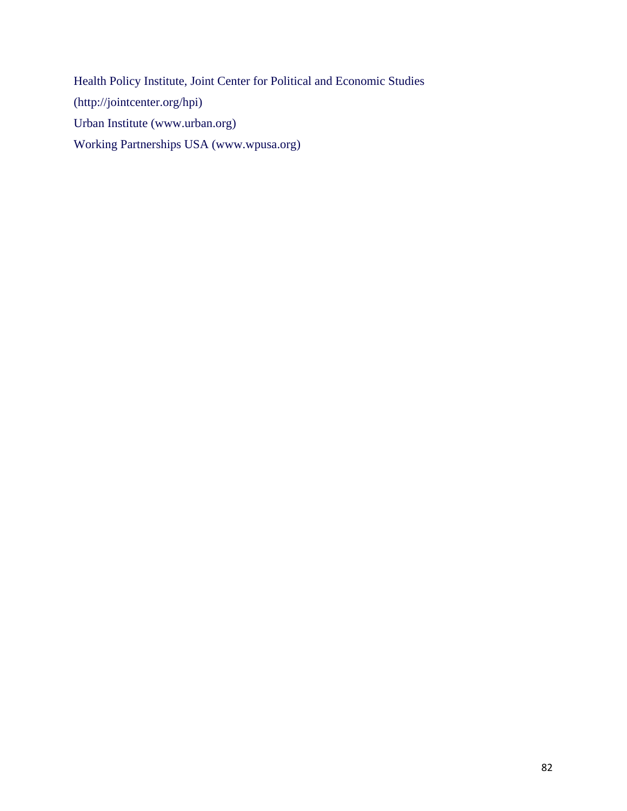Health Policy Institute, Joint Center for Political and Economic Studies (http://jointcenter.org/hpi) Urban Institute (www.urban.org) Working Partnerships USA (www.wpusa.org)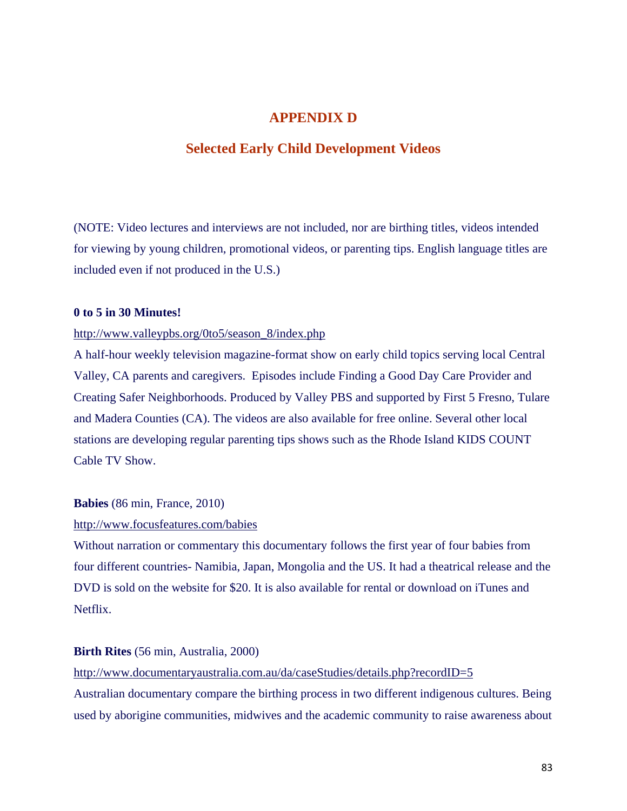### **APPENDIX D**

### **Selected Early Child Development Videos**

(NOTE: Video lectures and interviews are not included, nor are birthing titles, videos intended for viewing by young children, promotional videos, or parenting tips. English language titles are included even if not produced in the U.S.)

### **0 to 5 in 30 Minutes!**

### http://www.valleypbs.org/0to5/season\_8/index.php

A half-hour weekly television magazine-format show on early child topics serving local Central Valley, CA parents and caregivers. Episodes include Finding a Good Day Care Provider and Creating Safer Neighborhoods. Produced by Valley PBS and supported by First 5 Fresno, Tulare and Madera Counties (CA). The videos are also available for free online. Several other local stations are developing regular parenting tips shows such as the Rhode Island KIDS COUNT Cable TV Show.

#### **Babies** (86 min, France, 2010)

### http://www.focusfeatures.com/babies

Without narration or commentary this documentary follows the first year of four babies from four different countries- Namibia, Japan, Mongolia and the US. It had a theatrical release and the DVD is sold on the website for \$20. It is also available for rental or download on iTunes and Netflix.

#### **Birth Rites** (56 min, Australia, 2000)

http://www.documentaryaustralia.com.au/da/caseStudies/details.php?recordID=5

Australian documentary compare the birthing process in two different indigenous cultures. Being used by aborigine communities, midwives and the academic community to raise awareness about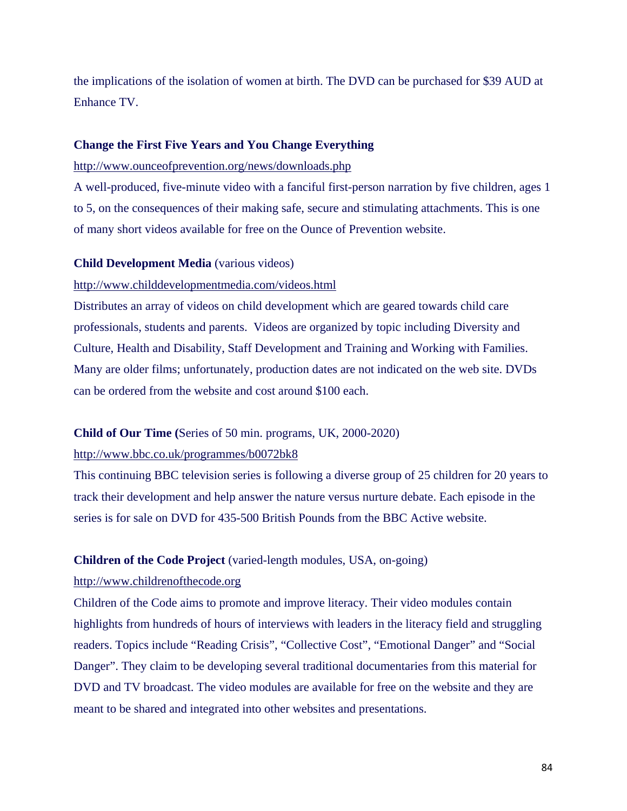the implications of the isolation of women at birth. The DVD can be purchased for \$39 AUD at Enhance TV.

#### **Change the First Five Years and You Change Everything**

http://www.ounceofprevention.org/news/downloads.php

A well-produced, five-minute video with a fanciful first-person narration by five children, ages 1 to 5, on the consequences of their making safe, secure and stimulating attachments. This is one of many short videos available for free on the Ounce of Prevention website.

#### **Child Development Media** (various videos)

### http://www.childdevelopmentmedia.com/videos.html

Distributes an array of videos on child development which are geared towards child care professionals, students and parents. Videos are organized by topic including Diversity and Culture, Health and Disability, Staff Development and Training and Working with Families. Many are older films; unfortunately, production dates are not indicated on the web site. DVDs can be ordered from the website and cost around \$100 each.

#### **Child of Our Time (**Series of 50 min. programs, UK, 2000-2020)

#### http://www.bbc.co.uk/programmes/b0072bk8

This continuing BBC television series is following a diverse group of 25 children for 20 years to track their development and help answer the nature versus nurture debate. Each episode in the series is for sale on DVD for 435-500 British Pounds from the BBC Active website.

### **Children of the Code Project** (varied-length modules, USA, on-going)

#### http://www.childrenofthecode.org

Children of the Code aims to promote and improve literacy. Their video modules contain highlights from hundreds of hours of interviews with leaders in the literacy field and struggling readers. Topics include "Reading Crisis", "Collective Cost", "Emotional Danger" and "Social Danger". They claim to be developing several traditional documentaries from this material for DVD and TV broadcast. The video modules are available for free on the website and they are meant to be shared and integrated into other websites and presentations.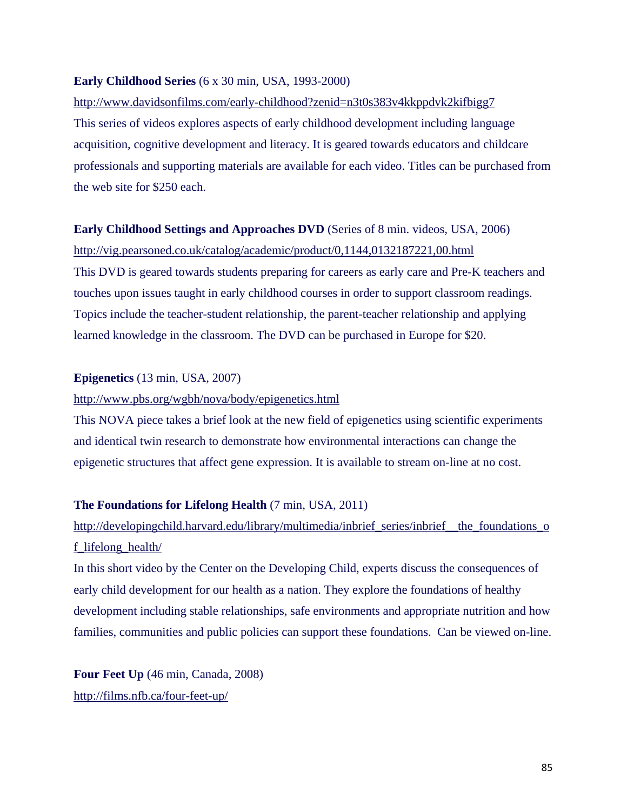#### **Early Childhood Series** (6 x 30 min, USA, 1993-2000)

# http://www.davidsonfilms.com/early-childhood?zenid=n3t0s383v4kkppdvk2kifbigg7

This series of videos explores aspects of early childhood development including language acquisition, cognitive development and literacy. It is geared towards educators and childcare professionals and supporting materials are available for each video. Titles can be purchased from the web site for \$250 each.

### **Early Childhood Settings and Approaches DVD** (Series of 8 min. videos, USA, 2006)

http://vig.pearsoned.co.uk/catalog/academic/product/0,1144,0132187221,00.html This DVD is geared towards students preparing for careers as early care and Pre-K teachers and touches upon issues taught in early childhood courses in order to support classroom readings. Topics include the teacher-student relationship, the parent-teacher relationship and applying learned knowledge in the classroom. The DVD can be purchased in Europe for \$20.

### **Epigenetics** (13 min, USA, 2007)

### http://www.pbs.org/wgbh/nova/body/epigenetics.html

This NOVA piece takes a brief look at the new field of epigenetics using scientific experiments and identical twin research to demonstrate how environmental interactions can change the epigenetic structures that affect gene expression. It is available to stream on-line at no cost.

### **The Foundations for Lifelong Health** (7 min, USA, 2011)

# http://developingchild.harvard.edu/library/multimedia/inbrief\_series/inbrief\_the\_foundations\_o f\_lifelong\_health/

In this short video by the Center on the Developing Child, experts discuss the consequences of early child development for our health as a nation. They explore the foundations of healthy development including stable relationships, safe environments and appropriate nutrition and how families, communities and public policies can support these foundations. Can be viewed on-line.

**Four Feet Up** (46 min, Canada, 2008) http://films.nfb.ca/four-feet-up/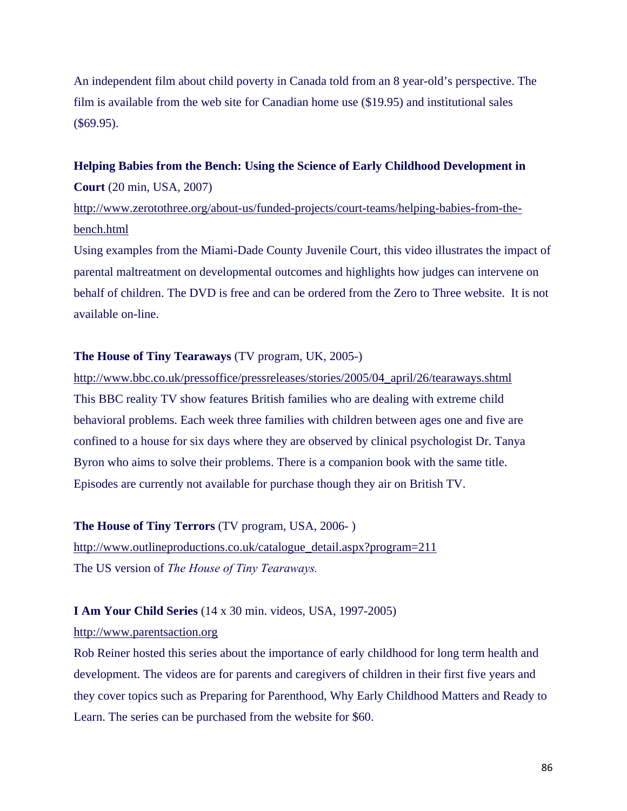An independent film about child poverty in Canada told from an 8 year-old's perspective. The film is available from the web site for Canadian home use (\$19.95) and institutional sales (\$69.95).

## **Helping Babies from the Bench: Using the Science of Early Childhood Development in Court** (20 min, USA, 2007)

http://www.zerotothree.org/about-us/funded-projects/court-teams/helping-babies-from-thebench.html

Using examples from the Miami-Dade County Juvenile Court, this video illustrates the impact of parental maltreatment on developmental outcomes and highlights how judges can intervene on behalf of children. The DVD is free and can be ordered from the Zero to Three website. It is not available on-line.

### **The House of Tiny Tearaways** (TV program, UK, 2005-)

http://www.bbc.co.uk/pressoffice/pressreleases/stories/2005/04\_april/26/tearaways.shtml This BBC reality TV show features British families who are dealing with extreme child behavioral problems. Each week three families with children between ages one and five are confined to a house for six days where they are observed by clinical psychologist Dr. Tanya Byron who aims to solve their problems. There is a companion book with the same title. Episodes are currently not available for purchase though they air on British TV.

### **The House of Tiny Terrors** (TV program, USA, 2006- )

http://www.outlineproductions.co.uk/catalogue\_detail.aspx?program=211 The US version of *The House of Tiny Tearaways.*

### **I Am Your Child Series** (14 x 30 min. videos, USA, 1997-2005)

#### http://www.parentsaction.org

Rob Reiner hosted this series about the importance of early childhood for long term health and development. The videos are for parents and caregivers of children in their first five years and they cover topics such as Preparing for Parenthood, Why Early Childhood Matters and Ready to Learn. The series can be purchased from the website for \$60.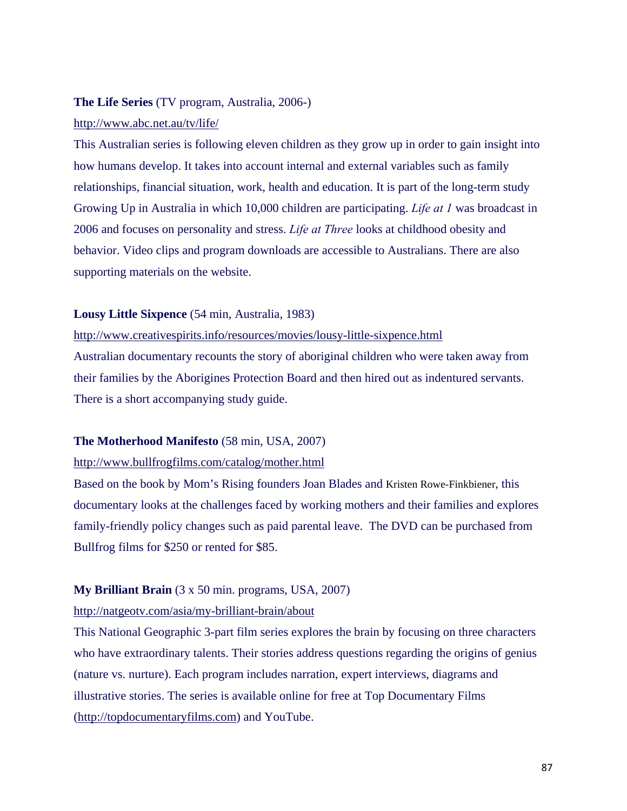### **The Life Series** (TV program, Australia, 2006-)

#### http://www.abc.net.au/tv/life/

This Australian series is following eleven children as they grow up in order to gain insight into how humans develop. It takes into account internal and external variables such as family relationships, financial situation, work, health and education. It is part of the long-term study Growing Up in Australia in which 10,000 children are participating. *Life at 1* was broadcast in 2006 and focuses on personality and stress. *Life at Three* looks at childhood obesity and behavior. Video clips and program downloads are accessible to Australians. There are also supporting materials on the website.

### **Lousy Little Sixpence** (54 min, Australia, 1983)

http://www.creativespirits.info/resources/movies/lousy-little-sixpence.html Australian documentary recounts the story of aboriginal children who were taken away from their families by the Aborigines Protection Board and then hired out as indentured servants. There is a short accompanying study guide.

### **The Motherhood Manifesto** (58 min, USA, 2007)

### http://www.bullfrogfilms.com/catalog/mother.html

Based on the book by Mom's Rising founders Joan Blades and Kristen Rowe-Finkbiener, this documentary looks at the challenges faced by working mothers and their families and explores family-friendly policy changes such as paid parental leave. The DVD can be purchased from Bullfrog films for \$250 or rented for \$85.

### **My Brilliant Brain** (3 x 50 min. programs, USA, 2007)

### http://natgeotv.com/asia/my-brilliant-brain/about

This National Geographic 3-part film series explores the brain by focusing on three characters who have extraordinary talents. Their stories address questions regarding the origins of genius (nature vs. nurture). Each program includes narration, expert interviews, diagrams and illustrative stories. The series is available online for free at Top Documentary Films (http://topdocumentaryfilms.com) and YouTube.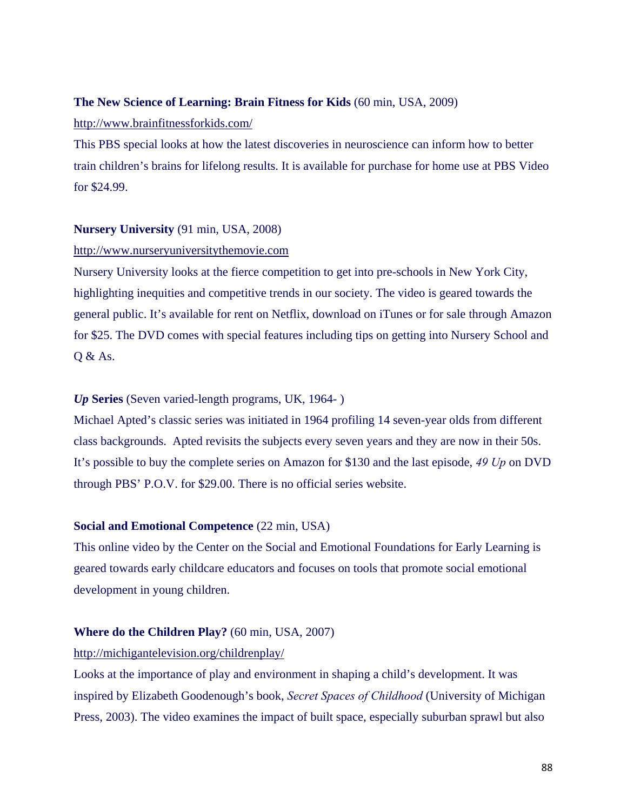### **The New Science of Learning: Brain Fitness for Kids** (60 min, USA, 2009)

#### http://www.brainfitnessforkids.com/

This PBS special looks at how the latest discoveries in neuroscience can inform how to better train children's brains for lifelong results. It is available for purchase for home use at PBS Video for \$24.99.

### **Nursery University** (91 min, USA, 2008)

### http://www.nurseryuniversitythemovie.com

Nursery University looks at the fierce competition to get into pre-schools in New York City, highlighting inequities and competitive trends in our society. The video is geared towards the general public. It's available for rent on Netflix, download on iTunes or for sale through Amazon for \$25. The DVD comes with special features including tips on getting into Nursery School and Q & As.

### *Up* **Series** (Seven varied-length programs, UK, 1964- )

Michael Apted's classic series was initiated in 1964 profiling 14 seven-year olds from different class backgrounds. Apted revisits the subjects every seven years and they are now in their 50s. It's possible to buy the complete series on Amazon for \$130 and the last episode, *49 Up* on DVD through PBS' P.O.V. for \$29.00. There is no official series website.

### **Social and Emotional Competence** (22 min, USA)

This online video by the Center on the Social and Emotional Foundations for Early Learning is geared towards early childcare educators and focuses on tools that promote social emotional development in young children.

#### **Where do the Children Play?** (60 min, USA, 2007)

### http://michigantelevision.org/childrenplay/

Looks at the importance of play and environment in shaping a child's development. It was inspired by Elizabeth Goodenough's book, *Secret Spaces of Childhood* (University of Michigan Press, 2003). The video examines the impact of built space, especially suburban sprawl but also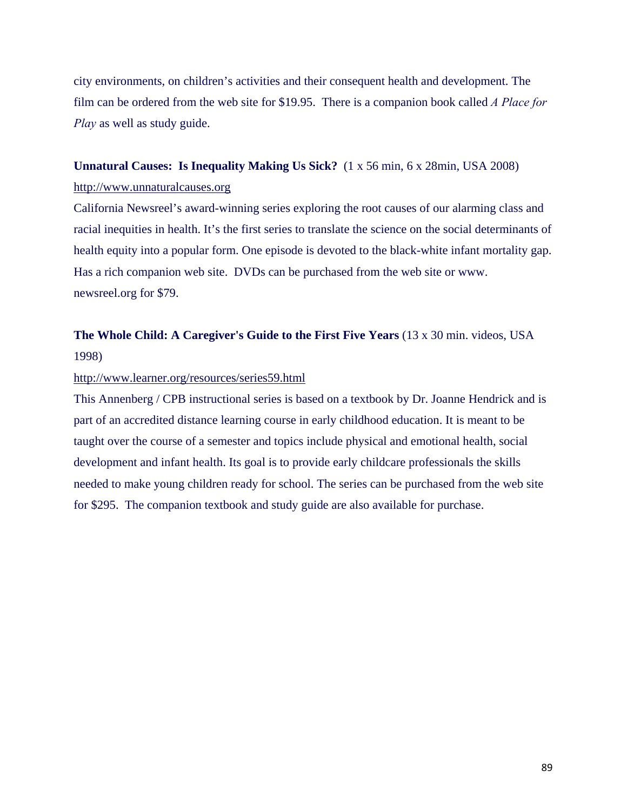city environments, on children's activities and their consequent health and development. The film can be ordered from the web site for \$19.95. There is a companion book called *A Place for Play* as well as study guide.

# **Unnatural Causes: Is Inequality Making Us Sick?** (1 x 56 min, 6 x 28min, USA 2008)

### http://www.unnaturalcauses.org

California Newsreel's award-winning series exploring the root causes of our alarming class and racial inequities in health. It's the first series to translate the science on the social determinants of health equity into a popular form. One episode is devoted to the black-white infant mortality gap. Has a rich companion web site. DVDs can be purchased from the web site or www. newsreel.org for \$79.

**The Whole Child: A Caregiver's Guide to the First Five Years** (13 x 30 min. videos, USA 1998)

### http://www.learner.org/resources/series59.html

This Annenberg / CPB instructional series is based on a textbook by Dr. Joanne Hendrick and is part of an accredited distance learning course in early childhood education. It is meant to be taught over the course of a semester and topics include physical and emotional health, social development and infant health. Its goal is to provide early childcare professionals the skills needed to make young children ready for school. The series can be purchased from the web site for \$295. The companion textbook and study guide are also available for purchase.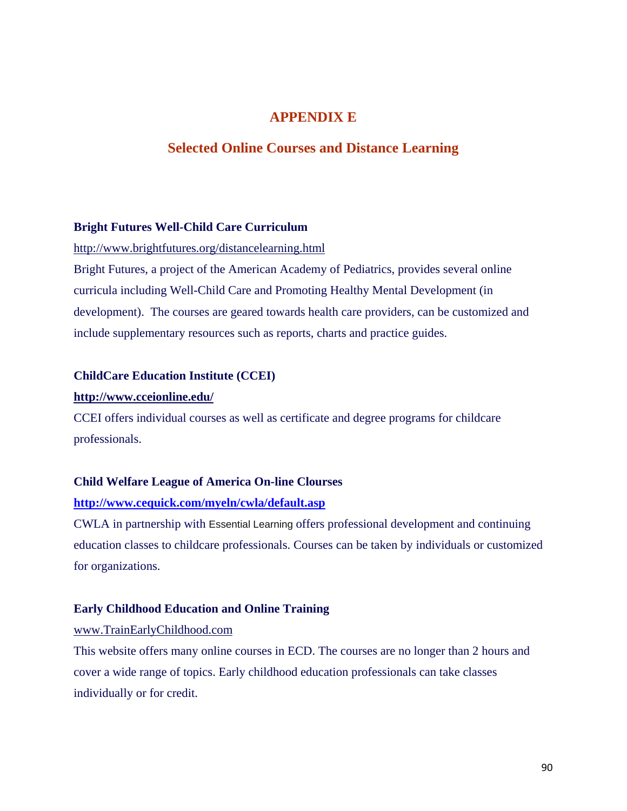### **APPENDIX E**

### **Selected Online Courses and Distance Learning**

### **Bright Futures Well-Child Care Curriculum**

### http://www.brightfutures.org/distancelearning.html

Bright Futures, a project of the American Academy of Pediatrics, provides several online curricula including Well-Child Care and Promoting Healthy Mental Development (in development). The courses are geared towards health care providers, can be customized and include supplementary resources such as reports, charts and practice guides.

### **ChildCare Education Institute (CCEI)**

#### **http://www.cceionline.edu/**

CCEI offers individual courses as well as certificate and degree programs for childcare professionals.

#### **Child Welfare League of America On-line Clourses**

#### **http://www.cequick.com/myeln/cwla/default.asp**

CWLA in partnership with Essential Learning offers professional development and continuing education classes to childcare professionals. Courses can be taken by individuals or customized for organizations.

#### **Early Childhood Education and Online Training**

#### www.TrainEarlyChildhood.com

This website offers many online courses in ECD. The courses are no longer than 2 hours and cover a wide range of topics. Early childhood education professionals can take classes individually or for credit.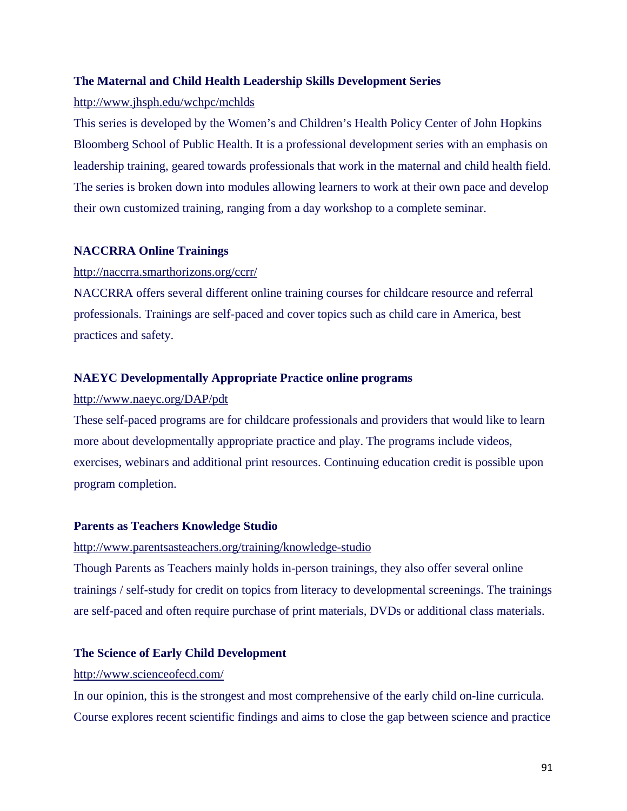### **The Maternal and Child Health Leadership Skills Development Series**

### http://www.jhsph.edu/wchpc/mchlds

This series is developed by the Women's and Children's Health Policy Center of John Hopkins Bloomberg School of Public Health. It is a professional development series with an emphasis on leadership training, geared towards professionals that work in the maternal and child health field. The series is broken down into modules allowing learners to work at their own pace and develop their own customized training, ranging from a day workshop to a complete seminar.

### **NACCRRA Online Trainings**

### http://naccrra.smarthorizons.org/ccrr/

NACCRRA offers several different online training courses for childcare resource and referral professionals. Trainings are self-paced and cover topics such as child care in America, best practices and safety.

### **NAEYC Developmentally Appropriate Practice online programs**

### http://www.naeyc.org/DAP/pdt

These self-paced programs are for childcare professionals and providers that would like to learn more about developmentally appropriate practice and play. The programs include videos, exercises, webinars and additional print resources. Continuing education credit is possible upon program completion.

### **Parents as Teachers Knowledge Studio**

### http://www.parentsasteachers.org/training/knowledge-studio

Though Parents as Teachers mainly holds in-person trainings, they also offer several online trainings / self-study for credit on topics from literacy to developmental screenings. The trainings are self-paced and often require purchase of print materials, DVDs or additional class materials.

### **The Science of Early Child Development**

### http://www.scienceofecd.com/

In our opinion, this is the strongest and most comprehensive of the early child on-line curricula. Course explores recent scientific findings and aims to close the gap between science and practice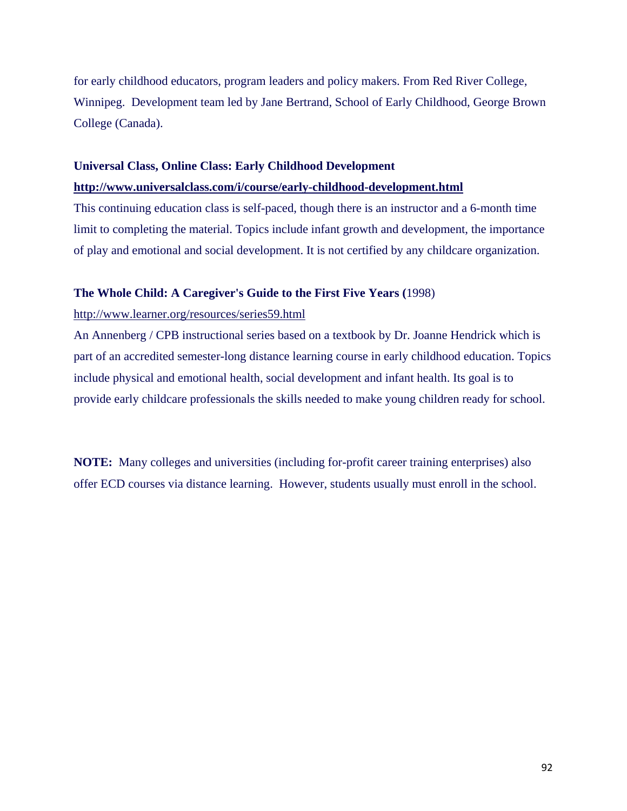for early childhood educators, program leaders and policy makers. From Red River College, Winnipeg. Development team led by Jane Bertrand, School of Early Childhood, George Brown College (Canada).

### **Universal Class, Online Class: Early Childhood Development**

### **http://www.universalclass.com/i/course/early-childhood-development.html**

This continuing education class is self-paced, though there is an instructor and a 6-month time limit to completing the material. Topics include infant growth and development, the importance of play and emotional and social development. It is not certified by any childcare organization.

### **The Whole Child: A Caregiver's Guide to the First Five Years (**1998)

### http://www.learner.org/resources/series59.html

An Annenberg / CPB instructional series based on a textbook by Dr. Joanne Hendrick which is part of an accredited semester-long distance learning course in early childhood education. Topics include physical and emotional health, social development and infant health. Its goal is to provide early childcare professionals the skills needed to make young children ready for school.

**NOTE:** Many colleges and universities (including for-profit career training enterprises) also offer ECD courses via distance learning. However, students usually must enroll in the school.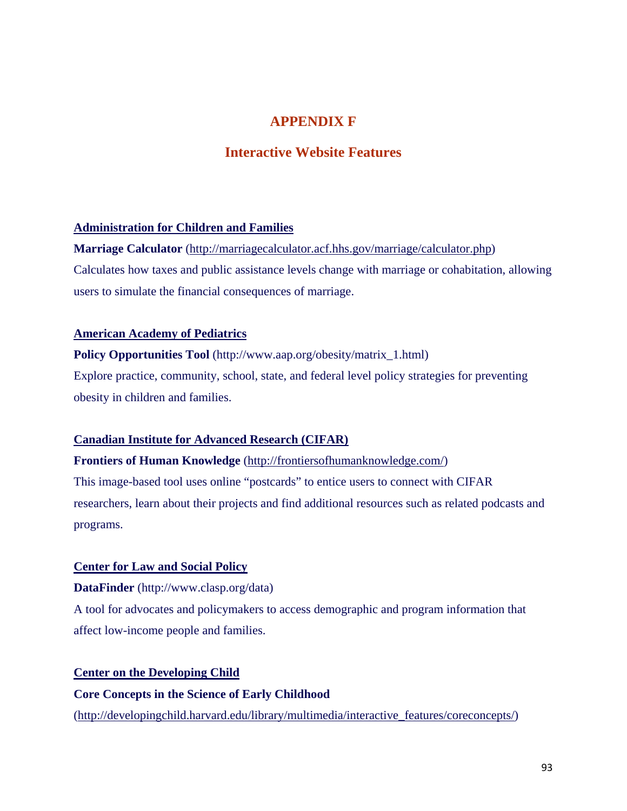### **APPENDIX F**

### **Interactive Website Features**

### **Administration for Children and Families**

**Marriage Calculator** (http://marriagecalculator.acf.hhs.gov/marriage/calculator.php) Calculates how taxes and public assistance levels change with marriage or cohabitation, allowing users to simulate the financial consequences of marriage.

### **American Academy of Pediatrics**

**Policy Opportunities Tool** (http://www.aap.org/obesity/matrix\_1.html) Explore practice, community, school, state, and federal level policy strategies for preventing obesity in children and families.

### **Canadian Institute for Advanced Research (CIFAR)**

**Frontiers of Human Knowledge** (http://frontiersofhumanknowledge.com/)

This image-based tool uses online "postcards" to entice users to connect with CIFAR researchers, learn about their projects and find additional resources such as related podcasts and programs.

### **Center for Law and Social Policy**

**DataFinder** (http://www.clasp.org/data)

A tool for advocates and policymakers to access demographic and program information that affect low-income people and families.

### **Center on the Developing Child**

**Core Concepts in the Science of Early Childhood** (http://developingchild.harvard.edu/library/multimedia/interactive\_features/coreconcepts/)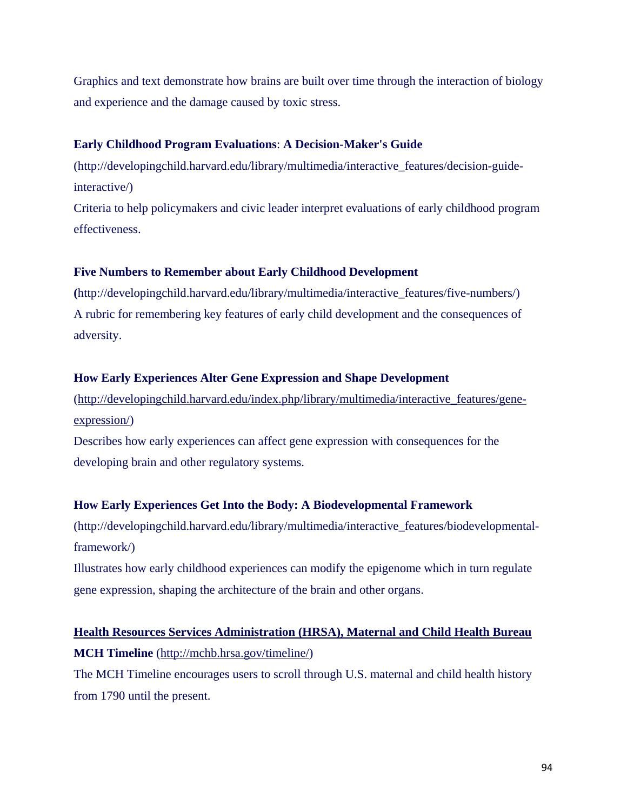Graphics and text demonstrate how brains are built over time through the interaction of biology and experience and the damage caused by toxic stress.

### **Early Childhood Program Evaluations**: **A Decision-Maker's Guide**

(http://developingchild.harvard.edu/library/multimedia/interactive\_features/decision-guideinteractive/)

Criteria to help policymakers and civic leader interpret evaluations of early childhood program effectiveness.

### **Five Numbers to Remember about Early Childhood Development**

**(**http://developingchild.harvard.edu/library/multimedia/interactive\_features/five-numbers/) A rubric for remembering key features of early child development and the consequences of adversity.

### **How Early Experiences Alter Gene Expression and Shape Development**

(http://developingchild.harvard.edu/index.php/library/multimedia/interactive\_features/geneexpression/)

Describes how early experiences can affect gene expression with consequences for the developing brain and other regulatory systems.

### **How Early Experiences Get Into the Body: A Biodevelopmental Framework**

(http://developingchild.harvard.edu/library/multimedia/interactive\_features/biodevelopmentalframework/)

Illustrates how early childhood experiences can modify the epigenome which in turn regulate gene expression, shaping the architecture of the brain and other organs.

# **Health Resources Services Administration (HRSA), Maternal and Child Health Bureau MCH Timeline** (http://mchb.hrsa.gov/timeline/)

The MCH Timeline encourages users to scroll through U.S. maternal and child health history from 1790 until the present.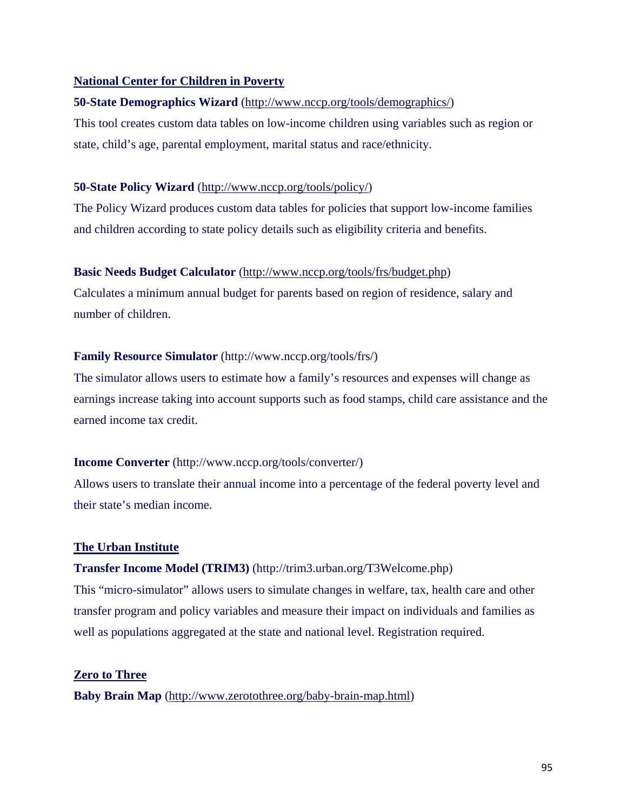### **National Center for Children in Poverty**

### **50-State Demographics Wizard** (http://www.nccp.org/tools/demographics/)

This tool creates custom data tables on low-income children using variables such as region or state, child's age, parental employment, marital status and race/ethnicity.

### **50-State Policy Wizard** (http://www.nccp.org/tools/policy/)

The Policy Wizard produces custom data tables for policies that support low-income families and children according to state policy details such as eligibility criteria and benefits.

### **Basic Needs Budget Calculator** (http://www.nccp.org/tools/frs/budget.php)

Calculates a minimum annual budget for parents based on region of residence, salary and number of children.

### **Family Resource Simulator** (http://www.nccp.org/tools/frs/)

The simulator allows users to estimate how a family's resources and expenses will change as earnings increase taking into account supports such as food stamps, child care assistance and the earned income tax credit.

### **Income Converter** (http://www.nccp.org/tools/converter/)

Allows users to translate their annual income into a percentage of the federal poverty level and their state's median income.

### **The Urban Institute**

### **Transfer Income Model (TRIM3)** (http://trim3.urban.org/T3Welcome.php)

This "micro-simulator" allows users to simulate changes in welfare, tax, health care and other transfer program and policy variables and measure their impact on individuals and families as well as populations aggregated at the state and national level. Registration required.

### **Zero to Three**

**Baby Brain Map** (http://www.zerotothree.org/baby-brain-map.html)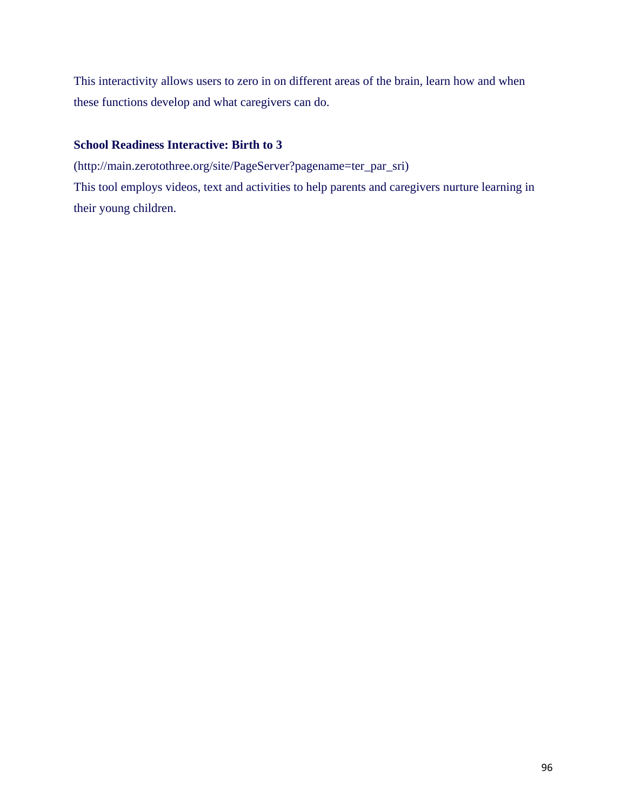This interactivity allows users to zero in on different areas of the brain, learn how and when these functions develop and what caregivers can do.

### **School Readiness Interactive: Birth to 3**

(http://main.zerotothree.org/site/PageServer?pagename=ter\_par\_sri)

This tool employs videos, text and activities to help parents and caregivers nurture learning in their young children.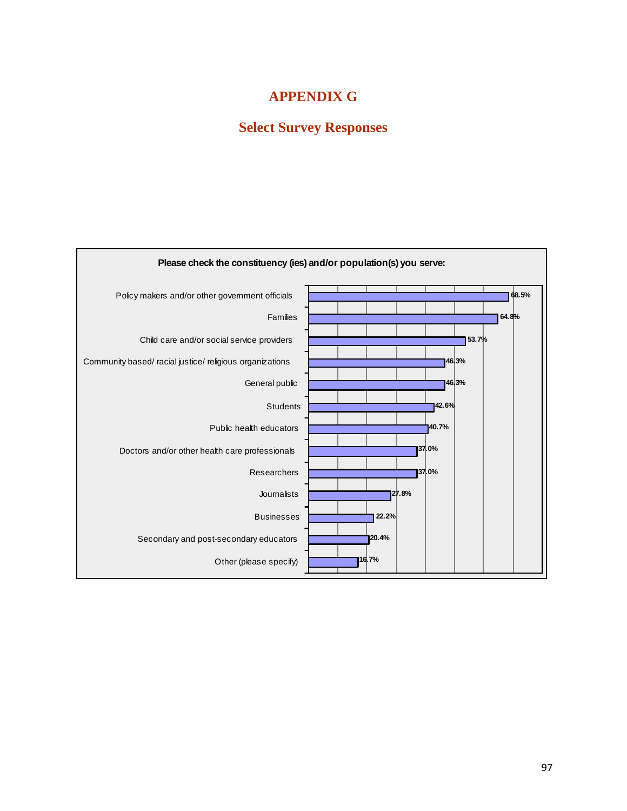## **APPENDIX G**

# **Select Survey Responses**

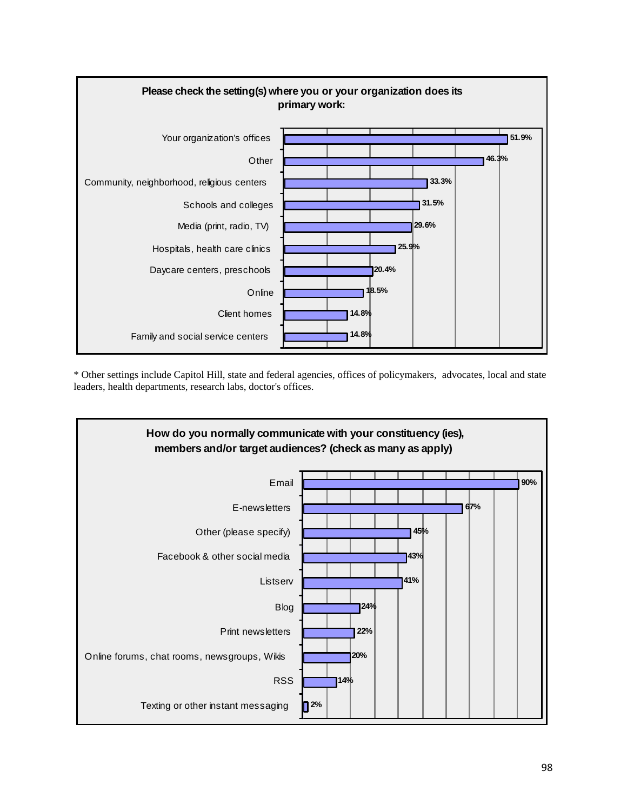

\* Other settings include Capitol Hill, state and federal agencies, offices of policymakers, advocates, local and state leaders, health departments, research labs, doctor's offices.

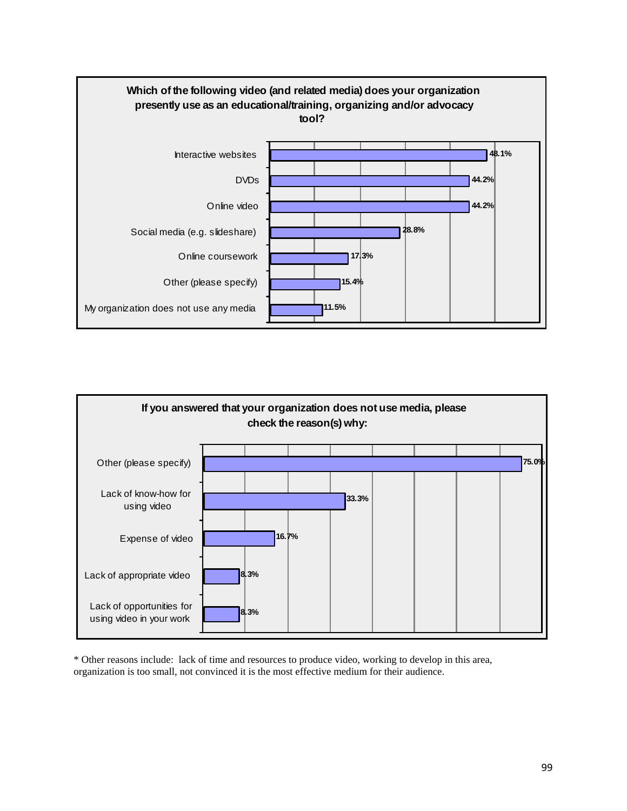



\* Other reasons include: lack of time and resources to produce video, working to develop in this area, organization is too small, not convinced it is the most effective medium for their audience.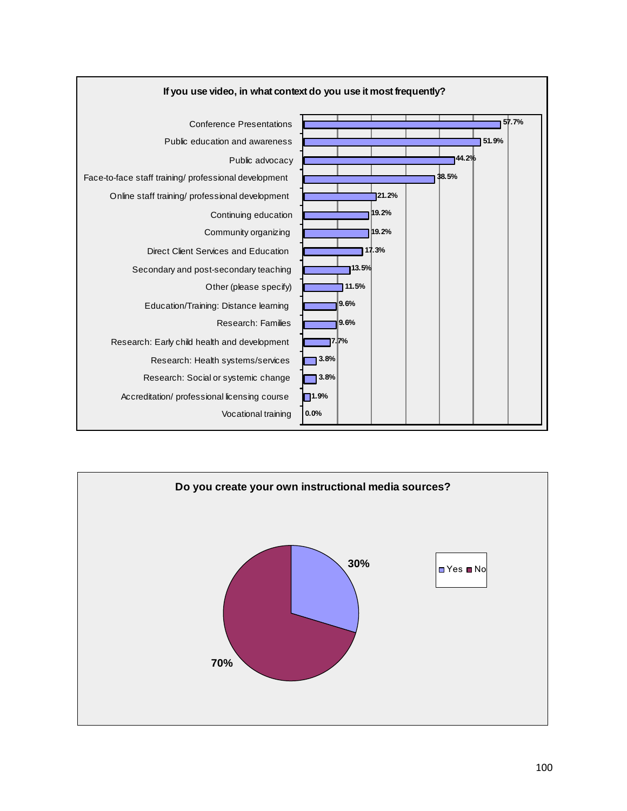

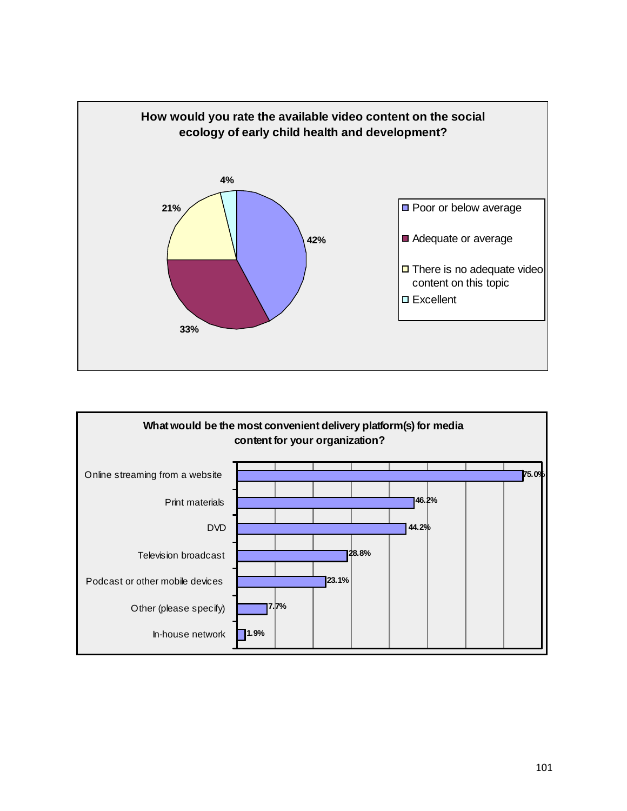

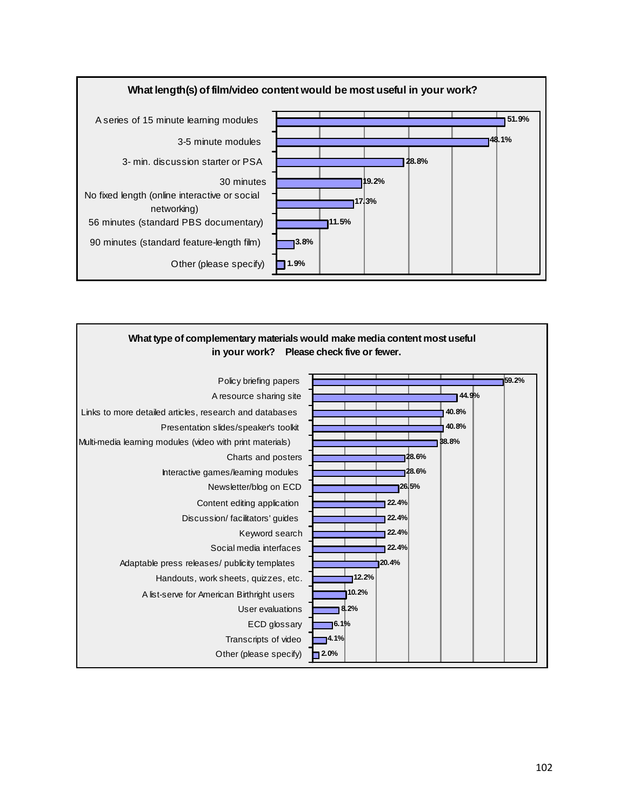

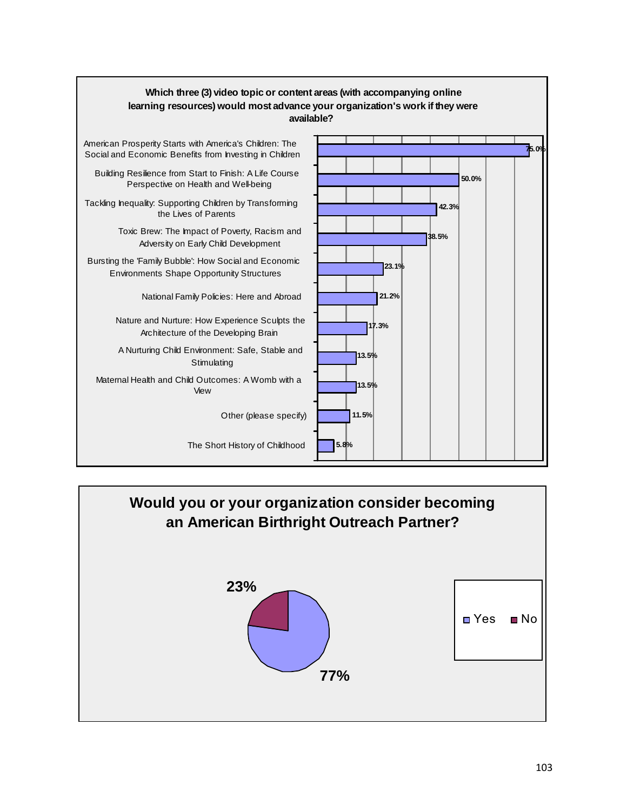

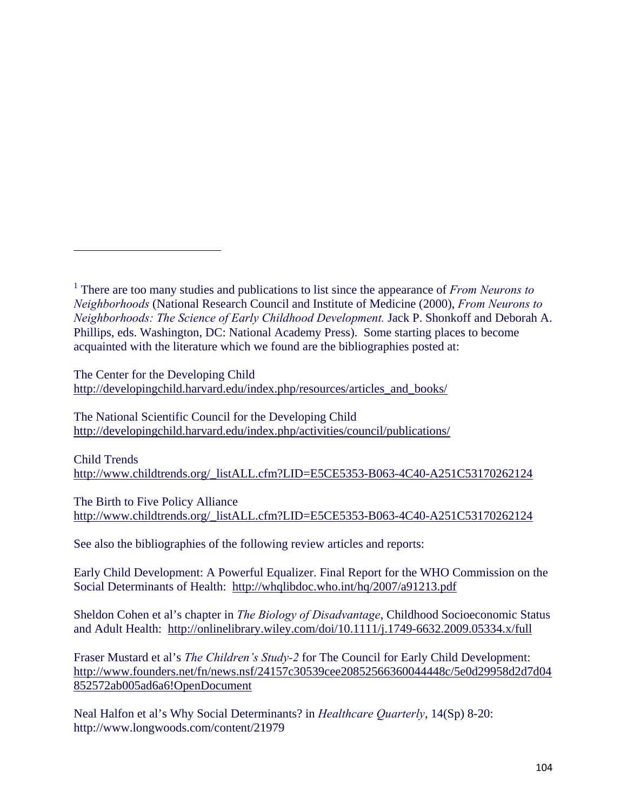The Center for the Developing Child http://developingchild.harvard.edu/index.php/resources/articles\_and\_books/

The National Scientific Council for the Developing Child http://developingchild.harvard.edu/index.php/activities/council/publications/

Child Trends http://www.childtrends.org/\_listALL.cfm?LID=E5CE5353-B063-4C40-A251C53170262124

The Birth to Five Policy Alliance http://www.childtrends.org/\_listALL.cfm?LID=E5CE5353-B063-4C40-A251C53170262124

See also the bibliographies of the following review articles and reports:

Early Child Development: A Powerful Equalizer. Final Report for the WHO Commission on the Social Determinants of Health: http://whqlibdoc.who.int/hq/2007/a91213.pdf

Sheldon Cohen et al's chapter in *The Biology of Disadvantage*, Childhood Socioeconomic Status and Adult Health: http://onlinelibrary.wiley.com/doi/10.1111/j.1749-6632.2009.05334.x/full

Fraser Mustard et al's *The Children's Study-2* for The Council for Early Child Development: http://www.founders.net/fn/news.nsf/24157c30539cee20852566360044448c/5e0d29958d2d7d04 852572ab005ad6a6!OpenDocument

Neal Halfon et al's Why Social Determinants? in *Healthcare Quarterly*, 14(Sp) 8-20: http://www.longwoods.com/content/21979

<sup>1</sup> There are too many studies and publications to list since the appearance of *From Neurons to Neighborhoods* (National Research Council and Institute of Medicine (2000), *From Neurons to Neighborhoods: The Science of Early Childhood Development.* Jack P. Shonkoff and Deborah A. Phillips, eds. Washington, DC: National Academy Press). Some starting places to become acquainted with the literature which we found are the bibliographies posted at: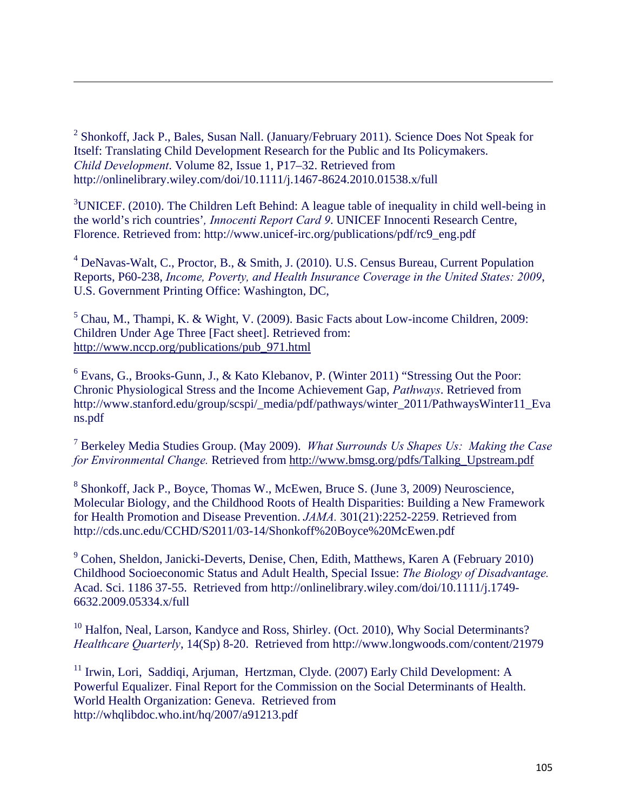<sup>2</sup> Shonkoff, Jack P., Bales, Susan Nall. (January/February 2011). Science Does Not Speak for Itself: Translating Child Development Research for the Public and Its Policymakers. *Child Development*. Volume 82, Issue 1, P17–32. Retrieved from http://onlinelibrary.wiley.com/doi/10.1111/j.1467-8624.2010.01538.x/full

<u> 1989 - Johann Stoff, amerikansk politiker (d. 1989)</u>

 $3$ UNICEF. (2010). The Children Left Behind: A league table of inequality in child well-being in the world's rich countries'*, Innocenti Report Card 9*. UNICEF Innocenti Research Centre, Florence. Retrieved from: http://www.unicef-irc.org/publications/pdf/rc9\_eng.pdf

<sup>4</sup> DeNavas-Walt, C., Proctor, B., & Smith, J. (2010). U.S. Census Bureau, Current Population Reports, P60-238, *Income, Poverty, and Health Insurance Coverage in the United States: 2009*, U.S. Government Printing Office: Washington, DC,

 $<sup>5</sup>$  Chau, M., Thampi, K. & Wight, V. (2009). Basic Facts about Low-income Children, 2009:</sup> Children Under Age Three [Fact sheet]. Retrieved from: http://www.nccp.org/publications/pub\_971.html

<sup>6</sup> Evans, G., Brooks-Gunn, J., & Kato Klebanov, P. (Winter 2011) "Stressing Out the Poor: Chronic Physiological Stress and the Income Achievement Gap, *Pathways*. Retrieved from http://www.stanford.edu/group/scspi/\_media/pdf/pathways/winter\_2011/PathwaysWinter11\_Eva ns.pdf

7 Berkeley Media Studies Group. (May 2009). *What Surrounds Us Shapes Us: Making the Case for Environmental Change.* Retrieved from http://www.bmsg.org/pdfs/Talking\_Upstream.pdf

<sup>8</sup> Shonkoff, Jack P., Boyce, Thomas W., McEwen, Bruce S. (June 3, 2009) Neuroscience, Molecular Biology, and the Childhood Roots of Health Disparities: Building a New Framework for Health Promotion and Disease Prevention. *JAMA.* 301(21):2252-2259. Retrieved from http://cds.unc.edu/CCHD/S2011/03-14/Shonkoff%20Boyce%20McEwen.pdf

<sup>9</sup> Cohen, Sheldon, Janicki-Deverts, Denise, Chen, Edith, Matthews, Karen A (February 2010) Childhood Socioeconomic Status and Adult Health, Special Issue: *The Biology of Disadvantage.*  Acad. Sci. 1186 37-55. Retrieved from http://onlinelibrary.wiley.com/doi/10.1111/j.1749- 6632.2009.05334.x/full

<sup>10</sup> Halfon, Neal, Larson, Kandyce and Ross, Shirley. (Oct. 2010), Why Social Determinants? *Healthcare Quarterly*, 14(Sp) 8-20. Retrieved from http://www.longwoods.com/content/21979

<sup>11</sup> Irwin, Lori, Saddiqi, Arjuman, Hertzman, Clyde. (2007) Early Child Development: A Powerful Equalizer. Final Report for the Commission on the Social Determinants of Health. World Health Organization: Geneva. Retrieved from http://whqlibdoc.who.int/hq/2007/a91213.pdf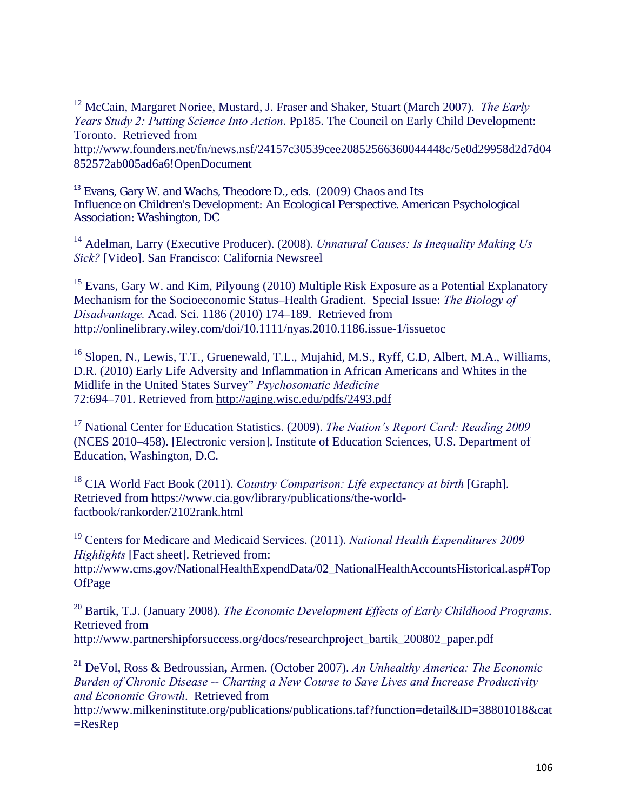12 McCain, Margaret Noriee, Mustard, J. Fraser and Shaker, Stuart (March 2007). *The Early Years Study 2: Putting Science Into Action*. Pp185. The Council on Early Child Development: Toronto. Retrieved from

<u> 1989 - Johann Stoff, amerikansk politiker (d. 1989)</u>

http://www.founders.net/fn/news.nsf/24157c30539cee20852566360044448c/5e0d29958d2d7d04 852572ab005ad6a6!OpenDocument

<sup>13</sup> Evans, Gary W. and Wachs, Theodore D., eds. (2009) *Chaos and Its Influence on Children's Development: An Ecological Perspective*. American Psychological Association: Washington, DC

14 Adelman, Larry (Executive Producer). (2008). *Unnatural Causes: Is Inequality Making Us Sick?* [Video]. San Francisco: California Newsreel

<sup>15</sup> Evans, Gary W. and Kim, Pilyoung (2010) Multiple Risk Exposure as a Potential Explanatory Mechanism for the Socioeconomic Status–Health Gradient. Special Issue: *The Biology of Disadvantage.* Acad. Sci. 1186 (2010) 174–189. Retrieved from http://onlinelibrary.wiley.com/doi/10.1111/nyas.2010.1186.issue-1/issuetoc

<sup>16</sup> Slopen, N., Lewis, T.T., Gruenewald, T.L., Mujahid, M.S., Ryff, C.D, Albert, M.A., Williams, D.R. (2010) Early Life Adversity and Inflammation in African Americans and Whites in the Midlife in the United States Survey" *Psychosomatic Medicine*  72:694–701. Retrieved from http://aging.wisc.edu/pdfs/2493.pdf

17 National Center for Education Statistics. (2009). *The Nation's Report Card: Reading 2009* (NCES 2010–458). [Electronic version]. Institute of Education Sciences, U.S. Department of Education, Washington, D.C.

18 CIA World Fact Book (2011). *Country Comparison: Life expectancy at birth* [Graph]. Retrieved from https://www.cia.gov/library/publications/the-worldfactbook/rankorder/2102rank.html

19 Centers for Medicare and Medicaid Services. (2011). *National Health Expenditures 2009 Highlights* [Fact sheet]. Retrieved from:

http://www.cms.gov/NationalHealthExpendData/02\_NationalHealthAccountsHistorical.asp#Top **OfPage** 

20 Bartik, T.J. (January 2008). *The Economic Development Effects of Early Childhood Programs*. Retrieved from http://www.partnershipforsuccess.org/docs/researchproject\_bartik\_200802\_paper.pdf

21 DeVol, Ross & Bedroussian**,** Armen. (October 2007). *An Unhealthy America: The Economic Burden of Chronic Disease -- Charting a New Course to Save Lives and Increase Productivity and Economic Growth*. Retrieved from

http://www.milkeninstitute.org/publications/publications.taf?function=detail&ID=38801018&cat  $=$ ResRep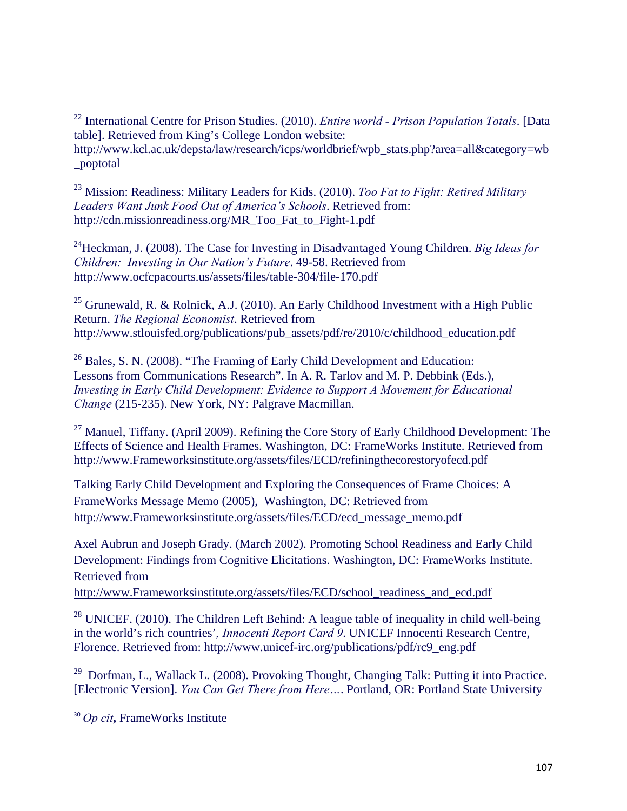22 International Centre for Prison Studies. (2010). *Entire world - Prison Population Totals*. [Data table]. Retrieved from King's College London website: http://www.kcl.ac.uk/depsta/law/research/icps/worldbrief/wpb\_stats.php?area=all&category=wb \_poptotal

<u> 1989 - Johann Stoff, amerikansk politiker (d. 1989)</u>

23 Mission: Readiness: Military Leaders for Kids. (2010). *Too Fat to Fight: Retired Military Leaders Want Junk Food Out of America's Schools*. Retrieved from: http://cdn.missionreadiness.org/MR\_Too\_Fat\_to\_Fight-1.pdf

24Heckman, J. (2008). The Case for Investing in Disadvantaged Young Children. *Big Ideas for Children: Investing in Our Nation's Future*. 49-58. Retrieved from http://www.ocfcpacourts.us/assets/files/table-304/file-170.pdf

<sup>25</sup> Grunewald, R. & Rolnick, A.J. (2010). An Early Childhood Investment with a High Public Return. *The Regional Economist*. Retrieved from http://www.stlouisfed.org/publications/pub\_assets/pdf/re/2010/c/childhood\_education.pdf

 $26$  Bales, S. N. (2008). "The Framing of Early Child Development and Education: Lessons from Communications Research". In A. R. Tarlov and M. P. Debbink (Eds.), *Investing in Early Child Development: Evidence to Support A Movement for Educational Change* (215-235). New York, NY: Palgrave Macmillan.

 $27$  Manuel, Tiffany. (April 2009). Refining the Core Story of Early Childhood Development: The Effects of Science and Health Frames. Washington, DC: FrameWorks Institute. Retrieved from http://www.Frameworksinstitute.org/assets/files/ECD/refiningthecorestoryofecd.pdf

Talking Early Child Development and Exploring the Consequences of Frame Choices: A FrameWorks Message Memo (2005), Washington, DC: Retrieved from http://www.Frameworksinstitute.org/assets/files/ECD/ecd\_message\_memo.pdf

Axel Aubrun and Joseph Grady. (March 2002). Promoting School Readiness and Early Child Development: Findings from Cognitive Elicitations. Washington, DC: FrameWorks Institute. Retrieved from

http://www.Frameworksinstitute.org/assets/files/ECD/school\_readiness\_and\_ecd.pdf

 $28$  UNICEF. (2010). The Children Left Behind: A league table of inequality in child well-being in the world's rich countries'*, Innocenti Report Card 9*. UNICEF Innocenti Research Centre, Florence. Retrieved from: http://www.unicef-irc.org/publications/pdf/rc9\_eng.pdf

<sup>29</sup> Dorfman, L., Wallack L. (2008). Provoking Thought, Changing Talk: Putting it into Practice. [Electronic Version]. *You Can Get There from Here…*. Portland, OR: Portland State University

<sup>30</sup> *Op cit***,** FrameWorks Institute